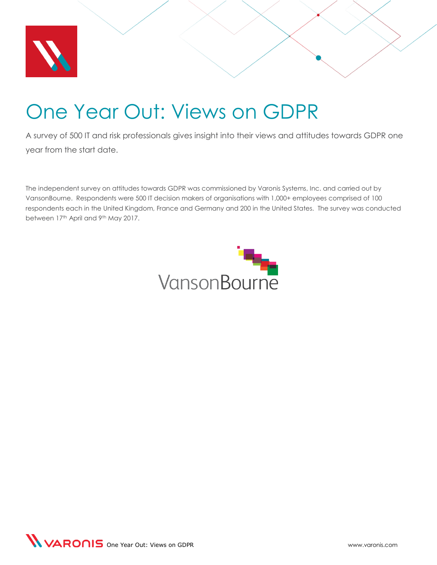

# <span id="page-0-0"></span>One Year Out: Views on GDPR

A survey of 500 IT and risk professionals gives insight into their views and attitudes towards GDPR one year from the start date.

The independent survey on attitudes towards GDPR was commissioned by Varonis Systems, Inc. and carried out by VansonBourne. Respondents were 500 IT decision makers of organisations with 1,000+ employees comprised of 100 respondents each in the United Kingdom, France and Germany and 200 in the United States. The survey was conducted between 17th April and 9th May 2017.



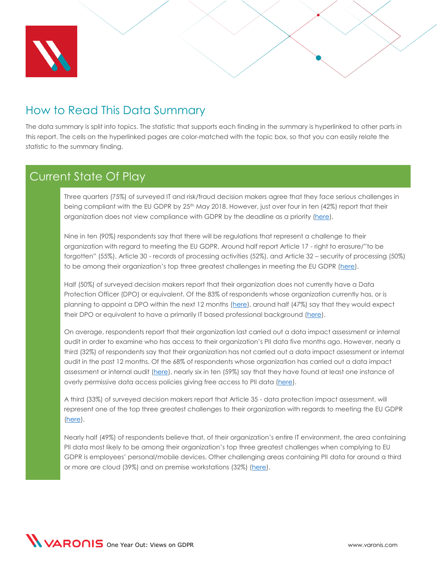

### How to Read This Data Summary

The data summary is split into topics. The statistic that supports each finding in the summary is hyperlinked to other parts in this report. The cells on the hyperlinked pages are color-matched with the topic box, so that you can easily relate the statistic to the summary finding.

#### Current State Of Play

Three quarters (75%) of surveyed IT and risk/fraud decision makers agree that they face serious challenges in being compliant with the EU GDPR by 25<sup>th</sup> May 2018. However, just over four in ten (42%) report that their organization does not view compliance with GDPR by the deadline as a priority [\(here\)](#page-31-0).

Nine in ten (90%) respondents say that there will be regulations that represent a challenge to their organization with regard to meeting the EU GDPR. Around half report Article 17 - right to erasure/"to be forgotten" (55%), Article 30 - records of processing activities (52%), and Article 32 – security of processing (50%) to be among their organization's top three greatest challenges in meeting the EU GDPR ([here\)](#page-13-0).

Half (50%) of surveyed decision makers report that their organization does not currently have a Data Protection Officer (DPO) or equivalent. Of the 83% of respondents whose organization currently has, or is planning to appoint a DPO within the next 12 months [\(here\)](#page-21-0), around half (47%) say that they would expect their DPO or equivalent to have a primarily IT based professional background [\(here\)](#page-22-0).

On average, respondents report that their organization last carried out a data impact assessment or internal audit in order to examine who has access to their organization's PII data five months ago. However, nearly a third (32%) of respondents say that their organization has not carried out a data impact assessment or internal audit in the past 12 months. Of the 68% of respondents whose organization has carried out a data impact assessment or internal audit [\(here\)](#page-16-0), nearly six in ten (59%) say that they have found at least one instance of overly permissive data access policies giving free access to PII data [\(here\)](#page-20-0).

A third (33%) of surveyed decision makers report that Article 35 - data protection impact assessment, will represent one of the top three greatest challenges to their organization with regards to meeting the EU GDPR [\(here\)](#page-13-0).

 Nearly half (49%) of respondents believe that, of their organization's entire IT environment, the area containing PII data most likely to be among their organization's top three greatest challenges when complying to EU GDPR is employees' personal/mobile devices. Other challenging areas containing PII data for around a third or more are cloud (39%) and on premise workstations (32%) [\(here\)](#page-18-0).

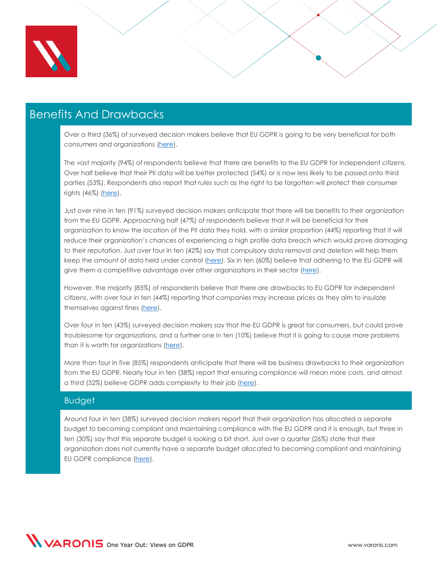

#### Benefits And Drawbacks

Over a third (36%) of surveyed decision makers believe that EU GDPR is going to be very beneficial for both consumers and organizations [\(here\)](#page-5-0).

The vast majority (94%) of respondents believe that there are benefits to the EU GDPR for independent citizens. Over half believe that their PII data will be better protected (54%) or is now less likely to be passed onto third parties (53%). Respondents also report that rules such as the right to be forgotten will protect their consumer rights (46%) [\(here\)](#page-6-0).

Just over nine in ten (91%) surveyed decision makers anticipate that there will be benefits to their organization from the EU GDPR. Approaching half (47%) of respondents believe that it will be beneficial for their organization to know the location of the PII data they hold, with a similar proportion (44%) reporting that it will reduce their organization's chances of experiencing a high profile data breach which would prove damaging to their reputation. Just over four in ten (42%) say that compulsory data removal and deletion will help them keep the amount of data held under control [\(here\)](#page-9-0). Six in ten (60%) believe that adhering to the EU GDPR will give them a competitive advantage over other organizations in their sector [\(here\)](#page-31-0).

However, the majority (85%) of respondents believe that there are drawbacks to EU GDPR for independent citizens, with over four in ten (44%) reporting that companies may increase prices as they aim to insulate themselves against fines [\(here\)](#page-7-0).

Over four in ten (43%) surveyed decision makers say that the EU GDPR is great for consumers, but could prove troublesome for organizations, and a further one in ten (10%) believe that it is going to cause more problems than it is worth for organizations [\(here\)](#page-5-0).

More than four in five (85%) respondents anticipate that there will be business drawbacks to their organization from the EU GDPR. Nearly four in ten (38%) report that ensuring compliance will mean more costs, and almost a third (32%) believe GDPR adds complexity to their job [\(here\)](#page-11-0).

#### **Budget**

Around four in ten (38%) surveyed decision makers report that their organization has allocated a separate budget to becoming compliant and maintaining compliance with the EU GDPR and it is enough, but three in ten (30%) say that this separate budget is looking a bit short. Just over a quarter (26%) state that their organization does not currently have a separate budget allocated to becoming compliant and maintaining EU GDPR compliance [\(here\)](#page-23-0).

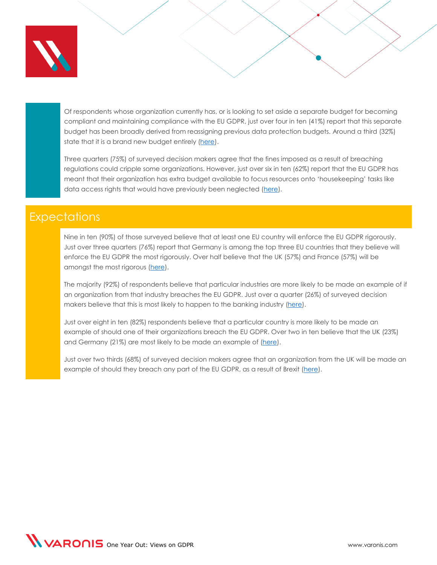

Of respondents whose organization currently has, or is looking to set aside a separate budget for becoming compliant and maintaining compliance with the EU GDPR, just over four in ten (41%) report that this separate budget has been broadly derived from reassigning previous data protection budgets. Around a third (32%) state that it is a brand new budget entirely [\(here\)](#page-24-0).

Three quarters (75%) of surveyed decision makers agree that the fines imposed as a result of breaching regulations could cripple some organizations. However, just over six in ten (62%) report that the EU GDPR has meant that their organization has extra budget available to focus resources onto 'housekeeping' tasks like data access rights that would have previously been neglected [\(here\)](#page-31-0).

#### **Expectations**

Nine in ten (90%) of those surveyed believe that at least one EU country will enforce the EU GDPR rigorously. Just over three quarters (76%) report that Germany is among the top three EU countries that they believe will enforce the EU GDPR the most rigorously. Over half believe that the UK (57%) and France (57%) will be amongst the most rigorous [\(here\)](#page-25-0).

The majority (92%) of respondents believe that particular industries are more likely to be made an example of if an organization from that industry breaches the EU GDPR. Just over a quarter (26%) of surveyed decision makers believe that this is most likely to happen to the banking industry [\(here\)](#page-27-0).

Just over eight in ten (82%) respondents believe that a particular country is more likely to be made an example of should one of their organizations breach the EU GDPR. Over two in ten believe that the UK (23%) and Germany (21%) are most likely to be made an example of [\(here\)](#page-29-0).

 Just over two thirds (68%) of surveyed decision makers agree that an organization from the UK will be made an example of should they breach any part of the EU GDPR, as a result of Brexit [\(here\)](#page-31-0).

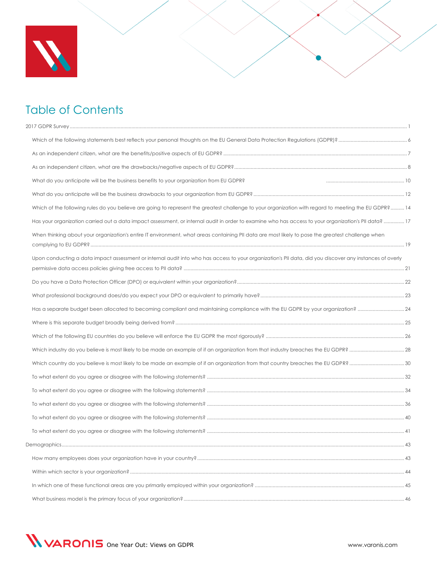

# Table of Contents

| What do you anticipate will be the business benefits to your organization from EU GDPR?                                                                  |  |
|----------------------------------------------------------------------------------------------------------------------------------------------------------|--|
|                                                                                                                                                          |  |
| Which of the following rules do you believe are going to represent the greatest challenge to your organization with regard to meeting the EU GDPR? 14    |  |
| Has your organization carried out a data impact assessment, or internal audit in order to examine who has access to your organization's PII data?  17    |  |
| When thinking about your organization's entire IT environment, what areas containing PII data are most likely to pose the greatest challenge when        |  |
| Upon conducting a data impact assessment or internal audit into who has access to your organization's PII data, did you discover any instances of overly |  |
|                                                                                                                                                          |  |
|                                                                                                                                                          |  |
|                                                                                                                                                          |  |
|                                                                                                                                                          |  |
|                                                                                                                                                          |  |
|                                                                                                                                                          |  |
|                                                                                                                                                          |  |
|                                                                                                                                                          |  |
|                                                                                                                                                          |  |
|                                                                                                                                                          |  |
|                                                                                                                                                          |  |
|                                                                                                                                                          |  |
|                                                                                                                                                          |  |
| Demographics.                                                                                                                                            |  |
|                                                                                                                                                          |  |
|                                                                                                                                                          |  |
|                                                                                                                                                          |  |

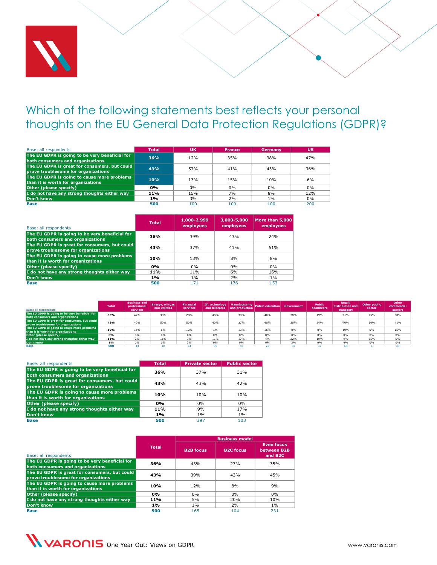

# <span id="page-5-1"></span><span id="page-5-0"></span>Which of the following statements best reflects your personal thoughts on the EU General Data Protection Regulations (GDPR)?

| Base: all respondents                                                                | <b>Total</b> | <b>UK</b> | <b>France</b> | Germany | <b>US</b> |
|--------------------------------------------------------------------------------------|--------------|-----------|---------------|---------|-----------|
| The EU GDPR is going to be very beneficial for<br>both consumers and organizations   | 36%          | 12%       | 35%           | 38%     | 47%       |
| The EU GDPR is great for consumers, but could<br>prove troublesome for organizations | 43%          | 57%       | 41%           | 43%     | 36%       |
| The EU GDPR is going to cause more problems<br>than it is worth for organizations    | 10%          | 13%       | 15%           | 10%     | 6%        |
| Other (please specify)                                                               | 0%           | 0%        | 0%            | $0\%$   | $0\%$     |
| I do not have any strong thoughts either way                                         | 11%          | 15%       | 7%            | 8%      | 12%       |
| Don't know                                                                           | 1%           | 3%        | 2%            | $1\%$   | $0\%$     |
| <b>Base</b>                                                                          | 500          | 100       | 100           | 100     | 200       |

| Base: all respondents                                                                |              |                          | Total           | UK                       |                | <b>France</b>            | Germany                      |                   | US           |
|--------------------------------------------------------------------------------------|--------------|--------------------------|-----------------|--------------------------|----------------|--------------------------|------------------------------|-------------------|--------------|
| The EU GDPR is going to be very beneficial for                                       |              |                          | 36%             | 12%                      |                | 35%                      | 38%                          |                   | 47%          |
| both consumers and organizations                                                     |              |                          |                 |                          |                |                          |                              |                   |              |
| The EU GDPR is great for consumers, but could<br>prove troublesome for organizations |              |                          | 43%             | 57%                      |                |                          | 43%                          |                   | 36%          |
| The EU GDPR is going to cause more problems                                          |              |                          | 10%             | 13%                      |                | 15%                      | 10%                          |                   | 6%           |
| than it is worth for organizations                                                   |              |                          |                 |                          |                |                          |                              |                   |              |
| Other (please specify)                                                               |              |                          | 0%              | 0%                       |                | 0%<br>7%                 | 0%                           |                   | $0\%$        |
| I do not have any strong thoughts either way                                         |              |                          | 11%<br>1%       | 15%                      |                | 2%                       | 8%                           |                   | 12%          |
| Don't know                                                                           |              |                          | 500             | 3%<br>100                |                | 100                      | $1\%$<br>100                 |                   | $0\%$<br>200 |
| <b>Base</b>                                                                          |              |                          |                 |                          |                |                          |                              |                   |              |
|                                                                                      |              |                          | <b>Total</b>    | 1,000-2,999<br>employees |                | 3,000-5,000<br>employees | More than 5,000<br>employees |                   |              |
| Base: all respondents                                                                |              |                          |                 |                          |                |                          |                              |                   |              |
| The EU GDPR is going to be very beneficial for                                       |              |                          | 36%             | 39%                      |                | 43%                      | 24%                          |                   |              |
| both consumers and organizations                                                     |              |                          |                 |                          |                |                          |                              |                   |              |
| The EU GDPR is great for consumers, but could                                        |              |                          | 43%             | 37%                      |                | 41%                      | 51%                          |                   |              |
| prove troublesome for organizations                                                  |              |                          |                 |                          |                |                          |                              |                   |              |
| The EU GDPR is going to cause more problems                                          |              |                          | 10%             | 13%                      |                | 8%                       | 8%                           |                   |              |
| than it is worth for organizations                                                   |              |                          |                 |                          |                |                          |                              |                   |              |
| Other (please specify)                                                               |              |                          | 0%              | 0%<br>11%                |                | 0%                       | 0%                           |                   |              |
| I do not have any strong thoughts either way                                         |              |                          | 11%             |                          |                | 6%                       | 16%                          |                   |              |
| Don't know                                                                           |              |                          | 1%              | $1\%$                    |                | 2%                       | $1\%$                        |                   |              |
| <b>Base</b>                                                                          |              |                          | 500             | 171                      |                | 176                      | 153                          |                   |              |
|                                                                                      |              |                          |                 |                          |                |                          |                              |                   |              |
|                                                                                      |              |                          |                 |                          |                |                          |                              |                   |              |
|                                                                                      |              | <b>Business and</b>      | Energy, oil/gas | <b>Financial</b>         | IT, technology | <b>Manufacturing</b>     |                              |                   |              |
| Base: all respondents                                                                | <b>Total</b> | professional<br>services | and utilities   | services                 | and telecoms   | and production           | <b>Public education</b>      | <b>Government</b> | he           |
| The EU GDPR is going to be very beneficial for<br>both consumers and organizations   | 36%          | 42%                      | 33%             | 28%                      | 48%            | 33%                      | 40%                          | 38%               |              |
| The EU GDPR is great for consumers, but could                                        | 43%          | 40%                      | 50%             | 50%                      | 40%            | 37%                      | 40%                          | 30%               |              |
| prove troublesome for organizations<br>The EU GDPR is going to cause more problems   |              |                          |                 |                          |                |                          |                              |                   |              |
| than it is worth for organizations                                                   | 10%          | 16%                      | 6%              | 12%                      | 1%             | 13%                      | 16%                          | 8%                |              |
| Other (please specify)<br>I do not have any strong thoughts either way               | 0%<br>11%    | 0%<br>2%                 | 0%<br>11%       | 0%<br>7%                 | 0%<br>11%      | 0%<br>17%                | 0%<br>4%                     | 0%<br>22%         |              |
| Don't know                                                                           | 1%           | 0%                       | 0%              | 3%                       | 0%             | 0%                       | 0%                           | 3%                |              |
| Base                                                                                 | 500          | 43                       | 18              | 74                       | 95             | 60                       | 25                           | 37                |              |
|                                                                                      |              |                          |                 |                          |                |                          |                              |                   |              |
| Base: all respondents                                                                |              |                          |                 |                          |                |                          |                              |                   |              |
|                                                                                      |              |                          | <b>Total</b>    | <b>Private sector</b>    |                | <b>Public sector</b>     |                              |                   |              |
| The EU GDPR is going to be very beneficial for<br>both consumers and organizations   |              |                          | 36%             | 37%                      |                | 31%                      |                              |                   |              |
| The EU GDPR is great for consumers, but could                                        |              |                          |                 |                          |                |                          |                              |                   |              |
| prove troublesome for organizations                                                  |              |                          | 43%             | 43%                      |                | 42%                      |                              |                   |              |
| The EU GDPR is going to cause more problems                                          |              |                          |                 |                          |                |                          |                              |                   |              |
| than it is worth for organizations                                                   |              |                          | 10%             | 10%                      |                | 10%                      |                              |                   |              |
| Other (please specify)                                                               |              |                          | 0%              | 0%                       |                | 0%                       |                              |                   |              |
| I do not have any strong thoughts either way                                         |              |                          | 11%             | 9%                       |                | 17%                      |                              |                   |              |
| Don't know                                                                           |              |                          | 1%              | $1\%$                    |                | $1\%$                    |                              |                   |              |
| <b>Base</b>                                                                          |              |                          | 500             | 397                      |                | 103                      |                              |                   |              |
|                                                                                      |              |                          |                 |                          |                |                          |                              |                   |              |
|                                                                                      |              |                          |                 |                          |                |                          |                              |                   |              |
|                                                                                      |              |                          |                 |                          |                |                          |                              |                   |              |
|                                                                                      |              |                          |                 |                          |                |                          |                              |                   |              |
|                                                                                      |              |                          | <b>Total</b>    |                          |                | <b>Business model</b>    | <b>Even focus</b>            |                   |              |

| Base: all respondents                          | <b>Total</b> | <b>Business and</b><br>professional<br>services | Energy, oil/gas<br>and utilities | <b>Financial</b><br>services |     | and telecoms and production | IT, technology Manufacturing Public education Government |     | <b>Public</b><br>healthcare | Retail.<br>distribution and<br>transport | Other public<br>sector | Other<br>commercial<br>sectors |
|------------------------------------------------|--------------|-------------------------------------------------|----------------------------------|------------------------------|-----|-----------------------------|----------------------------------------------------------|-----|-----------------------------|------------------------------------------|------------------------|--------------------------------|
| The EU GDPR is going to be very beneficial for | 36%          | 42%                                             | 33%                              | 28%                          | 48% | 33%                         | 40%                                                      | 38% | 19%                         | 31%                                      | 25%                    | 38%                            |
| both consumers and organizations               |              |                                                 |                                  |                              |     |                             |                                                          |     |                             |                                          |                        |                                |
| The EU GDPR is great for consumers, but could  | 43%          | 40%                                             | 50%                              | 50%                          | 40% | 37%                         | 40%                                                      | 30% | 54%                         | 46%                                      | 50%                    | 41%                            |
| prove troublesome for organizations            |              |                                                 |                                  |                              |     |                             |                                                          |     |                             |                                          |                        |                                |
| The EU GDPR is going to cause more problems    | 10%          | 16%                                             | 6%                               | 12%                          | 1%  | 13%                         | 16%                                                      | 8%  | 8%                          | 10%                                      | 0%                     | 15%                            |
| than it is worth for organizations             |              |                                                 |                                  |                              |     |                             |                                                          |     |                             |                                          |                        |                                |
| Other (please specify)                         | 0%           | 0%                                              | 0%                               | 0%                           | 0%  | 0%                          | 0%                                                       | 0%  | 0%                          | 0%                                       | 0%                     | 0%                             |
| I do not have any strong thoughts either way   | 11%          | 2%                                              | 11%                              | 7%                           | 11% | 17%                         | 4%                                                       | 22% | 19%                         | 9%                                       | 25%                    | 5%                             |
| Don't know                                     | 1%           | 0%                                              | 0%                               | 3%                           | 0%  | 0%                          | 0%                                                       | 3%  | 0%                          | 4%                                       | 0%                     | 0%                             |
| Base                                           | 500          |                                                 |                                  |                              |     | 60.                         |                                                          |     |                             | 68                                       |                        |                                |

| Base: all respondents                                                                | <b>Total</b> | <b>Private sector</b> | <b>Public sector</b> |
|--------------------------------------------------------------------------------------|--------------|-----------------------|----------------------|
| The EU GDPR is going to be very beneficial for<br>both consumers and organizations   | 36%          | 37%                   | 31%                  |
| The EU GDPR is great for consumers, but could<br>prove troublesome for organizations | 43%          | 43%                   | 42%                  |
| The EU GDPR is going to cause more problems<br>than it is worth for organizations    | 10%          | 10%                   | 10%                  |
| Other (please specify)                                                               | 0%           | 0%                    | 0%                   |
| I do not have any strong thoughts either way                                         | 11%          | 9%                    | 17%                  |
| Don't know                                                                           | 1%           | $1\%$                 | $1\%$                |
| <b>Base</b>                                                                          | 500          | 397                   | 103                  |

|                                                                                      |              |                  | <b>Business model</b> |                                                         |
|--------------------------------------------------------------------------------------|--------------|------------------|-----------------------|---------------------------------------------------------|
| Base: all respondents                                                                | <b>Total</b> | <b>B2B</b> focus | <b>B2C focus</b>      | <b>Even focus</b><br>between B2B<br>and B <sub>2C</sub> |
| The EU GDPR is going to be very beneficial for<br>both consumers and organizations   | 36%          | 43%              | 27%                   | 35%                                                     |
| The EU GDPR is great for consumers, but could<br>prove troublesome for organizations | 43%          | 39%              | 43%                   | 45%                                                     |
| The EU GDPR is going to cause more problems<br>than it is worth for organizations    | 10%          | 12%              | 8%                    | 9%                                                      |
| Other (please specify)                                                               | 0%           | 0%               | 0%                    | 0%                                                      |
| I do not have any strong thoughts either way                                         | 11%          | 5%               | 20%                   | 10%                                                     |
| Don't know                                                                           | 1%           | 1%               | 2%                    | 1%                                                      |
| <b>Base</b>                                                                          | 500          | 165              | 104                   | 231                                                     |

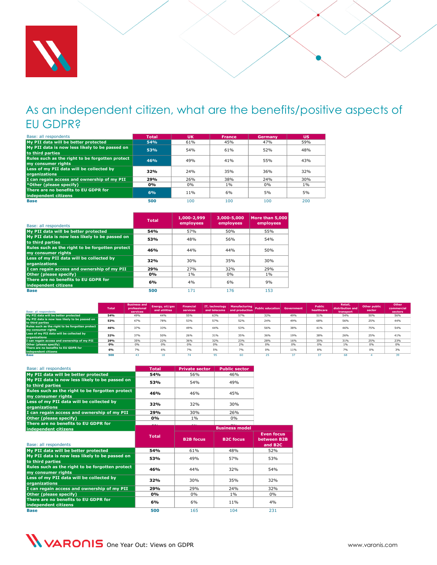

#### <span id="page-6-0"></span>As an independent citizen, what are the benefits/positive aspects of EU GDPR?

| Base: all respondents                                                 | <b>Total</b> | <b>UK</b> | <b>France</b> | Germany | <b>US</b> |
|-----------------------------------------------------------------------|--------------|-----------|---------------|---------|-----------|
| My PII data will be better protected                                  | 54%          | 61%       | 45%           | 47%     | 59%       |
| My PII data is now less likely to be passed on<br>to third parties    | 53%          | 54%       | 61%           | 52%     | 48%       |
| Rules such as the right to be forgotten protect<br>my consumer rights | 46%          | 49%       | 41%           | 55%     | 43%       |
| Less of my PII data will be collected by<br><b>organizations</b>      | 32%          | 24%       | 35%           | 36%     | 32%       |
| I can regain access and ownership of my PII                           | 29%          | 26%       | 38%           | 24%     | 30%       |
| *Other (please specify)                                               | 0%           | 0%        | $1\%$         | 0%      | $1\%$     |
| There are no benefits to EU GDPR for<br>independent citizens          | 6%           | 11%       | 6%            | 5%      | 5%        |
| <b>Base</b>                                                           | 500          | 100       | 100           | 100     | 200       |

| Base: all respondents                                                 | <b>Total</b> | 1,000-2,999<br>employees | 3,000-5,000<br>employees | More than 5,000<br>employees |
|-----------------------------------------------------------------------|--------------|--------------------------|--------------------------|------------------------------|
| My PII data will be better protected                                  | 54%          | 57%                      | 50%                      | 55%                          |
| My PII data is now less likely to be passed on<br>to third parties    | 53%          | 48%                      | 56%                      | 54%                          |
| Rules such as the right to be forgotten protect<br>my consumer rights | 46%          | 44%                      | 44%                      | 50%                          |
| Less of my PII data will be collected by<br>organizations             | 32%          | 30%                      | 35%                      | 30%                          |
| I can regain access and ownership of my PII                           | 29%          | 27%                      | 32%                      | 29%                          |
| Other (please specify)                                                | 0%           | $1\%$                    | 0%                       | $1\%$                        |
| There are no benefits to EU GDPR for<br>independent citizens          | 6%           | 4%                       | 6%                       | 9%                           |
| <b>Base</b>                                                           | 500          | 171                      | 176                      | 153                          |

| Base: all respondents                                                 | <b>Total</b> | <b>Business and</b><br>professional<br>services | Energy, oil/gas<br>and utilities | <b>Financial</b><br>services | IT, technology | and telecoms and production | Manufacturing Public education Government |     | <b>Public</b><br>healthcare | <b>Retail.</b><br>distribution and<br>transport | Other public<br>sector | Other<br>commercial<br>sectors |
|-----------------------------------------------------------------------|--------------|-------------------------------------------------|----------------------------------|------------------------------|----------------|-----------------------------|-------------------------------------------|-----|-----------------------------|-------------------------------------------------|------------------------|--------------------------------|
| My PII data will be better protected                                  | 54%          | 49%                                             | 44%                              | 55%                          | 63%            | 57%                         | 32%                                       | 49% | 51%                         | 54%                                             | 50%                    | 56%                            |
| My PII data is now less likely to be passed on<br>to third parties    | 53%          | 47%                                             | 78%                              | 53%                          | 57%            | 52%                         | 24%                                       | 49% | 68%                         | 56%                                             | 25%                    | 44%                            |
| Rules such as the right to be forgotten protect<br>my consumer rights | 46%          | 37%                                             | 33%                              | 49%                          | 44%            | 53%                         | 56%                                       | 38% | 41%                         | 46%                                             | 75%                    | 54%                            |
| Less of my PII data will be collected by<br>organizations             | 32%          | 37%                                             | 50%                              | 26%                          | 31%            | 35%                         | 36%                                       | 19% | 38%                         | 26%                                             | 25%                    | 41%                            |
| I can regain access and ownership of my PII                           | 29%          | 35%                                             | 22%                              | 36%                          | 32%            | 23%                         | 28%                                       | 16% | 35%                         | 31%                                             | 25%                    | 23%                            |
| Other (please specify)                                                | 0%           | 0%                                              | 0%                               | 0%                           | 0%             | 2%                          | 0%                                        | 0%  | 0%                          | 1%                                              | 0%                     | 0%                             |
| There are no benefits to EU GDPR for<br>independent citizens          | 6%           | 7%                                              | 6%                               | 7%                           | 5%             | 7%                          | 0%                                        | 11% | 8%                          | 7%                                              | 0%                     | 3%                             |
| Base                                                                  | 500          |                                                 |                                  |                              |                |                             |                                           |     |                             | 68                                              |                        |                                |

| Base: all respondents                                                 | <b>Total</b> | <b>Private sector</b> | <b>Public sector</b>  |                                                         |
|-----------------------------------------------------------------------|--------------|-----------------------|-----------------------|---------------------------------------------------------|
| My PII data will be better protected                                  | 54%          | 56%                   | 46%                   |                                                         |
| My PII data is now less likely to be passed on<br>to third parties    | 53%          | 54%                   | 49%                   |                                                         |
| Rules such as the right to be forgotten protect<br>my consumer rights | 46%          | 46%                   | 45%                   |                                                         |
| Less of my PII data will be collected by<br>organizations             | 32%          | 32%                   | 30%                   |                                                         |
| I can regain access and ownership of my PII                           | 29%          | 30%                   | 26%                   |                                                         |
| Other (please specify)                                                | 0%           | 1%                    | 0%                    |                                                         |
| There are no benefits to EU GDPR for                                  |              |                       | <b>Business model</b> |                                                         |
| independent citizens                                                  |              |                       |                       |                                                         |
| Base: all respondents                                                 | <b>Total</b> | <b>B2B focus</b>      | <b>B2C</b> focus      | <b>Even focus</b><br>between B2B<br>and B <sub>2C</sub> |
| My PII data will be better protected                                  | 54%          | 61%                   | 48%                   | 52%                                                     |
| My PII data is now less likely to be passed on<br>to third parties    | 53%          | 49%                   | 57%                   | 53%                                                     |
| Rules such as the right to be forgotten protect<br>my consumer rights | 46%          | 44%                   | 32%                   | 54%                                                     |
| Less of my PII data will be collected by<br>organizations             | 32%          | 30%                   | 35%                   | 32%                                                     |
| I can regain access and ownership of my PII                           | 29%          | 29%                   | 24%                   | 32%                                                     |
| Other (please specify)                                                | 0%           | 0%                    | $1\%$                 | 0%                                                      |
| There are no benefits to EU GDPR for<br>independent citizens          | 6%           | 6%                    | 11%                   | 4%                                                      |
| <b>Base</b>                                                           | 500          | 165                   | 104                   | 231                                                     |

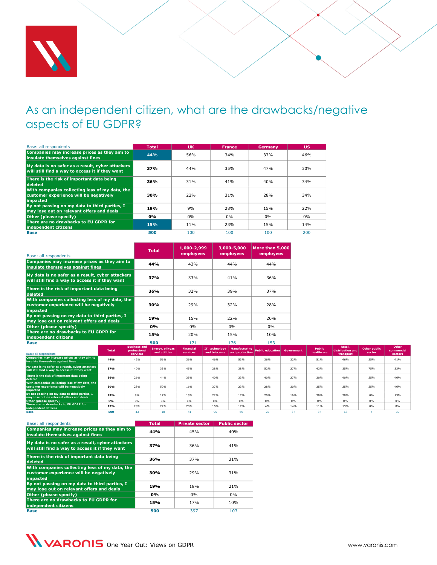

# <span id="page-7-0"></span>As an independent citizen, what are the drawbacks/negative aspects of EU GDPR?

| Base: all respondents                                                                                       | <b>Total</b> | <b>UK</b> | <b>France</b> | Germany | <b>US</b> |
|-------------------------------------------------------------------------------------------------------------|--------------|-----------|---------------|---------|-----------|
| Companies may increase prices as they aim to<br>insulate themselves against fines                           | 44%          | 56%       | 34%           | 37%     | 46%       |
| My data is no safer as a result, cyber attackers<br>will still find a way to access it if they want         | 37%          | 44%       | 35%           | 47%     | 30%       |
| There is the risk of important data being<br>deleted                                                        | 36%          | 31%       | 41%           | 40%     | 34%       |
| With companies collecting less of my data, the<br>customer experience will be negatively<br><i>impacted</i> | 30%          | 22%       | 31%           | 28%     | 34%       |
| By not passing on my data to third parties, I<br>may lose out on relevant offers and deals                  | 19%          | 9%        | 28%           | 15%     | 22%       |
| Other (please specify)                                                                                      | 0%           | $0\%$     | $0\%$         | $0\%$   | 0%        |
| There are no drawbacks to EU GDPR for<br>independent citizens                                               | 15%          | 11%       | 23%           | 15%     | 14%       |
| <b>Base</b>                                                                                                 | 500          | 100       | 100           | 100     | 200       |

| Base: all respondents                                                                                | <b>Total</b> | 1,000-2,999<br>employees | 3,000-5,000<br>employees | More than 5,000<br>employees |
|------------------------------------------------------------------------------------------------------|--------------|--------------------------|--------------------------|------------------------------|
| Companies may increase prices as they aim to<br>insulate themselves against fines                    | 44%          | 43%                      | 44%                      | 44%                          |
| My data is no safer as a result, cyber attackers<br>will still find a way to access it if they want  | 37%          | 33%                      | 41%                      | 36%                          |
| There is the risk of important data being<br>deleted                                                 | 36%          | 32%                      | 39%                      | 37%                          |
| With companies collecting less of my data, the<br>customer experience will be negatively<br>impacted | 30%          | 29%                      | 32%                      | 28%                          |
| By not passing on my data to third parties, I<br>may lose out on relevant offers and deals           | 19%          | 15%                      | 22%                      | 20%                          |
| Other (please specify)                                                                               | 0%           | 0%                       | $0\%$                    | 0%                           |
| There are no drawbacks to EU GDPR for<br>independent citizens                                        | 15%          | 20%                      | 15%                      | 10%                          |
| <b>Base</b>                                                                                          | 500          | 171                      | 176                      | 153                          |

| Base: all respondents                                                                                       | <b>Total</b> | <b>Business and</b><br>professional<br>services | Energy, oil/gas<br>and utilities | <b>Financial</b><br>services | IT, technology<br>and telecoms | and production | Manufacturing Public education Government |     | Public<br>healthcare | Retail.<br>distribution and<br>transport | Other public<br>sector | Other<br>commercial<br>sectors |
|-------------------------------------------------------------------------------------------------------------|--------------|-------------------------------------------------|----------------------------------|------------------------------|--------------------------------|----------------|-------------------------------------------|-----|----------------------|------------------------------------------|------------------------|--------------------------------|
| Companies may increase prices as they aim to<br>insulate themselves against fines                           | 44%          | 42%                                             | 56%                              | 36%                          | 46%                            | 53%            | 36%                                       | 32% | 51%                  | 46%                                      | 25%                    | 41%                            |
| My data is no safer as a result, cyber attackers<br>will still find a way to access it if they want         | 37%          | 40%                                             | 33%                              | 45%                          | 28%                            | 38%            | 52%                                       | 27% | 43%                  | 35%                                      | 75%                    | 33%                            |
| There is the risk of important data being<br>deleted                                                        | 36%          | 26%                                             | 44%                              | 35%                          | 40%                            | 33%            | 40%                                       | 27% | 30%                  | 40%                                      | 25%                    | 46%                            |
| With companies collecting less of my data, the<br>customer experience will be negatively<br><i>impacted</i> | 30%          | 28%                                             | 50%                              | 16%                          | 37%                            | 23%            | 28%                                       | 30% | 35%                  | 25%                                      | 25%                    | 46%                            |
| By not passing on my data to third parties, I<br>may lose out on relevant offers and deals                  | 19%          | 9%                                              | 17%                              | 15%                          | 22%                            | 17%            | 20%                                       | 16% | 30%                  | 28%                                      | 0%                     | 13%                            |
| Other (please specify)                                                                                      | 0%           | 0%                                              | 0%                               | 0%                           | 0%                             | 0%             | 0%                                        | 0%  | 0%                   | 0%                                       | 0%                     | 0%                             |
| There are no drawbacks to EU GDPR for<br>independent citizens                                               | 15%          | 28%                                             | 22%                              | 20%                          | 15%                            | 17%            | 4%                                        | 14% | 11%                  | 13%                                      | 0%                     | 8%                             |

**Base 500** 43 18 74 95 60 25 37 37 68 4 39

| Base: all respondents                                                                                | <b>Total</b> | <b>Private sector</b> | <b>Public sector</b> |
|------------------------------------------------------------------------------------------------------|--------------|-----------------------|----------------------|
| Companies may increase prices as they aim to<br>insulate themselves against fines                    | 44%          | 45%                   | 40%                  |
| My data is no safer as a result, cyber attackers<br>will still find a way to access it if they want  | 37%          | 36%                   | 41%                  |
| There is the risk of important data being<br>deleted                                                 | 36%          | 37%                   | 31%                  |
| With companies collecting less of my data, the<br>customer experience will be negatively<br>impacted | 30%          | 29%                   | 31%                  |
| By not passing on my data to third parties, I<br>may lose out on relevant offers and deals           | 19%          | 18%                   | 21%                  |
| Other (please specify)                                                                               | 0%           | 0%                    | 0%                   |
| There are no drawbacks to EU GDPR for<br>independent citizens                                        | 15%          | 17%                   | 10%                  |
| <b>Base</b>                                                                                          | 500          | 397                   | 103                  |

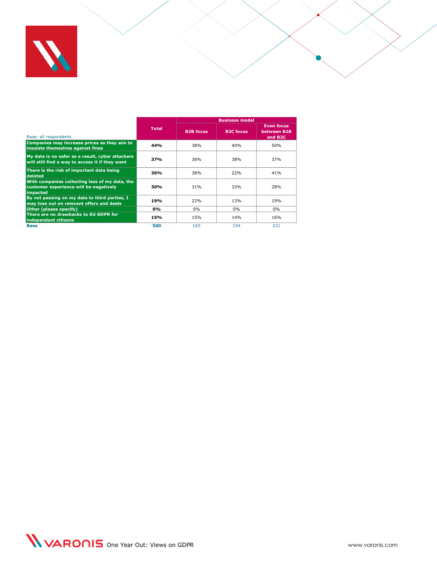

|                                                                                                      |              | <b>Business model</b> |                  |                                                         |  |  |  |
|------------------------------------------------------------------------------------------------------|--------------|-----------------------|------------------|---------------------------------------------------------|--|--|--|
| Base: all respondents                                                                                | <b>Total</b> | <b>B2B focus</b>      | <b>B2C focus</b> | <b>Even focus</b><br>between B2B<br>and B <sub>2C</sub> |  |  |  |
| Companies may increase prices as they aim to<br>insulate themselves against fines                    | 44%          | 38%                   | 40%              | 50%                                                     |  |  |  |
| My data is no safer as a result, cyber attackers<br>will still find a way to access it if they want  | 37%          | 36%                   | 38%              | 37%                                                     |  |  |  |
| There is the risk of important data being<br>deleted                                                 | 36%          | 38%                   | 22%              | 41%                                                     |  |  |  |
| With companies collecting less of my data, the<br>customer experience will be negatively<br>impacted | 30%          | 31%                   | 33%              | 28%                                                     |  |  |  |
| By not passing on my data to third parties, I<br>may lose out on relevant offers and deals           | 19%          | 22%                   | 13%              | 19%                                                     |  |  |  |
| Other (please specify)                                                                               | 0%           | 0%                    | 0%               | $0\%$                                                   |  |  |  |
| There are no drawbacks to EU GDPR for<br>independent citizens                                        | 15%          | 15%                   | 14%              | 16%                                                     |  |  |  |
| <b>Base</b>                                                                                          | 500          | 165                   | 104              | 231                                                     |  |  |  |

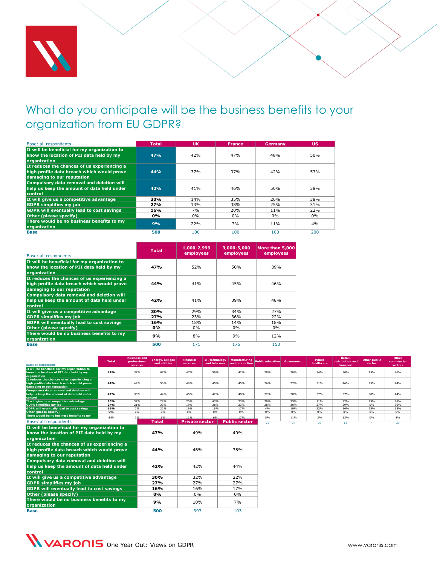

# <span id="page-9-1"></span><span id="page-9-0"></span>What do you anticipate will be the business benefits to your organization from EU GDPR?

| Base: all respondents                                                                                                   | <b>Total</b> | <b>UK</b> | <b>France</b> | Germany | <b>US</b> |
|-------------------------------------------------------------------------------------------------------------------------|--------------|-----------|---------------|---------|-----------|
| It will be beneficial for my organization to<br>know the location of PII data held by my<br>organization                | 47%          | 42%       | 47%           | 48%     | 50%       |
| It reduces the chances of us experiencing a<br>high profile data breach which would prove<br>damaging to our reputation | 44%          | 37%       | 37%           | 42%     | 53%       |
| Compulsory data removal and deletion will<br>help us keep the amount of data held under<br>control                      | 42%          | 41%       | 46%           | 50%     | 38%       |
| It will give us a competitive advantage                                                                                 | 30%          | 14%       | 35%           | 26%     | 38%       |
| <b>GDPR</b> simplifies my job                                                                                           | <b>27%</b>   | 13%       | 38%           | 25%     | 31%       |
| <b>GDPR will eventually lead to cost savings</b>                                                                        | 16%          | 7%        | 20%           | 11%     | 22%       |
| Other (please specify)                                                                                                  | $0\%$        | 0%        | $0\%$         | $0\%$   | $0\%$     |
| There would be no business benefits to my<br>organization                                                               | 9%           | 22%       | 7%            | 11%     | 4%        |
| <b>Base</b>                                                                                                             | 500          | 100       | 100           | 100     | 200       |

| Base: all respondents                                                                                                   | <b>Total</b> | 1,000-2,999<br>employees | 3,000-5,000<br>employees | More than 5.000<br>employees |
|-------------------------------------------------------------------------------------------------------------------------|--------------|--------------------------|--------------------------|------------------------------|
| It will be beneficial for my organization to<br>know the location of PII data held by my<br>organization                | 47%          | 52%                      | 50%                      | 39%                          |
| It reduces the chances of us experiencing a<br>high profile data breach which would prove<br>damaging to our reputation | 44%          | 41%                      | 45%                      | 46%                          |
| Compulsory data removal and deletion will<br>help us keep the amount of data held under<br>control                      | 42%          | 41%                      | 39%                      | 48%                          |
| It will give us a competitive advantage                                                                                 | 30%          | 29%                      | 34%                      | 27%                          |
| <b>GDPR</b> simplifies my job                                                                                           | 27%          | 23%                      | 36%                      | 22%                          |
| <b>GDPR</b> will eventually lead to cost savings                                                                        | 16%          | 18%                      | 14%                      | 18%                          |
| Other (please specify)                                                                                                  | 0%           | 0%                       | $0\%$                    | $0\%$                        |
| There would be no business benefits to my<br>organization                                                               | 9%           | 8%                       | 9%                       | 12%                          |
| <b>Base</b>                                                                                                             | 500          | 171                      | 176                      | 153                          |

| Base: all respondents                                     | <b>Total</b> | <b>Business and</b><br>professional<br>services | Energy, oil/gas<br>and utilities | <b>Financial</b><br>services | IT. technology<br>and telecoms | <b>Manufacturing</b><br>and production | <b>Public education</b> | <b>Government</b> | <b>Public</b><br>healthcare | Retail.<br>distribution and<br>transport | <b>Other public</b><br>sector | Other<br>commercial<br>sectors |
|-----------------------------------------------------------|--------------|-------------------------------------------------|----------------------------------|------------------------------|--------------------------------|----------------------------------------|-------------------------|-------------------|-----------------------------|------------------------------------------|-------------------------------|--------------------------------|
| It will be beneficial for my organization to              |              |                                                 |                                  |                              |                                |                                        |                         |                   |                             |                                          |                               |                                |
| know the location of PII data held by my                  | 47%          | 37%                                             | 67%                              | 47%                          | 59%                            | 42%                                    | 28%                     | 30%               | 54%                         | 50%                                      | 75%                           | 46%                            |
| organization                                              |              |                                                 |                                  |                              |                                |                                        |                         |                   |                             |                                          |                               |                                |
| It reduces the chances of us experiencing a               |              |                                                 |                                  |                              |                                |                                        |                         |                   |                             |                                          |                               |                                |
| high profile data breach which would prove                | 44%          | 44%                                             | 50%                              | 49%                          | 45%                            | 45%                                    | 36%                     | 27%               | 51%                         | 46%                                      | 25%                           | 44%                            |
| damaging to our reputation                                |              |                                                 |                                  |                              |                                |                                        |                         |                   |                             |                                          |                               |                                |
| Compulsory data removal and deletion will                 |              |                                                 |                                  |                              |                                |                                        |                         |                   |                             |                                          |                               |                                |
| help us keep the amount of data held under                | 42%          | 35%                                             | 44%                              | 45%                          | 42%                            | 48%                                    | 32%                     | 38%               | 57%                         | 37%                                      | 50%                           | 44%                            |
| control<br>It will give us a competitive advantage        | 30%          | 37%                                             | 28%                              | 20%                          | 43%                            | 23%                                    | 20%                     | 35%               | 11%                         | 32%                                      | 25%                           | 36%                            |
| <b>GDPR</b> simplifies my job                             | 27%          | 21%                                             | 33%                              | 19%                          | 38%                            | 23%                                    | 28%                     | 30%               | 27%                         | 29%                                      | 0%                            | 26%                            |
| GDPR will eventually lead to cost savings                 | 16%          | 7%                                              | 22%                              | 19%                          | 18%                            | 17%                                    | 4%                      | 19%               | 22%                         | 16%                                      | 25%                           | 15%                            |
| Other (please specify)                                    | 0%           | 0%                                              | 0%                               | 0%                           | 0%                             | 0%                                     | 0%                      | 0%                | 0%                          | 0%                                       | 0%                            | 0%                             |
| There would be no business benefits to my                 | 9%           | 7%                                              | 6%                               | 11%                          | 6%                             | 17%                                    | 8%                      | 11%               | 3%                          | 13%                                      | 0%                            | 8%                             |
| Base: all respondents                                     |              |                                                 | <b>Total</b>                     | <b>Private sector</b>        |                                | <b>Public sector</b>                   | 25                      | 37                | 37                          | 68                                       | $\Delta$                      | 39                             |
| It will be beneficial for my organization to              |              |                                                 |                                  |                              |                                |                                        |                         |                   |                             |                                          |                               |                                |
| know the location of PII data held by my<br>organization  |              |                                                 | 47%                              | 49%                          |                                | 40%                                    |                         |                   |                             |                                          |                               |                                |
| It reduces the chances of us experiencing a               |              |                                                 |                                  |                              |                                |                                        |                         |                   |                             |                                          |                               |                                |
| high profile data breach which would prove                |              |                                                 | 44%                              | 46%                          |                                | 38%                                    |                         |                   |                             |                                          |                               |                                |
| damaging to our reputation                                |              |                                                 |                                  |                              |                                |                                        |                         |                   |                             |                                          |                               |                                |
| Compulsory data removal and deletion will                 |              |                                                 |                                  |                              |                                |                                        |                         |                   |                             |                                          |                               |                                |
| help us keep the amount of data held under                |              |                                                 | 42%                              | 42%                          |                                | 44%                                    |                         |                   |                             |                                          |                               |                                |
| control                                                   |              |                                                 |                                  |                              |                                |                                        |                         |                   |                             |                                          |                               |                                |
| It will give us a competitive advantage                   |              |                                                 | 30%                              | 32%                          |                                | 22%                                    |                         |                   |                             |                                          |                               |                                |
| <b>GDPR simplifies my job</b>                             |              |                                                 | 27%                              | 27%                          |                                | 27%                                    |                         |                   |                             |                                          |                               |                                |
| <b>GDPR will eventually lead to cost savings</b>          |              |                                                 | 16%                              | 16%                          |                                | 17%                                    |                         |                   |                             |                                          |                               |                                |
| Other (please specify)                                    |              |                                                 | 0%                               | $0\%$                        |                                | $0\%$                                  |                         |                   |                             |                                          |                               |                                |
| There would be no business benefits to my<br>organization |              |                                                 | 9%                               | 10%                          |                                | 7%                                     |                         |                   |                             |                                          |                               |                                |



**Base 500** 397 103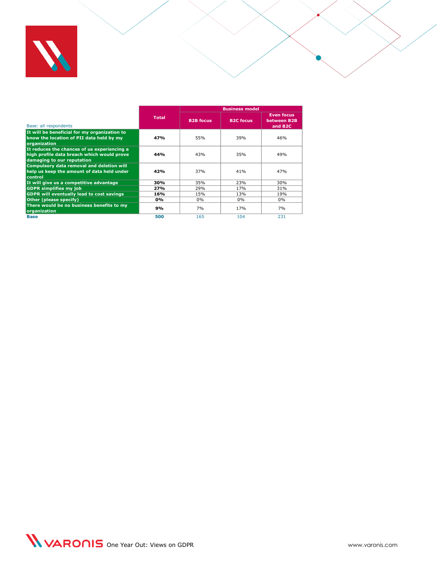

|                                                                                                                         |              | <b>Business model</b> |                  |                                                         |  |  |  |
|-------------------------------------------------------------------------------------------------------------------------|--------------|-----------------------|------------------|---------------------------------------------------------|--|--|--|
| Base: all respondents                                                                                                   | <b>Total</b> | <b>B2B</b> focus      | <b>B2C focus</b> | <b>Even focus</b><br>between B2B<br>and B <sub>2C</sub> |  |  |  |
| It will be beneficial for my organization to<br>know the location of PII data held by my<br>organization                | 47%          | 55%                   | 39%              | 46%                                                     |  |  |  |
| It reduces the chances of us experiencing a<br>high profile data breach which would prove<br>damaging to our reputation | 44%          | 43%                   | 35%              | 49%                                                     |  |  |  |
| Compulsory data removal and deletion will<br>help us keep the amount of data held under<br>control                      | 42%          | 37%                   | 41%              | 47%                                                     |  |  |  |
| It will give us a competitive advantage                                                                                 | 30%          | 35%                   | 23%              | 30%                                                     |  |  |  |
| <b>GDPR</b> simplifies my job                                                                                           | 27%          | 29%                   | 17%              | 31%                                                     |  |  |  |
| <b>GDPR will eventually lead to cost savings</b>                                                                        | 16%          | 15%                   | 13%              | 19%                                                     |  |  |  |
| Other (please specify)                                                                                                  | $0\%$        | $0\%$                 | $0\%$            | $0\%$                                                   |  |  |  |
| There would be no business benefits to my<br>organization                                                               | 9%           | 7%                    | 17%              | 7%                                                      |  |  |  |
| <b>Base</b>                                                                                                             | 500          | 165                   | 104              | 231                                                     |  |  |  |

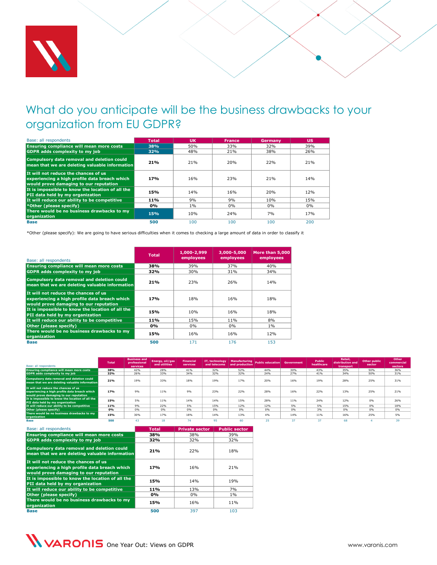

# <span id="page-11-0"></span>What do you anticipate will be the business drawbacks to your organization from EU GDPR?

| Base: all respondents                                                                                                           | <b>Total</b> | <b>UK</b>       | <b>France</b> | Germany | <b>US</b> |
|---------------------------------------------------------------------------------------------------------------------------------|--------------|-----------------|---------------|---------|-----------|
| <b>Ensuring compliance will mean more costs</b>                                                                                 | 38%          | 50%             | 33%           | 32%     | 39%       |
| <b>GDPR</b> adds complexity to my job                                                                                           | 32%          | 48%             | 21%           | 38%     | 26%       |
| Compulsory data removal and deletion could<br>mean that we are deleting valuable information                                    | 21%          | 21%             | 20%           | 22%     | 21%       |
| It will not reduce the chances of us<br>experiencing a high profile data breach which<br>would prove damaging to our reputation | 17%          | 16%             | 23%           | 21%     | 14%       |
| It is impossible to know the location of all the<br>PII data held by my organization                                            | 15%          | 14 <sub>%</sub> | 16%           | 20%     | 12%       |
| It will reduce our ability to be competitive                                                                                    | 11%          | 9%              | 9%            | 10%     | 15%       |
| *Other (please specify)                                                                                                         | 0%           | 1%              | 0%            | $0\%$   | $0\%$     |
| There would be no business drawbacks to my<br>organization                                                                      | <b>15%</b>   | 10%             | 24%           | 7%      | 17%       |
| <b>Base</b>                                                                                                                     | 500          | 100             | 100           | 100     | 200       |

\*Other (please specify): We are going to have serious difficulties when it comes to checking a large amount of data in order to classify it

| Base: all respondents                                                                                                           | <b>Total</b>    | 1,000-2,999<br>employees | 3,000-5,000<br>employees | More than 5,000<br>employees |
|---------------------------------------------------------------------------------------------------------------------------------|-----------------|--------------------------|--------------------------|------------------------------|
| <b>Ensuring compliance will mean more costs</b>                                                                                 | 38%             | 39%                      | 37%                      | 40%                          |
| <b>GDPR</b> adds complexity to my job                                                                                           | 32%             | 30%                      | 31%                      | 34%                          |
| Compulsory data removal and deletion could<br>mean that we are deleting valuable information                                    | 21%             | 23%                      | 26%                      | 14%                          |
| It will not reduce the chances of us<br>experiencing a high profile data breach which<br>would prove damaging to our reputation | 17 <sub>%</sub> | 18%                      | 16%                      | 18%                          |
| It is impossible to know the location of all the<br>PII data held by my organization                                            | 15%             | 10%                      | 16%                      | 18%                          |
| It will reduce our ability to be competitive                                                                                    | 11%             | 15%                      | 11%                      | 8%                           |
| Other (please specify)                                                                                                          | 0%              | 0%                       | 0%                       | 1%                           |
| There would be no business drawbacks to my<br>organization                                                                      | 15%             | 16%                      | 16%                      | 12%                          |
| <b>Base</b>                                                                                                                     | 500             | 171                      | 176                      | 153                          |

| Base: all respondents                                                                                                           | <b>Total</b> | <b>Business and</b><br>professional<br>services | Energy, oil/gas<br>and utilities | <b>Financial</b><br>services | IT, technology<br>and telecoms | <b>Manufacturing</b><br>and production | <b>Public education</b> Government |     | Public<br>healthcare | Retail.<br>distribution and<br>transport | Other public<br>sector | Other<br>commercial<br>sectors |
|---------------------------------------------------------------------------------------------------------------------------------|--------------|-------------------------------------------------|----------------------------------|------------------------------|--------------------------------|----------------------------------------|------------------------------------|-----|----------------------|------------------------------------------|------------------------|--------------------------------|
| <b>Ensuring compliance will mean more costs</b>                                                                                 | 38%          | 42%                                             | 28%                              | 41%                          | 32%                            | 52%                                    | 44%                                | 30% | 43%                  | 35%                                      | 50%                    | 36%                            |
| <b>GDPR</b> adds complexity to my job                                                                                           | 32%          | 26%                                             | 33%                              | 34%                          | 32%                            | 32%                                    | 24%                                | 27% | 41%                  | 34%                                      | 50%                    | 31%                            |
| <b>Compulsory data removal and deletion could</b><br>mean that we are deleting valuable information                             | 21%          | 19%                                             | 33%                              | 18%                          | 19%                            | 17%                                    | 20%                                | 16% | <b>19%</b>           | 28%                                      | 25%                    | 31%                            |
| It will not reduce the chances of us<br>experiencing a high profile data breach which<br>would prove damaging to our reputation | 17%          | 9%                                              | 11%                              | 9%                           | 23%                            | 22%                                    | 28%                                | 16% | 22%                  | 13%                                      | 25%                    | 21%                            |
| It is impossible to know the location of all the<br>PII data held by my organization                                            | 15%          | 5%                                              | 11%                              | 14%                          | 14%                            | 15%                                    | 28%                                | 11% | 24%                  | 12%                                      | 0%                     | 26%                            |
| It will reduce our ability to be competitive                                                                                    | 11%          | 9%                                              | 22%                              | 5%                           | 15%                            | 12%                                    | 12%                                | 5%  | 5%                   | 15%                                      | 0%                     | 18%                            |
| Other (please specify)                                                                                                          | 0%           | 0%                                              | 0%                               | 0%                           | 0%                             | 0%                                     | 0%                                 | 0%  | 3%                   | 0%                                       | 0%                     | 0%                             |
| There would be no business drawbacks to my<br>organization                                                                      | 15%          | 30%                                             | 17%                              | 18%                          | 14%                            | 13%                                    | 4%                                 | 14% | 11%                  | 16%                                      | 25%                    | 5%                             |
| Base                                                                                                                            | 500          | 43                                              | 18                               | 74                           | 95                             | 60                                     | 25                                 | 37  |                      | 68                                       |                        | 39                             |

| Base: all respondents                                                                                                           | <b>Total</b> | <b>Private sector</b> | <b>Public sector</b> |
|---------------------------------------------------------------------------------------------------------------------------------|--------------|-----------------------|----------------------|
| <b>Ensuring compliance will mean more costs</b>                                                                                 | 38%          | 38%                   | 39%                  |
| <b>GDPR</b> adds complexity to my job                                                                                           | 32%          | 32%                   | 32%                  |
| Compulsory data removal and deletion could<br>mean that we are deleting valuable information                                    | 21%          | 22%                   | 18%                  |
| It will not reduce the chances of us<br>experiencing a high profile data breach which<br>would prove damaging to our reputation | 17%          | 16%                   | 21%                  |
| It is impossible to know the location of all the<br>PII data held by my organization                                            | 15%          | 14%                   | 19%                  |
| It will reduce our ability to be competitive                                                                                    | 11%          | 13%                   | 7%                   |
| Other (please specify)                                                                                                          | $0\%$        | 0%                    | $1\%$                |
| There would be no business drawbacks to my<br>organization                                                                      | 15%          | 16%                   | 11%                  |
| <b>Base</b>                                                                                                                     | 500          | 397                   | 103                  |

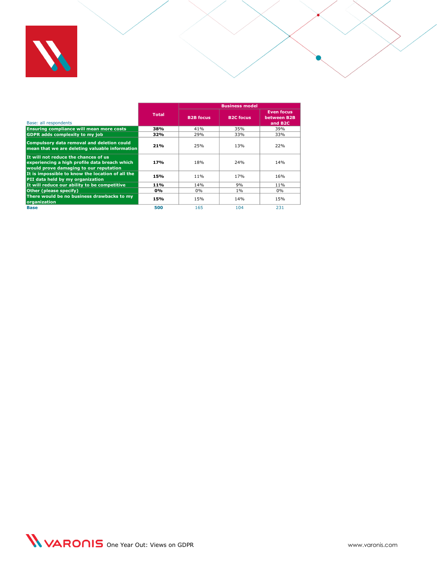

|                                                                                                                                 |              | <b>Business model</b> |                  |                                                         |  |
|---------------------------------------------------------------------------------------------------------------------------------|--------------|-----------------------|------------------|---------------------------------------------------------|--|
| Base: all respondents                                                                                                           | <b>Total</b> | <b>B2B</b> focus      | <b>B2C focus</b> | <b>Even focus</b><br>between B2B<br>and B <sub>2C</sub> |  |
| Ensuring compliance will mean more costs                                                                                        | 38%          | 41%                   | 35%              | 39%                                                     |  |
| <b>GDPR</b> adds complexity to my job                                                                                           | 32%          | 29%                   | 33%              | 33%                                                     |  |
| Compulsory data removal and deletion could<br>mean that we are deleting valuable information                                    | 21%          | 25%                   | 13%              | 22%                                                     |  |
| It will not reduce the chances of us<br>experiencing a high profile data breach which<br>would prove damaging to our reputation | 17%          | 18%                   | 24%              | 14%                                                     |  |
| It is impossible to know the location of all the<br>PII data held by my organization                                            | 15%          | 11%                   | 17%              | 16%                                                     |  |
| It will reduce our ability to be competitive                                                                                    | 11%          | 14%                   | 9%               | 11%                                                     |  |
| Other (please specify)                                                                                                          | 0%           | 0%                    | $1\%$            | $0\%$                                                   |  |
| There would be no business drawbacks to my<br>organization                                                                      | 15%          | 15%                   | 14%              | 15%                                                     |  |
| <b>Base</b>                                                                                                                     | 500          | 165                   | 104              | 231                                                     |  |

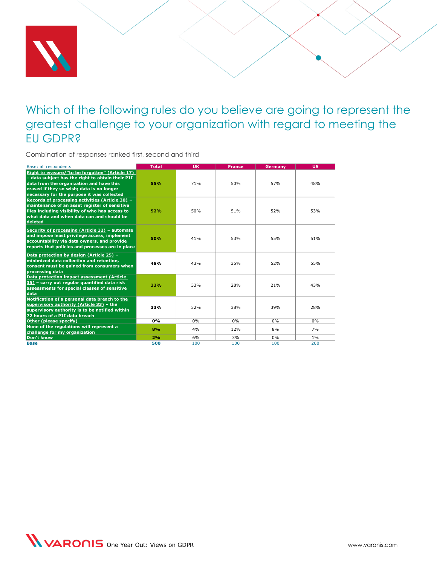

### <span id="page-13-0"></span>Which of the following rules do you believe are going to represent the greatest challenge to your organization with regard to meeting the EU GDPR?

Combination of responses ranked first, second and third

| Base: all respondents                                                                                                                                                                                                                      | <b>Total</b> | <b>UK</b> | <b>France</b> | <b>Germany</b> | <b>US</b> |
|--------------------------------------------------------------------------------------------------------------------------------------------------------------------------------------------------------------------------------------------|--------------|-----------|---------------|----------------|-----------|
| Right to erasure/"to be forgotten" (Article 17)<br>- data subject has the right to obtain their PII<br>data from the organization and have this<br>erased if they so wish; data is no longer<br>necessary for the purpose it was collected | 55%          | 71%       | 50%           | 57%            | 48%       |
| Records of processing activities (Article 30) -<br>maintenance of an asset register of sensitive<br>files including visibility of who has access to<br>what data and when data can and should be<br>deleted                                | 52%          | 50%       | 51%           | 52%            | 53%       |
| Security of processing (Article 32) - automate<br>and impose least privilege access, implement<br>accountability via data owners, and provide<br>reports that policies and processes are in place                                          | <b>50%</b>   | 41%       | 53%           | 55%            | 51%       |
| Data protection by design (Article 25) -<br>minimized data collection and retention,<br>consent must be gained from consumers when<br>processing data                                                                                      | 48%          | 43%       | 35%           | 52%            | 55%       |
| Data protection impact assessment (Article<br>35) - carry out regular quantified data risk<br>assessments for special classes of sensitive<br>data                                                                                         | 33%          | 33%       | 28%           | 21%            | 43%       |
| Notification of a personal data breach to the<br>supervisory authority (Article 33) - the<br>supervisory authority is to be notified within<br>72 hours of a PII data breach                                                               | 33%          | 32%       | 38%           | 39%            | 28%       |
| Other (please specify)                                                                                                                                                                                                                     | 0%           | 0%        | 0%            | 0%             | 0%        |
| None of the regulations will represent a<br>challenge for my organization                                                                                                                                                                  | 8%           | 4%        | 12%           | 8%             | 7%        |
| Don't know                                                                                                                                                                                                                                 | 2%           | 6%        | 3%            | 0%             | $1\%$     |
| <b>Base</b>                                                                                                                                                                                                                                | 500          | 100       | 100           | 100            | 200       |

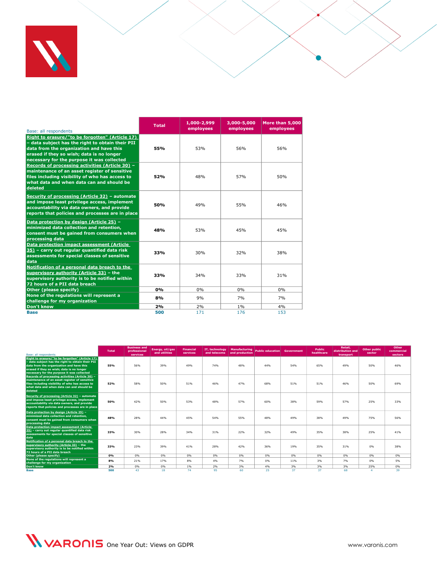

| Base: all respondents                                                                                                                                                                                                                      | <b>Total</b> | 1,000-2,999<br>employees | 3,000-5,000<br>employees | More than 5,000<br>employees |
|--------------------------------------------------------------------------------------------------------------------------------------------------------------------------------------------------------------------------------------------|--------------|--------------------------|--------------------------|------------------------------|
| Right to erasure/"to be forgotten" (Article 17)<br>- data subject has the right to obtain their PII<br>data from the organization and have this<br>erased if they so wish; data is no longer<br>necessary for the purpose it was collected | 55%          | 53%                      | 56%                      | 56%                          |
| Records of processing activities (Article 30) -<br>maintenance of an asset register of sensitive<br>files including visibility of who has access to<br>what data and when data can and should be<br>deleted                                | 52%          | 48%                      | 57%                      | 50%                          |
| Security of processing (Article 32) - automate<br>and impose least privilege access, implement<br>accountability via data owners, and provide<br>reports that policies and processes are in place                                          | 50%          | 49%                      | 55%                      | 46%                          |
| Data protection by design (Article 25) -<br>minimized data collection and retention,<br>consent must be gained from consumers when<br>processing data                                                                                      | 48%          | 53%                      | 45%                      | 45%                          |
| Data protection impact assessment (Article<br>35) - carry out regular quantified data risk<br>assessments for special classes of sensitive<br>data                                                                                         | 33%          | 30%                      | 32%                      | 38%                          |
| Notification of a personal data breach to the<br>supervisory authority (Article 33) - the<br>supervisory authority is to be notified within<br>72 hours of a PII data breach                                                               | 33%          | 34%                      | 33%                      | 31%                          |
| Other (please specify)                                                                                                                                                                                                                     | 0%           | 0%                       | 0%                       | 0%                           |
| None of the regulations will represent a<br>challenge for my organization                                                                                                                                                                  | 8%           | 9%                       | 7%                       | 7%                           |
| <b>Don't know</b>                                                                                                                                                                                                                          | 2%           | 2%                       | $1\%$                    | 4%                           |
| <b>Base</b>                                                                                                                                                                                                                                | 500          | 171                      | 176                      | 153                          |

| Base: all respondents                                                                                                                                                                                                                      | <b>Total</b> | <b>Business and</b><br>professional<br>services | Energy, oil/gas<br>and utilities | <b>Financial</b><br>services | IT, technology<br>and telecoms | Manufacturing<br>and production | Public education | Government | <b>Public</b><br>healthcare | Retail,<br>distribution and<br>transport | Other public<br>sector | Other<br>commercial<br>sectors |
|--------------------------------------------------------------------------------------------------------------------------------------------------------------------------------------------------------------------------------------------|--------------|-------------------------------------------------|----------------------------------|------------------------------|--------------------------------|---------------------------------|------------------|------------|-----------------------------|------------------------------------------|------------------------|--------------------------------|
| Right to erasure/"to be forgotten" (Article 17)<br>- data subject has the right to obtain their PII<br>data from the organization and have this<br>erased if they so wish; data is no longer<br>necessary for the purpose it was collected | 55%          | 56%                                             | 39%                              | 49%                          | 74%                            | 48%                             | 44%              | 54%        | 65%                         | 49%                                      | 50%                    | 46%                            |
| Records of processing activities (Article 30) -<br>maintenance of an asset register of sensitive<br>files including visibility of who has access to<br>what data and when data can and should be<br>deleted                                | 52%          | 58%                                             | 50%                              | 51%                          | 46%                            | 47%                             | 68%              | 51%        | 51%                         | 46%                                      | 50%                    | 69%                            |
| Security of processing (Article 32) - automate<br>and impose least privilege access, implement<br>accountability via data owners, and provide<br>reports that policies and processes are in place                                          | 50%          | 42%                                             | 50%                              | 53%                          | 48%                            | 57%                             | 60%              | 38%        | 59%                         | 57%                                      | 25%                    | 33%                            |
| Data protection by design (Article 25) -<br>minimized data collection and retention,<br>consent must be gained from consumers when<br>processing data                                                                                      | 48%          | 28%                                             | 44%                              | 45%                          | 54%                            | 55%                             | 48%              | 49%        | 38%                         | 49%                                      | 75%                    | 56%                            |
| Data protection impact assessment (Article<br>35) - carry out regular quantified data risk<br>assessments for special classes of sensitive<br>data                                                                                         | 33%          | 30%                                             | 28%                              | 34%                          | 31%                            | 22%                             | 32%              | 49%        | 35%                         | 38%                                      | 25%                    | 41%                            |
| Notification of a personal data breach to the<br>supervisory authority (Article 33) - the<br>supervisory authority is to be notified within<br>72 hours of a PII data breach                                                               | 33%          | 23%                                             | 39%                              | 41%                          | 28%                            | 42%                             | 36%              | 19%        | 35%                         | 31%                                      | 0%                     | 38%                            |
| Other (please specify)                                                                                                                                                                                                                     | 0%           | 0%                                              | 0%                               | 0%                           | 0%                             | 0%                              | 0%               | 0%         | 0%                          | 0%                                       | 0%                     | 0%                             |
| None of the regulations will represent a<br>challenge for my organization                                                                                                                                                                  | 8%           | 21%                                             | 17%                              | 8%                           | 4%                             | 7%                              | 0%               | 11%        | 3%                          | 7%                                       | 0%                     | 5%                             |
| Don't know                                                                                                                                                                                                                                 | 2%           | 0%                                              | 0%                               | 1%                           | 2%                             | 3%                              | 4%               | 3%         | 3%                          | 3%                                       | 25%                    | 0%                             |
| Base                                                                                                                                                                                                                                       | 500          | 43                                              | 18                               | 74                           | 95                             | 60                              | 25               | 37         | 37                          | 68                                       |                        | 39                             |

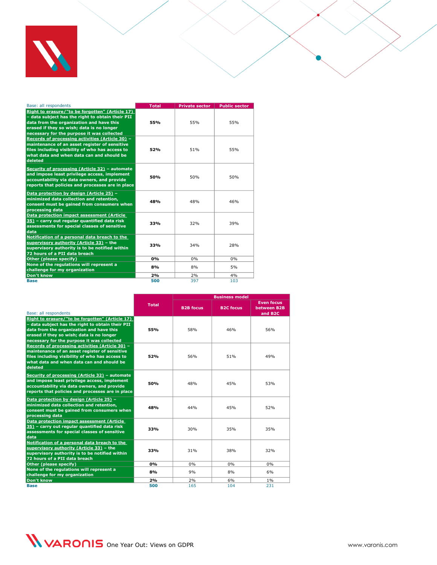

| Base: all respondents                                                                                                                                                                                                                      | <b>Total</b> | <b>Private sector</b> | <b>Public sector</b> |
|--------------------------------------------------------------------------------------------------------------------------------------------------------------------------------------------------------------------------------------------|--------------|-----------------------|----------------------|
| Right to erasure/"to be forgotten" (Article 17)<br>- data subject has the right to obtain their PII<br>data from the organization and have this<br>erased if they so wish; data is no longer<br>necessary for the purpose it was collected | 55%          | 55%                   | 55%                  |
| Records of processing activities (Article 30) -<br>maintenance of an asset register of sensitive<br>files including visibility of who has access to<br>what data and when data can and should be<br>deleted                                | 52%          | 51%                   | 55%                  |
| Security of processing (Article 32) - automate<br>and impose least privilege access, implement<br>accountability via data owners, and provide<br>reports that policies and processes are in place                                          | 50%          | 50%                   | 50%                  |
| Data protection by design (Article 25) -<br>minimized data collection and retention,<br>consent must be gained from consumers when<br>processing data                                                                                      | 48%          | 48%                   | 46%                  |
| Data protection impact assessment (Article<br>35) – carry out regular quantified data risk<br>assessments for special classes of sensitive<br>data                                                                                         | 33%          | 32%                   | 39%                  |
| Notification of a personal data breach to the<br>supervisory authority (Article 33) - the<br>supervisory authority is to be notified within<br>72 hours of a PII data breach                                                               | 33%          | 34%                   | 28%                  |
| Other (please specify)                                                                                                                                                                                                                     | 0%           | 0%                    | 0%                   |
| None of the regulations will represent a<br>challenge for my organization                                                                                                                                                                  | 8%           | 8%                    | 5%                   |
| Don't know                                                                                                                                                                                                                                 | 2%           | 2%                    | 4%                   |
| <b>Base</b>                                                                                                                                                                                                                                | 500          | 397                   | 103                  |

|                                                                                                                                                                                                                                            |              | <b>Business model</b> |                  |                                                         |  |  |
|--------------------------------------------------------------------------------------------------------------------------------------------------------------------------------------------------------------------------------------------|--------------|-----------------------|------------------|---------------------------------------------------------|--|--|
| Base: all respondents                                                                                                                                                                                                                      | <b>Total</b> | <b>B2B focus</b>      | <b>B2C focus</b> | <b>Even focus</b><br>between B2B<br>and B <sub>2C</sub> |  |  |
| Right to erasure/"to be forgotten" (Article 17)<br>- data subject has the right to obtain their PII<br>data from the organization and have this<br>erased if they so wish; data is no longer<br>necessary for the purpose it was collected | 55%          | 58%                   | 46%              | 56%                                                     |  |  |
| Records of processing activities (Article 30) -<br>maintenance of an asset register of sensitive<br>files including visibility of who has access to<br>what data and when data can and should be<br>deleted                                | 52%          | 56%                   | 51%              | 49%                                                     |  |  |
| Security of processing (Article 32) - automate<br>and impose least privilege access, implement<br>accountability via data owners, and provide<br>reports that policies and processes are in place                                          | 50%          | 48%                   | 45%              | 53%                                                     |  |  |
| Data protection by design (Article 25) -<br>minimized data collection and retention,<br>consent must be gained from consumers when<br>processing data                                                                                      | 48%          | 44%                   | 45%              | 52%                                                     |  |  |
| <b>Data protection impact assessment (Article</b><br>35) - carry out regular quantified data risk<br>assessments for special classes of sensitive<br>data                                                                                  | 33%          | 30%                   | 35%              | 35%                                                     |  |  |
| Notification of a personal data breach to the<br>supervisory authority (Article 33) - the<br>supervisory authority is to be notified within<br>72 hours of a PII data breach                                                               | 33%          | 31%                   | 38%              | 32%                                                     |  |  |
| Other (please specify)                                                                                                                                                                                                                     | 0%           | 0%                    | 0%               | 0%                                                      |  |  |
| None of the regulations will represent a<br>challenge for my organization                                                                                                                                                                  | 8%           | 9%                    | 8%               | 6%                                                      |  |  |
| <b>Don't know</b>                                                                                                                                                                                                                          | 2%           | 2%                    | 6%               | $1\%$                                                   |  |  |
| <b>Base</b>                                                                                                                                                                                                                                | 500          | 165                   | 104              | 231                                                     |  |  |

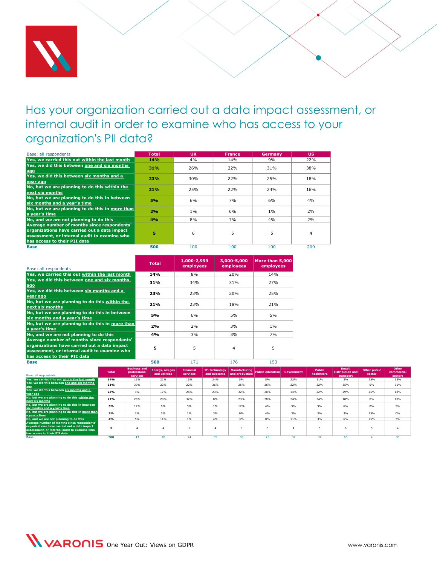

# <span id="page-16-0"></span>Has your organization carried out a data impact assessment, or internal audit in order to examine who has access to your organization's PII data?

| Base: all respondents                                                                                                                                                       | <b>Total</b> | <b>UK</b> | <b>France</b> | Germany | <b>US</b> |
|-----------------------------------------------------------------------------------------------------------------------------------------------------------------------------|--------------|-----------|---------------|---------|-----------|
| Yes, we carried this out within the last month                                                                                                                              | 14%          | 4%        | 14%           | 9%      | 22%       |
| Yes, we did this between one and six months<br>ago                                                                                                                          | 31%          | 26%       | 22%           | 31%     | 38%       |
| Yes, we did this between six months and a<br>vear ago                                                                                                                       | 23%          | 30%       | 22%           | 25%     | 18%       |
| No, but we are planning to do this within the<br>next six months                                                                                                            | 21%          | 25%       | 22%           | 24%     | 16%       |
| No, but we are planning to do this in between<br>six months and a year's time                                                                                               | 5%           | 6%        | 7%            | 6%      | 4%        |
| No, but we are planning to do this in more than<br>a vear's time                                                                                                            | 2%           | $1\%$     | 6%            | $1\%$   | 2%        |
| No, and we are not planning to do this                                                                                                                                      | 4%           | 8%        | 7%            | 4%      | 2%        |
| Average number of months since respondents'<br>organizations have carried out a data impact<br>assessment, or internal audit to examine who<br>has access to their PII data | Б            | 6         | 5             | 5       | 4         |
| <b>Base</b>                                                                                                                                                                 | 500          | 100       | 100           | 100     | 200       |

| Base: all respondents                                                                                                                                                       | <b>Total</b> | 1,000-2,999<br>employees | 3,000-5,000<br>employees | More than 5,000<br>employees |
|-----------------------------------------------------------------------------------------------------------------------------------------------------------------------------|--------------|--------------------------|--------------------------|------------------------------|
| Yes, we carried this out within the last month                                                                                                                              | 14%          | 8%                       | 20%                      | 14%                          |
| Yes, we did this between one and six months<br>ago                                                                                                                          | 31%          | 34%                      | 31%                      | 27%                          |
| Yes, we did this between six months and a<br>year ago                                                                                                                       | 23%          | 23%                      | 20%                      | 25%                          |
| No, but we are planning to do this within the<br>next six months                                                                                                            | 21%          | 23%                      | 18%                      | 21%                          |
| No, but we are planning to do this in between<br>six months and a vear's time                                                                                               | 5%           | 6%                       | 5%                       | 5%                           |
| No, but we are planning to do this in more than<br>la vear's time                                                                                                           | 2%           | 2%                       | 3%                       | $1\%$                        |
| No, and we are not planning to do this                                                                                                                                      | 4%           | 3%                       | 3%                       | 7%                           |
| Average number of months since respondents'<br>organizations have carried out a data impact<br>assessment, or internal audit to examine who<br>has access to their PII data | 5            | 5                        | 4                        | 5                            |
| <b>Base</b>                                                                                                                                                                 | 500          | 171                      | 176                      | 153                          |

| Base: all respondents                                                         | <b>Total</b> | <b>Business and</b><br>professional<br>services | Energy, oil/gas<br>and utilities | <b>Financial</b><br>services | IT, technology<br>and telecoms | Manufacturing<br>and production | Public education Government |     | <b>Public</b><br>healthcare | Retail,<br>distribution and<br>transport | Other public<br>sector | Other<br>commercial<br>sectors |
|-------------------------------------------------------------------------------|--------------|-------------------------------------------------|----------------------------------|------------------------------|--------------------------------|---------------------------------|-----------------------------|-----|-----------------------------|------------------------------------------|------------------------|--------------------------------|
|                                                                               | 14%          | 16%                                             | 22%                              | 15%                          | 24%                            | 5%                              | 8%                          | 22% | 11%                         |                                          | 25%                    | 13%                            |
| Yes, we carried this out within the last month                                |              |                                                 |                                  |                              |                                |                                 |                             |     |                             | 3%                                       |                        |                                |
| Yes, we did this between one and six months<br>ago                            | 31%          | 30%                                             | 22%                              | 22%                          | 36%                            | 25%                             | 36%                         | 22% | 32%                         | 35%                                      | 0%                     | 51%                            |
| Yes, we did this between six months and a<br>year ago                         | 23%          | 9%                                              | 17%                              | 26%                          | 23%                            | 32%                             | 20%                         | 14% | 22%                         | 29%                                      | 25%                    | 18%                            |
| No, but we are planning to do this within the<br>next six months              | 21%          | 26%                                             | 28%                              | 32%                          | 8%                             | 23%                             | 28%                         | 24% | 24%                         | 18%                                      | 0%                     | 10%                            |
| No, but we are planning to do this in between<br>six months and a year's time | 5%           | 12%                                             | 0%                               | 3%                           | 1%                             | 12%                             | 4%                          | 5%  | 5%                          | 6%                                       | 0%                     | 5%                             |
| No, but we are planning to do this in more than<br>a year's time              | 2%           | 2%                                              | 0%                               | 1%                           | 3%                             | 0%                              | 4%                          | 3%  | 3%                          | 3%                                       | 25%                    | 0%                             |
| No, and we are not planning to do this                                        | 4%           | 5%                                              | 11%                              | 1%                           | 4%                             | 3%                              | 0%                          | 11% | 3%                          | 6%                                       | 25%                    | 3%                             |
| Average number of months since respondents'                                   |              |                                                 |                                  |                              |                                |                                 |                             |     |                             |                                          |                        |                                |
| organizations have carried out a data impact                                  | 5            |                                                 |                                  |                              |                                |                                 |                             |     |                             |                                          |                        |                                |
| assessment, or internal audit to examine who                                  |              |                                                 |                                  |                              |                                |                                 |                             |     |                             |                                          |                        |                                |
| has access to their PII data                                                  |              |                                                 |                                  |                              |                                |                                 |                             |     |                             |                                          |                        |                                |
| <b>Base</b>                                                                   | 500          | 43                                              | 18                               | 74                           | 95                             | 60                              | 25                          | 37  | 37                          | 68                                       |                        | 39                             |

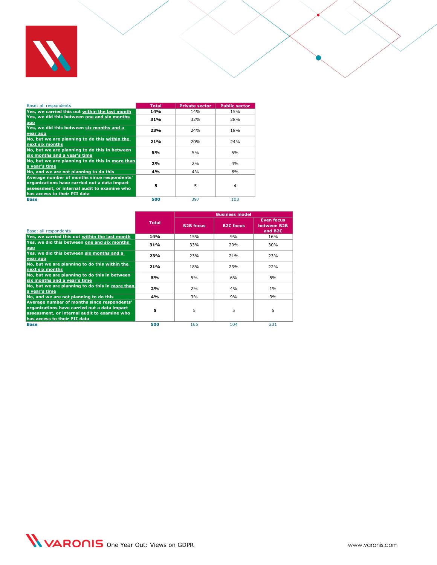

| Base: all respondents                                                                                                                                                       | <b>Total</b> | <b>Private sector</b> | <b>Public sector</b> |
|-----------------------------------------------------------------------------------------------------------------------------------------------------------------------------|--------------|-----------------------|----------------------|
| Yes, we carried this out within the last month                                                                                                                              | 14%          | 14%                   | 15%                  |
| Yes, we did this between one and six months<br>ago                                                                                                                          | 31%          | 32%                   | 28%                  |
| Yes, we did this between six months and a<br>year ago                                                                                                                       | 23%          | 24%                   | 18%                  |
| No, but we are planning to do this within the<br>next six months                                                                                                            | 21%          | 20%                   | 24%                  |
| No, but we are planning to do this in between<br>six months and a year's time                                                                                               | 5%           | 5%                    | 5%                   |
| No, but we are planning to do this in more than<br>a vear's time                                                                                                            | 2%           | 2%                    | 4%                   |
| No, and we are not planning to do this                                                                                                                                      | 4%           | 4%                    | 6%                   |
| Average number of months since respondents'<br>organizations have carried out a data impact<br>assessment, or internal audit to examine who<br>has access to their PII data | 5            | 5                     | 4                    |
| <b>Base</b>                                                                                                                                                                 | 500          | 397                   | 103                  |

|                                                                                                                                                                             |              | <b>Business model</b> |                  |                                                         |  |  |
|-----------------------------------------------------------------------------------------------------------------------------------------------------------------------------|--------------|-----------------------|------------------|---------------------------------------------------------|--|--|
| Base: all respondents                                                                                                                                                       | <b>Total</b> | <b>B2B</b> focus      | <b>B2C focus</b> | <b>Even focus</b><br>between B2B<br>and B <sub>2C</sub> |  |  |
| Yes, we carried this out within the last month                                                                                                                              | 14%          | 15%                   | 9%               | 16%                                                     |  |  |
| Yes, we did this between one and six months<br>ago                                                                                                                          | 31%          | 33%                   | 29%              | 30%                                                     |  |  |
| Yes, we did this between six months and a<br>vear ago                                                                                                                       | 23%          | 23%                   | 21%              | 23%                                                     |  |  |
| No, but we are planning to do this within the<br>next six months                                                                                                            | 21%          | 18%                   | 23%              | 22%                                                     |  |  |
| No, but we are planning to do this in between<br>six months and a year's time                                                                                               | 5%           | 5%                    | 6%               | 5%                                                      |  |  |
| No, but we are planning to do this in more than<br>a vear's time                                                                                                            | 2%           | 2%                    | 4%               | $1\%$                                                   |  |  |
| No, and we are not planning to do this                                                                                                                                      | 4%           | 3%                    | 9%               | 3%                                                      |  |  |
| Average number of months since respondents'<br>organizations have carried out a data impact<br>assessment, or internal audit to examine who<br>has access to their PII data | 5            | 5                     | 5                | 5                                                       |  |  |
| <b>Base</b>                                                                                                                                                                 | 500          | 165                   | 104              | 231                                                     |  |  |

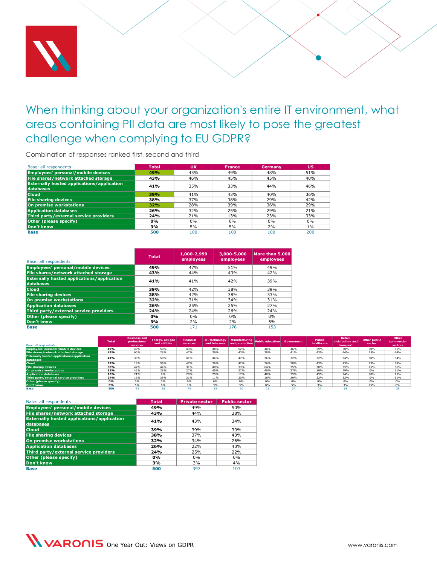

# <span id="page-18-0"></span>When thinking about your organization's entire IT environment, what areas containing PII data are most likely to pose the greatest challenge when complying to EU GDPR?

Combination of responses ranked first, second and third

| Base: all respondents                                          | <b>Total</b> | <b>UK</b> | <b>France</b> | Germany | <b>US</b> |
|----------------------------------------------------------------|--------------|-----------|---------------|---------|-----------|
| Employees' personal/mobile devices                             | 49%          | 45%       | 49%           | 48%     | 51%       |
| File shares/network attached storage                           | 43%          | 46%       | 45%           | 45%     | 40%       |
| <b>Externally hosted applications/application</b><br>databases | 41%          | 35%       | 33%           | 44%     | 46%       |
| <b>Cloud</b>                                                   | 39%          | 41%       | 43%           | 40%     | 36%       |
| <b>File sharing devices</b>                                    | 38%          | 37%       | 38%           | 29%     | 42%       |
| On premise workstations                                        | 32%          | 28%       | 39%           | 36%     | 29%       |
| <b>Application databases</b>                                   | 26%          | 32%       | 25%           | 29%     | 21%       |
| Third party/external service providers                         | 24%          | 21%       | 13%           | 23%     | 33%       |
| Other (please specify)                                         | 0%           | 0%        | 0%            | 0%      | $0\%$     |
| Don't know                                                     | 3%           | 5%        | 5%            | 2%      | $1\%$     |
| <b>Base</b>                                                    | 500          | 100       | 100           | 100     | 200       |

| Base: all respondents                                          | <b>Total</b> | 1,000-2,999<br>employees | 3,000-5,000<br>employees | More than 5,000<br>employees |
|----------------------------------------------------------------|--------------|--------------------------|--------------------------|------------------------------|
| Employees' personal/mobile devices                             | 49%          | 47%                      | 51%                      | 49%                          |
| File shares/network attached storage                           | 43%          | 44%                      | 43%                      | 42%                          |
| <b>Externally hosted applications/application</b><br>databases | 41%          | 41%                      | 42%                      | 39%                          |
| <b>Cloud</b>                                                   | 39%          | 42%                      | 38%                      | 39%                          |
| <b>File sharing devices</b>                                    | 38%          | 42%                      | 38%                      | 33%                          |
| On premise workstations                                        | 32%          | 31%                      | 34%                      | 31%                          |
| <b>Application databases</b>                                   | 26%          | 25%                      | 25%                      | 27%                          |
| Third party/external service providers                         | 24%          | 24%                      | 26%                      | 24%                          |
| Other (please specify)                                         | 0%           | $0\%$                    | 0%                       | $0\%$                        |
| Don't know                                                     | 3%           | 2%                       | 2%                       | 5%                           |
| <b>Base</b>                                                    | 500          | 171                      | 176                      | 153                          |

| Base: all respondents                                          | <b>Total</b> | <b>Business and</b><br>professional<br>services | Energy, oil/gas<br>and utilities | <b>Financial</b><br>services |     | and telecoms and production | IT, technology Manufacturing Public education Government |     | <b>Public</b><br>healthcare | Retail,<br>distribution and<br>transport | Other public<br>sector | Other<br>commercial<br>sectors |
|----------------------------------------------------------------|--------------|-------------------------------------------------|----------------------------------|------------------------------|-----|-----------------------------|----------------------------------------------------------|-----|-----------------------------|------------------------------------------|------------------------|--------------------------------|
| Employees' personal/mobile devices                             | 49%          | 49%                                             | 50%                              | 43%                          | 48% | 52%                         | 40%                                                      | 46% | 59%                         | 50%                                      | 50%                    | 51%                            |
| File shares/network attached storage                           | 43%          | 60%                                             | 28%                              | 47%                          | 39% | 43%                         | 28%                                                      | 41% | 43%                         | 44%                                      | 25%                    | 44%                            |
| <b>Externally hosted applications/application</b><br>databases | 41%          | 33%                                             | 50%                              | 41%                          | 46% | 47%                         | 36%                                                      | 32% | 32%                         | 34%                                      | 50%                    | 54%                            |
| <b>Cloud</b>                                                   | 39%          | 19%                                             | 56%                              | 47%                          | 36% | 42%                         | 36%                                                      | 38% | 43%                         | 43%                                      | 25%                    | 38%                            |
| <b>File sharing devices</b>                                    | 38%          | 47%                                             | 44%                              | 31%                          | 40% | 33%                         | 64%                                                      | 35% | 30%                         | 35%                                      | 25%                    | 36%                            |
| On premise workstations                                        | 32%          | 42%                                             | 28%                              | 27%                          | 45% | 27%                         | 40%                                                      | 27% | 19%                         | 29%                                      | 0%                     | 31%                            |
| <b>Application databases</b>                                   | 26%          | 21%                                             | 6%                               | 28%                          | 25% | 17%                         | 40%                                                      | 35% | 43%                         | 24%                                      | 50%                    | 15%                            |
| Third party/external service providers                         | 24%          | 16%                                             | 39%                              | 31%                          | 11% | 30%                         | 16%                                                      | 30% | 22%                         | 32%                                      | 0%                     | 31%                            |
| Other (please specify)                                         | 0%           | 0%                                              | 0%                               | 0%                           | 0%  | 0%                          | 0%                                                       | 0%  | 0%                          | 0%                                       | 0%                     | 0%                             |
| Don't know                                                     | 3%           | 5%                                              | 0%                               | 1%                           | 3%  | 3%                          | 0%                                                       | 5%  | 3%                          | 3%                                       | 25%                    | 0%                             |
| Base                                                           | 500          |                                                 |                                  |                              |     |                             |                                                          |     |                             | 68                                       |                        |                                |

| Base: all respondents                                          | <b>Total</b> | <b>Private sector</b> | <b>Public sector</b> |
|----------------------------------------------------------------|--------------|-----------------------|----------------------|
| Employees' personal/mobile devices                             | 49%          | 49%                   | 50%                  |
| File shares/network attached storage                           | 43%          | 44%                   | 38%                  |
| <b>Externally hosted applications/application</b><br>databases | 41%          | 43%                   | 34%                  |
| <b>Cloud</b>                                                   | 39%          | 39%                   | 39%                  |
| <b>File sharing devices</b>                                    | 38%          | 37%                   | 40%                  |
| On premise workstations                                        | 32%          | 34%                   | 26%                  |
| <b>Application databases</b>                                   | 26%          | 22%                   | 40%                  |
| Third party/external service providers                         | 24%          | 25%                   | 22%                  |
| Other (please specify)                                         | $0\%$        | $0\%$                 | $0\%$                |
| Don't know                                                     | 3%           | 3%                    | 4%                   |
| <b>Base</b>                                                    | 500          | 397                   | 103                  |

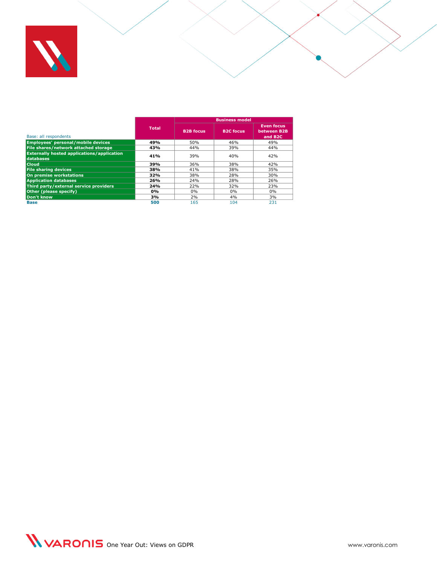

|                                                                |              | <b>Business model</b> |                  |                                                         |  |  |  |
|----------------------------------------------------------------|--------------|-----------------------|------------------|---------------------------------------------------------|--|--|--|
| Base: all respondents                                          | <b>Total</b> | <b>B2B focus</b>      | <b>B2C</b> focus | <b>Even focus</b><br>between B2B<br>and B <sub>2C</sub> |  |  |  |
| Employees' personal/mobile devices                             | 49%          | 50%                   | 46%              | 49%                                                     |  |  |  |
| File shares/network attached storage                           | 43%          | 44%                   | 39%              | 44%                                                     |  |  |  |
| <b>Externally hosted applications/application</b><br>databases | 41%          | 39%                   | 40%              | 42%                                                     |  |  |  |
| <b>Cloud</b>                                                   | 39%          | 36%                   | 38%              | 42%                                                     |  |  |  |
| <b>File sharing devices</b>                                    | 38%          | 41%                   | 38%              | 35%                                                     |  |  |  |
| On premise workstations                                        | 32%          | 38%                   | 28%              | 30%                                                     |  |  |  |
| <b>Application databases</b>                                   | 26%          | 24%                   | 28%              | 26%                                                     |  |  |  |
| Third party/external service providers                         | 24%          | 22%                   | 32%              | 23%                                                     |  |  |  |
| Other (please specify)                                         | 0%           | 0%                    | $0\%$            | 0%                                                      |  |  |  |
| Don't know                                                     | 3%           | 2%                    | 4%               | 3%                                                      |  |  |  |
| <b>Base</b>                                                    | 500          | 165                   | 104              | 231                                                     |  |  |  |

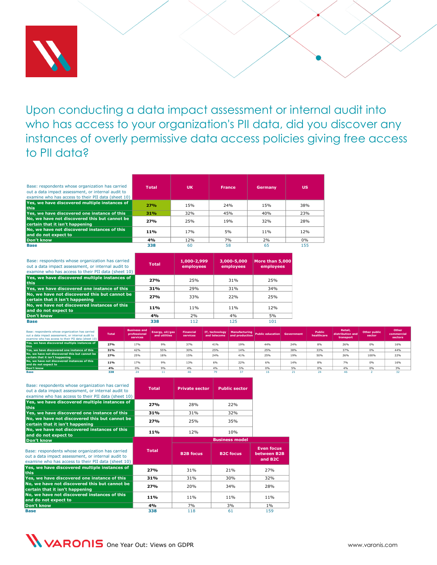

<span id="page-20-0"></span>Upon conducting a data impact assessment or internal audit into who has access to your organization's PII data, did you discover any instances of overly permissive data access policies giving free access to PII data?

| Base: respondents whose organization has carried<br>out a data impact assessment, or internal audit to<br>examine who has access to their PII data (sheet 10) | <b>Total</b> | <b>UK</b> | <b>France</b>   | Germany | <b>US</b> |
|---------------------------------------------------------------------------------------------------------------------------------------------------------------|--------------|-----------|-----------------|---------|-----------|
| Yes, we have discovered multiple instances of<br>this                                                                                                         | 27%          | 15%       | 24%             | 15%     | 38%       |
| Yes, we have discovered one instance of this                                                                                                                  | 31%          | 32%       | 45%             | 40%     | 23%       |
| No, we have not discovered this but cannot be<br>certain that it isn't happening                                                                              | 27%          | 25%       | 19 <sub>%</sub> | 32%     | 28%       |
| No, we have not discovered instances of this<br>and do not expect to                                                                                          | 11%          | 17%       | 5%              | 11%     | 12%       |
| Don't know                                                                                                                                                    | 4%           | 12%       | 7%              | 2%      | $0\%$     |
| <b>Base</b>                                                                                                                                                   | 338          | 60        | 58              | 65      | 155       |

| Base: respondents whose organization has carried<br>out a data impact assessment, or internal audit to<br>examine who has access to their PII data (sheet 10) | <b>Total</b> | 1,000-2,999<br>employees | 3,000-5,000<br>employees | More than 5,000<br>employees |
|---------------------------------------------------------------------------------------------------------------------------------------------------------------|--------------|--------------------------|--------------------------|------------------------------|
| Yes, we have discovered multiple instances of<br>this                                                                                                         | 27%          | 25%                      | 31%                      | 25%                          |
| Yes, we have discovered one instance of this                                                                                                                  | 31%          | 29%                      | 31%                      | 34%                          |
| No, we have not discovered this but cannot be<br>certain that it isn't happening                                                                              | 27%          | 33%                      | 22%                      | 25%                          |
| No, we have not discovered instances of this<br>and do not expect to                                                                                          | 11%          | 11%                      | 11%                      | 12%                          |
| Don't know                                                                                                                                                    | 4%           | 2%                       | 4%                       | 5%                           |
| Base                                                                                                                                                          | 338          | 112                      | 125                      | 101                          |

| Base: respondents whose organization has carried<br>out a data impact assessment, or internal audit to<br>examine who has access to their PII data (sheet 10) | <b>Total</b> | <b>Business and</b><br>professional<br>services | Energy, oil/gas<br>and utilities | <b>Financial</b><br>services |     |     | IT, technology Manufacturing Public education Government |     | <b>Public</b><br>healthcare | Retail.<br>distribution and<br>transport | Other public<br>sector | Other<br>commercial<br>sectors |
|---------------------------------------------------------------------------------------------------------------------------------------------------------------|--------------|-------------------------------------------------|----------------------------------|------------------------------|-----|-----|----------------------------------------------------------|-----|-----------------------------|------------------------------------------|------------------------|--------------------------------|
| Yes, we have discovered multiple instances of<br>this                                                                                                         | 27%          | 17%                                             | 9%                               | 37%                          | 41% | 19% | 44%                                                      | 24% | 8%                          | 26%                                      | 0%                     | 16%                            |
| Yes, we have discovered one instance of this                                                                                                                  | 31%          | 42%                                             | 55%                              | 30%                          | 25% | 14% | 25%                                                      | 38% | 33%                         | 37%                                      | 0%                     | 44%                            |
| No, we have not discovered this but cannot be<br>certain that it isn't happening                                                                              | 27%          | 25%                                             | 18%                              | 15%                          | 24% | 41% | 25%                                                      | 19% | 50%                         | 26%                                      | 100%                   | 22%                            |
| No, we have not discovered instances of this<br>and do not expect to                                                                                          | 11%          | 17%                                             | 9%                               | 13%                          | 6%  | 22% | 6%                                                       | 14% | 8%                          | 7%                                       | 0%                     | 16%                            |
| Don't know                                                                                                                                                    | 4%           | 0%                                              | 9%                               | 4%                           | 4%  | 5%  | 0%                                                       | 5%  | 0%                          | 4%                                       | 0%                     | 3%                             |
| Base                                                                                                                                                          | 338          |                                                 |                                  |                              |     |     |                                                          |     |                             |                                          |                        |                                |

| Base: respondents whose organization has carried<br>out a data impact assessment, or internal audit to<br>examine who has access to their PII data (sheet 10) | <b>Total</b> | <b>Private sector</b> | <b>Public sector</b> |                                                         |
|---------------------------------------------------------------------------------------------------------------------------------------------------------------|--------------|-----------------------|----------------------|---------------------------------------------------------|
| Yes, we have discovered multiple instances of<br>this                                                                                                         | 27%          | 28%                   | 22%                  |                                                         |
| Yes, we have discovered one instance of this                                                                                                                  | 31%          | 31%                   | 32%                  |                                                         |
| No, we have not discovered this but cannot be<br>certain that it isn't happening                                                                              | 27%          | 25%                   | 35%                  |                                                         |
| No, we have not discovered instances of this<br>and do not expect to                                                                                          | 11%          | 12%                   | 10%                  |                                                         |
| Don't know                                                                                                                                                    |              |                       |                      |                                                         |
| Base: respondents whose organization has carried<br>out a data impact assessment, or internal audit to<br>examine who has access to their PII data (sheet 10) | <b>Total</b> | <b>B2B focus</b>      | <b>B2C focus</b>     | <b>Even focus</b><br>between B2B<br>and B <sub>2C</sub> |
| Yes, we have discovered multiple instances of<br>this                                                                                                         | 27%          | 31%                   | 21%                  | 27%                                                     |
| Yes, we have discovered one instance of this                                                                                                                  | 31%          | 31%                   | 30%                  | 32%                                                     |
| No, we have not discovered this but cannot be<br>certain that it isn't happening                                                                              | 27%          | 20%                   | 34%                  | 28%                                                     |
| No, we have not discovered instances of this<br>and do not expect to                                                                                          | 11%          | 11%                   | 11%                  | 11%                                                     |
|                                                                                                                                                               |              |                       |                      |                                                         |
| Don't know                                                                                                                                                    | 4%           | 7%                    | 3%                   | $1\%$                                                   |

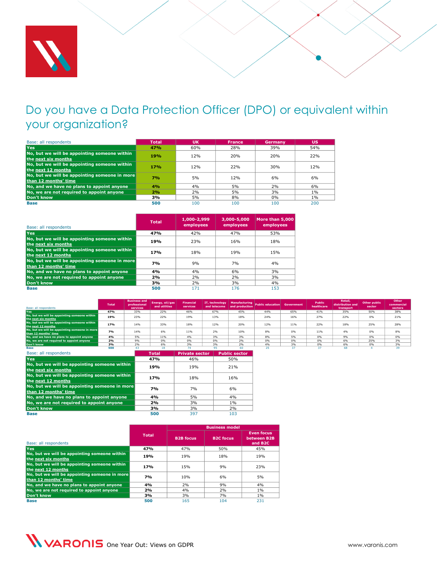

# <span id="page-21-0"></span>Do you have a Data Protection Officer (DPO) or equivalent within your organization?

| Base: all respondents                         | <b>Total</b> | <b>UK</b> | <b>France</b> | Germany | <b>US</b> |
|-----------------------------------------------|--------------|-----------|---------------|---------|-----------|
| <b>Yes</b>                                    | 47%          | 60%       | 28%           | 39%     | 54%       |
| No, but we will be appointing someone within  | <b>19%</b>   | 12%       | 20%           | 20%     | 22%       |
| the next six months                           |              |           |               |         |           |
| No, but we will be appointing someone within  | 17%          | 12%       | 22%           | 30%     | 12%       |
| the next 12 months                            |              |           |               |         |           |
| No, but we will be appointing someone in more | 7%           | 5%        | 12%           | 6%      | 6%        |
| than 12 months' time                          |              |           |               |         |           |
| No, and we have no plans to appoint anyone    | 4%           | 4%        | 5%            | 2%      | 6%        |
| No, we are not required to appoint anyone     | 2%           | 2%        | 5%            | 3%      | 1%        |
| Don't know                                    | 3%           | 5%        | 8%            | 0%      | 1%        |
| <b>Base</b>                                   | 500          | 100       | 100           | 100     | 200       |

| Base: all respondents                                                 | <b>Total</b> | 1,000-2,999<br>employees | 3,000-5,000<br>employees | More than 5.000<br>employees |
|-----------------------------------------------------------------------|--------------|--------------------------|--------------------------|------------------------------|
| <b>Yes</b>                                                            | 47%          | 42%                      | 47%                      | 53%                          |
| No, but we will be appointing someone within<br>the next six months   | 19%          | 23%                      | 16%                      | 18%                          |
| No, but we will be appointing someone within<br>the next 12 months    | <b>17%</b>   | 18%                      | 19 <sub>%</sub>          | 15%                          |
| No, but we will be appointing someone in more<br>than 12 months' time | <b>7%</b>    | 9%                       | 7%                       | 4%                           |
| No, and we have no plans to appoint anyone                            | 4%           | 4%                       | 6%                       | 3%                           |
| No, we are not required to appoint anyone                             | 2%           | 2%                       | 2%                       | 3%                           |
| Don't know                                                            | 3%           | 2%                       | 3%                       | 4%                           |
| <b>Base</b>                                                           | 500          | 171                      | 176                      | 153                          |

| Base: all respondents                         | <b>Total</b> | <b>Business and</b><br>professional<br>services | Energy, oil/gas<br>and utilities | <b>Financial</b><br>services |     | and telecoms $\overline{\phantom{x}}$ and production | IT, technology Manufacturing Public education Government |     | <b>Public</b><br>healthcare | Retail,<br>distribution and<br>transport | <b>Other public</b><br>sector | Other<br>commercial<br>sectors |
|-----------------------------------------------|--------------|-------------------------------------------------|----------------------------------|------------------------------|-----|------------------------------------------------------|----------------------------------------------------------|-----|-----------------------------|------------------------------------------|-------------------------------|--------------------------------|
| Yes                                           | 47%          | 33%                                             | 22%                              | 46%                          | 67% | 45%                                                  | 44%                                                      | 65% |                             | 35%                                      | 50%                           | 38%                            |
|                                               |              |                                                 |                                  |                              |     |                                                      |                                                          |     | 41%                         |                                          |                               |                                |
| No, but we will be appointing someone within  | 19%          | 23%                                             | 22%                              | 19%                          | 13% | 18%                                                  | 24%                                                      | 16% | 27%                         | 22%                                      | 0%                            | 21%                            |
| the next six months                           |              |                                                 |                                  |                              |     |                                                      |                                                          |     |                             |                                          |                               |                                |
| No, but we will be appointing someone within  | 17%          | 14%                                             | 33%                              | 18%                          | 12% | 20%                                                  | 12%                                                      | 11% | 22%                         | 18%                                      | 25%                           | 28%                            |
| the next 12 months                            |              |                                                 |                                  |                              |     |                                                      |                                                          |     |                             |                                          |                               |                                |
| No, but we will be appointing someone in more | 7%           | 14%                                             | 6%                               | 11%                          | 2%  | 10%                                                  | 8%                                                       | 0%  | 11%                         | 4%                                       | 0%                            | 8%                             |
| than 12 months' time                          |              |                                                 |                                  |                              |     |                                                      |                                                          |     |                             |                                          |                               |                                |
| No, and we have no plans to appoint anyone    | 4%           | 5%                                              | 11%                              | 4%                           | 3%  | 3%                                                   | 8%                                                       | 5%  | 0%                          | 9%                                       | 0%                            | 0%                             |
| No, we are not required to appoint anyone     | 2%           | 9%                                              | 0%                               | 0%                           | 0%  | 2%                                                   | 0%                                                       | 0%  | 0%                          | 6%                                       | 25%                           | 3%                             |
| Don't know                                    | 3%           | 2%                                              | 6%                               | 3%                           | 3%  | 2%                                                   | 4%                                                       | 3%  | 0%                          | 6%                                       | 0%                            | 3%                             |
| Base                                          | 500          |                                                 |                                  |                              |     |                                                      |                                                          |     |                             | 68                                       |                               |                                |

| Base: all respondents                                                 | <b>Total</b> | <b>Private sector</b> | <b>Public sector</b> |
|-----------------------------------------------------------------------|--------------|-----------------------|----------------------|
| Yes                                                                   | 47%          | 46%                   | 50%                  |
| No, but we will be appointing someone within<br>the next six months   | 19%          | 19%                   | 21%                  |
| No, but we will be appointing someone within<br>the next 12 months    | 17%          | 18%                   | 16%                  |
| No, but we will be appointing someone in more<br>than 12 months' time | <b>7%</b>    | 7%                    | 6%                   |
| No, and we have no plans to appoint anyone                            | 4%           | 5%                    | 4%                   |
| No, we are not required to appoint anyone                             | 2%           | 3%                    | 1%                   |
| Don't know                                                            | 3%           | 3%                    | 2%                   |
| <b>Base</b>                                                           | 500          | 397                   | 103                  |

|                                                                       |              | <b>Business model</b> |                  |                                                         |  |  |  |
|-----------------------------------------------------------------------|--------------|-----------------------|------------------|---------------------------------------------------------|--|--|--|
| Base: all respondents                                                 | <b>Total</b> | <b>B2B focus</b>      | <b>B2C focus</b> | <b>Even focus</b><br>between B2B<br>and B <sub>2C</sub> |  |  |  |
| <b>Yes</b>                                                            | 47%          | 47%                   | 50%              | 45%                                                     |  |  |  |
| No, but we will be appointing someone within<br>the next six months   | 19%          | 19%                   | 18%              | 19%                                                     |  |  |  |
| No, but we will be appointing someone within<br>the next 12 months    | <b>17%</b>   | 15%                   | 9%               | 23%                                                     |  |  |  |
| No, but we will be appointing someone in more<br>than 12 months' time | <b>7%</b>    | 10%                   | 6%               | 5%                                                      |  |  |  |
| No, and we have no plans to appoint anyone                            | 4%           | 2%                    | 9%               | 4%                                                      |  |  |  |
| No, we are not required to appoint anyone                             | 2%           | 4%                    | 2%               | $1\%$                                                   |  |  |  |
| Don't know                                                            | 3%           | 3%                    | 7%               | $1\%$                                                   |  |  |  |
| <b>Base</b>                                                           | 500          | 165                   | 104              | 231                                                     |  |  |  |

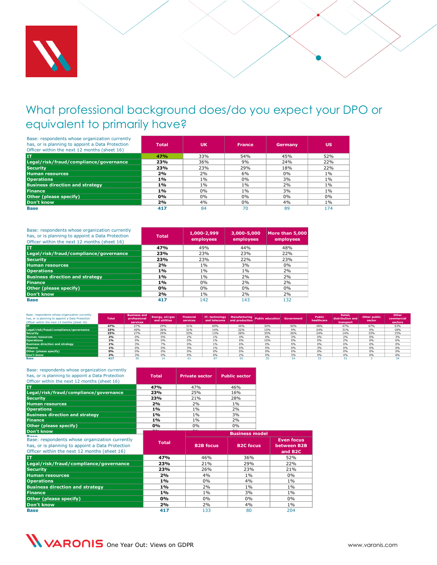

# <span id="page-22-0"></span>What professional background does/do you expect your DPO or equivalent to primarily have?

| Base: respondents whose organization currently<br>has, or is planning to appoint a Data Protection<br>Officer within the next 12 months (sheet 16) | <b>Total</b> | <b>UK</b> | <b>France</b> | Germany | <b>US</b> |
|----------------------------------------------------------------------------------------------------------------------------------------------------|--------------|-----------|---------------|---------|-----------|
| <b>IT</b>                                                                                                                                          | 47%          | 33%       | 54%           | 45%     | 52%       |
| Legal/risk/fraud/compliance/governance                                                                                                             | 23%          | 36%       | 9%            | 24%     | 22%       |
| <b>Security</b>                                                                                                                                    | 23%          | 23%       | 29%           | 18%     | 22%       |
| <b>Human resources</b>                                                                                                                             | 2%           | 2%        | 6%            | 0%      | $1\%$     |
| <b>Operations</b>                                                                                                                                  | 1%           | $1\%$     | 0%            | 3%      | $1\%$     |
| <b>Business direction and strategy</b>                                                                                                             | 1%           | $1\%$     | $1\%$         | 2%      | 1%        |
| Finance                                                                                                                                            | 1%           | 0%        | $1\%$         | 3%      | $1\%$     |
| Other (please specify)                                                                                                                             | 0%           | 0%        | 0%            | 0%      | 0%        |
| Don't know                                                                                                                                         | 2%           | 4%        | 0%            | 4%      | 1%        |
| <b>Base</b>                                                                                                                                        | 417          | 84        | 70            | 89      | 174       |

| Base: respondents whose organization currently<br>has, or is planning to appoint a Data Protection<br>Officer within the next 12 months (sheet 16) | <b>Total</b> | 1,000-2,999<br>employees | 3,000-5,000<br>employees | More than 5,000<br>employees |
|----------------------------------------------------------------------------------------------------------------------------------------------------|--------------|--------------------------|--------------------------|------------------------------|
| <b>IT</b>                                                                                                                                          | 47%          | 49%                      | 44%                      | 48%                          |
| Legal/risk/fraud/compliance/governance                                                                                                             | 23%          | 23%                      | 23%                      | 22%                          |
| <b>Security</b>                                                                                                                                    | 23%          | 23%                      | 22%                      | 23%                          |
| <b>Human resources</b>                                                                                                                             | 2%           | 1%                       | 3%                       | $0\%$                        |
| <b>Operations</b>                                                                                                                                  | 1%           | $1\%$                    | 1%                       | 2%                           |
| <b>Business direction and strategy</b>                                                                                                             | 1%           | $1\%$                    | 2%                       | 2%                           |
| <b>Finance</b>                                                                                                                                     | 1%           | $0\%$                    | 2%                       | 2%                           |
| Other (please specify)                                                                                                                             | 0%           | $0\%$                    | $0\%$                    | $0\%$                        |
| Don't know                                                                                                                                         | 2%           | $1\%$                    | 2%                       | 2%                           |
| <b>Base</b>                                                                                                                                        | 417          | 142                      | 143                      | 132                          |

| Base: respondents whose organization currently<br>has, or is planning to appoint a Data Protection<br>Officer within the next 12 months (sheet 16) | <b>Total</b> | <b>Business and</b><br>professional<br>services | Energy, oil/gas<br>and utilities | <b>Financial</b><br>services | IT, technology | and telecoms and production | Manufacturing Public education Government |     | Public<br>healthcare | Retail,<br>distribution and<br>transport | <b>Other public</b><br>sector | Other<br>commercial<br>sectors |
|----------------------------------------------------------------------------------------------------------------------------------------------------|--------------|-------------------------------------------------|----------------------------------|------------------------------|----------------|-----------------------------|-------------------------------------------|-----|----------------------|------------------------------------------|-------------------------------|--------------------------------|
|                                                                                                                                                    | 47%          | 27%                                             | 29%                              | 31%                          | 69%            | 44%                         | 30%                                       | 50% | 48%                  | 47%                                      | 67%                           | 53%                            |
| Legal/risk/fraud/compliance/governance                                                                                                             | 23%          | 40%                                             | 36%                              | 31%                          | 14%            | 22%                         | 15%                                       | 9%  | 24%                  | 31%                                      | 0%                            | 18%                            |
| <b>Security</b>                                                                                                                                    | 23%          | 27%                                             | 29%                              | 33%                          | 13%            | 28%                         | 35%                                       | 26% | 24%                  | 14%                                      | 33%                           | 15%                            |
| <b>Human resources</b>                                                                                                                             | 2%           | 0%                                              | 0%                               | 2%                           | 1%             | 4%                          | 0%                                        | 3%  | 0%                   | 2%                                       | 0%                            | 3%                             |
| <b>Operations</b>                                                                                                                                  | 1%           | 0%                                              | 0%                               | 0%                           | 1%             | 0%                          | 10%                                       | 0%  | 0%                   | 2%                                       | 0%                            | 6%                             |
| <b>Business direction and strategy</b>                                                                                                             | 1%           | 3%                                              | 7%                               | 0%                           | 1%             | 0%                          | 0%                                        | 9%  | 0%                   | 0%                                       | 0%                            | 0%                             |
| <b>Finance</b>                                                                                                                                     | 1%           | 0%                                              | 0%                               | 3%                           | 1%             | 0%                          | 5%                                        | 0%  | 3%                   | 0%                                       | 0%                            | 0%                             |
| Other (please specify)                                                                                                                             | 0%           | 0%                                              | 0%                               | 0%                           | 0%             | 0%                          | 0%                                        | 0%  | 0%                   | 0%                                       | 0%                            | 0%                             |
| Don't know                                                                                                                                         | 2%           | 3%                                              | 0%                               | 0%                           | 0%             | 2%                          | 5%                                        | 3%  | 0%                   | 4%                                       | 0%                            | 6%                             |
| <b>Base</b>                                                                                                                                        | 417          |                                                 |                                  |                              |                |                             |                                           |     |                      |                                          |                               |                                |

| Base: respondents whose organization currently<br>has, or is planning to appoint a Data Protection<br>Officer within the next 12 months (sheet 16) | <b>Total</b> | <b>Private sector</b> | <b>Public sector</b>                   |
|----------------------------------------------------------------------------------------------------------------------------------------------------|--------------|-----------------------|----------------------------------------|
| IT                                                                                                                                                 | 47%          | 47%                   | 46%                                    |
| Legal/risk/fraud/compliance/governance                                                                                                             | 23%          | 25%                   | 16%                                    |
| <b>Security</b>                                                                                                                                    | 23%          | 21%                   | 28%                                    |
| <b>Human resources</b>                                                                                                                             | 2%           | 2%                    | 1%                                     |
| <b>Operations</b>                                                                                                                                  | 1%           | 1%                    | 2%                                     |
| <b>Business direction and strategy</b>                                                                                                             | 1%           | $1\%$                 | 3%                                     |
| <b>Finance</b>                                                                                                                                     | 1%           | 1%                    | 2%                                     |
| Other (please specify)                                                                                                                             | 0%           | 0%                    | 0%                                     |
| Don't know                                                                                                                                         | --           | $\sim$ $\sim$         | $\sim$ $\sim$<br><b>Business model</b> |
| $B = -1$<br>Bace: reconordents whose organization currently                                                                                        |              |                       |                                        |

| <b>Dealer</b>                                                                                                                                      |              |                  | <b>DUSTRESS MOUL</b> |                                                         |
|----------------------------------------------------------------------------------------------------------------------------------------------------|--------------|------------------|----------------------|---------------------------------------------------------|
| Base: respondents whose organization currently<br>has, or is planning to appoint a Data Protection<br>Officer within the next 12 months (sheet 16) | <b>Total</b> | <b>B2B focus</b> | <b>B2C focus</b>     | <b>Even focus</b><br>between B2B<br>and B <sub>2C</sub> |
| <b>IT</b>                                                                                                                                          | 47%          | 46%              | 36%                  | 52%                                                     |
| Legal/risk/fraud/compliance/governance                                                                                                             | 23%          | 21%              | 29%                  | 22%                                                     |
| <b>Security</b>                                                                                                                                    | 23%          | 26%              | 23%                  | 21%                                                     |
| <b>Human resources</b>                                                                                                                             | 2%           | 4%               | $1\%$                | $0\%$                                                   |
| <b>Operations</b>                                                                                                                                  | 1%           | 0%               | 4%                   | $1\%$                                                   |
| <b>Business direction and strategy</b>                                                                                                             | 1%           | 2%               | $1\%$                | $1\%$                                                   |
| <b>Finance</b>                                                                                                                                     | 1%           | $1\%$            | 3%                   | $1\%$                                                   |
| Other (please specify)                                                                                                                             | 0%           | 0%               | $0\%$                | $0\%$                                                   |
| Don't know                                                                                                                                         | 2%           | 2%               | 4%                   | $1\%$                                                   |
| <b>Base</b>                                                                                                                                        | 417          | 133              | 80                   | 204                                                     |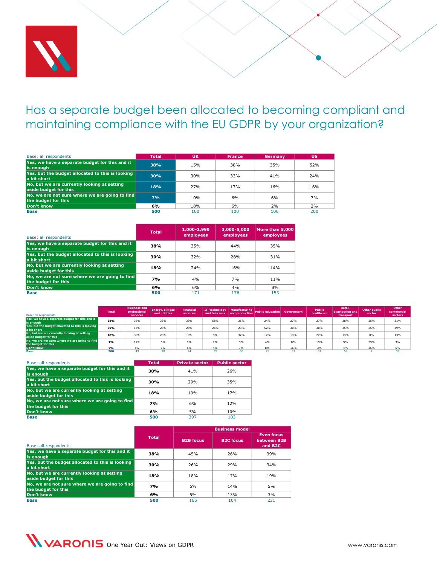

#### <span id="page-23-0"></span>Has a separate budget been allocated to becoming compliant and maintaining compliance with the EU GDPR by your organization?

| Base: all respondents                                                 | <b>Total</b> | <b>UK</b> | <b>France</b> | Germany | <b>US</b> |
|-----------------------------------------------------------------------|--------------|-----------|---------------|---------|-----------|
| Yes, we have a separate budget for this and it<br>lis enough          | 38%          | 15%       | 38%           | 35%     | 52%       |
| Yes, but the budget allocated to this is looking<br>a bit short       | 30%          | 30%       | 33%           | 41%     | 24%       |
| No, but we are currently looking at setting<br>aside budget for this  | <b>18%</b>   | 27%       | 17%           | 16%     | 16%       |
| No, we are not sure where we are going to find<br>the budget for this | 7%           | 10%       | 6%            | 6%      | 7%        |
| Don't know                                                            | 6%           | 18%       | 6%            | 2%      | 2%        |
| <b>Base</b>                                                           | 500          | 100       | 100           | 100     | 200       |

| Base: all respondents                                                 | <b>Total</b> | 1,000-2,999<br>employees | 3,000-5,000<br>employees | More than 5.000<br>employees |
|-----------------------------------------------------------------------|--------------|--------------------------|--------------------------|------------------------------|
| Yes, we have a separate budget for this and it<br>is enough           | 38%          | 35%                      | 44%                      | 35%                          |
| Yes, but the budget allocated to this is looking<br>a bit short       | 30%          | 32%                      | 28%                      | 31%                          |
| No, but we are currently looking at setting<br>aside budget for this  | 18%          | 24%                      | 16%                      | 14%                          |
| No, we are not sure where we are going to find<br>the budget for this | 7%           | 4%                       | 7%                       | 11%                          |
| Don't know                                                            | 6%           | 6%                       | 4%                       | 8%                           |
| <b>Base</b>                                                           | 500          | 171                      | 176                      | 153                          |

| Base: all respondents                                                 | <b>Total</b> | <b>Business and</b><br>professional<br>services | Energy, oil/gas<br>and utilities | <b>Financial</b><br>services |     | and telecoms and production | IT, technology Manufacturing Public education Government |     | Public<br>healthcare | Retail.<br>distribution and<br>transport | Other public<br>sector | Other<br>commercial<br>sectors |
|-----------------------------------------------------------------------|--------------|-------------------------------------------------|----------------------------------|------------------------------|-----|-----------------------------|----------------------------------------------------------|-----|----------------------|------------------------------------------|------------------------|--------------------------------|
| Yes, we have a separate budget for this and it<br>is enough           | 38%          | 35%                                             | 33%                              | 39%                          | 58% | 35%                         | 24%                                                      | 27% | 27%                  | 38%                                      | 25%                    | 31%                            |
| Yes, but the budget allocated to this is looking<br>a bit short       | 30%          | 16%                                             | 28%                              | 28%                          | 26% | 23%                         | 52%                                                      | 30% | 30%                  | 35%                                      | 25%                    | 49%                            |
| No, but we are currently looking at setting<br>aside budget for this  | 18%          | 30%                                             | 28%                              | 19%                          | 9%  | 32%                         | 12%                                                      | 19% | 22%                  | 13%                                      | 0%                     | 13%                            |
| No, we are not sure where we are going to find<br>the budget for this | 7%           | 14%                                             | 6%                               | 8%                           | 2%  | 3%                          | 4%                                                       | 8%  | 19%                  | 9%                                       | 25%                    | 3%                             |
| Don't know                                                            | 6%           | 5%                                              | 6%                               | 5%                           | 4%  | 7%                          | 8%                                                       | 16% | 3%                   | 4%                                       | 25%                    | 5%                             |
| Base                                                                  | 500          |                                                 |                                  |                              |     |                             |                                                          |     |                      |                                          |                        |                                |

| Base: all respondents                                                 | <b>Total</b> | <b>Private sector</b> | <b>Public sector</b> |
|-----------------------------------------------------------------------|--------------|-----------------------|----------------------|
| Yes, we have a separate budget for this and it<br>is enough           | 38%          | 41%                   | 26%                  |
| Yes, but the budget allocated to this is looking<br>a bit short       | 30%          | 29%                   | 35%                  |
| No, but we are currently looking at setting<br>aside budget for this  | 18%          | 19%                   | 17%                  |
| No, we are not sure where we are going to find<br>the budget for this | <b>7%</b>    | 6%                    | 12%                  |
| Don't know                                                            | 6%           | 5%                    | 10%                  |
| <b>Base</b>                                                           | 500          | 397                   | 103                  |

|                                                                       |              | <b>Business model</b> |                  |                                                         |  |  |
|-----------------------------------------------------------------------|--------------|-----------------------|------------------|---------------------------------------------------------|--|--|
| Base: all respondents                                                 | <b>Total</b> | <b>B2B</b> focus      | <b>B2C focus</b> | <b>Even focus</b><br>between B2B<br>and B <sub>2C</sub> |  |  |
| Yes, we have a separate budget for this and it<br>is enough           | 38%          | 45%                   | 26%              | 39%                                                     |  |  |
| Yes, but the budget allocated to this is looking<br>a bit short       | 30%          | 26%                   | 29%              | 34%                                                     |  |  |
| No, but we are currently looking at setting<br>aside budget for this  | 18%          | 18%                   | 17 <sub>%</sub>  | 19 <sub>%</sub>                                         |  |  |
| No, we are not sure where we are going to find<br>the budget for this | 7%           | 6%                    | 14%              | 5%                                                      |  |  |
| Don't know                                                            | 6%           | 5%                    | 13%              | 3%                                                      |  |  |
| <b>Base</b>                                                           | 500          | 165                   | 104              | 231                                                     |  |  |

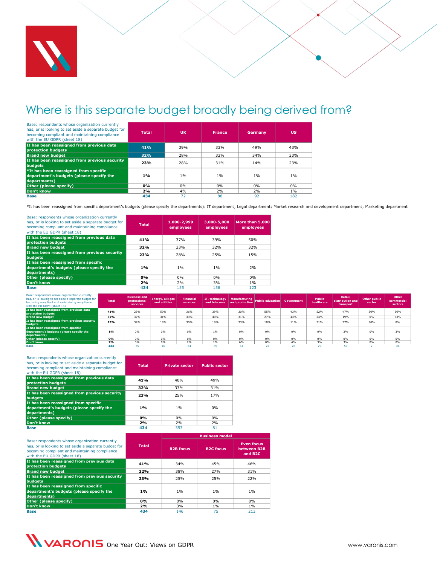

# <span id="page-24-0"></span>Where is this separate budget broadly being derived from?

| Base: respondents whose organization currently<br>has, or is looking to set aside a separate budget for<br>becoming compliant and maintaining compliance<br>with the EU GDPR (sheet 18) | <b>Total</b> | <b>UK</b> | <b>France</b> | Germany | <b>US</b> |
|-----------------------------------------------------------------------------------------------------------------------------------------------------------------------------------------|--------------|-----------|---------------|---------|-----------|
| It has been reassigned from previous data<br><b>protection budgets</b>                                                                                                                  | 41%          | 39%       | 33%           | 49%     | 43%       |
| Brand new budget                                                                                                                                                                        | 32%          | 28%       | 33%           | 34%     | 33%       |
| It has been reassigned from previous security<br>budgets                                                                                                                                | 23%          | 28%       | 31%           | 14%     | 23%       |
| *It has been reassigned from specific<br>department's budgets (please specify the<br>departments)                                                                                       | 1%           | 1%        | $1\%$         | $1\%$   | $1\%$     |
| Other (please specify)                                                                                                                                                                  | 0%           | 0%        | $0\%$         | 0%      | $0\%$     |
| Don't know                                                                                                                                                                              | 2%           | 4%        | 2%            | 2%      | 1%        |
| <b>Base</b>                                                                                                                                                                             | 434          | 72        | 88            | 92      | 182       |

\*It has been reassigned from specific department's budgets (please specify the departments): IT department; Legal department; Market research and development department; Marketing department

| Base: respondents whose organization currently<br>has, or is looking to set aside a separate budget for<br>becoming compliant and maintaining compliance<br>with the EU GDPR (sheet 18) | <b>Total</b> | 1,000-2,999<br>employees | 3,000-5,000<br>employees | More than 5,000<br>employees |
|-----------------------------------------------------------------------------------------------------------------------------------------------------------------------------------------|--------------|--------------------------|--------------------------|------------------------------|
| It has been reassigned from previous data<br>protection budgets                                                                                                                         | 41%          | 37%                      | 39%                      | 50%                          |
| <b>Brand new budget</b>                                                                                                                                                                 | 32%          | 33%                      | 32%                      | 32%                          |
| It has been reassigned from previous security<br><b>budgets</b>                                                                                                                         | 23%          | 28%                      | 25%                      | 15%                          |
| It has been reassigned from specific<br>department's budgets (please specify the<br>departments)                                                                                        | 1%           | 1%                       | 1%                       | 2%                           |
| Other (please specify)                                                                                                                                                                  | 0%           | $0\%$                    | 0%                       | 0%                           |
| Don't know                                                                                                                                                                              | 2%           | 2%                       | 3%                       | 1%                           |
| <b>Base</b>                                                                                                                                                                             | 434          | 155                      | 156                      | 123                          |

| Base: respondents whose organization currently<br>has, or is looking to set aside a separate budget for<br>becoming compliant and maintaining compliance<br>with the EU GDPR (sheet 18) | <b>Total</b> | <b>Business and</b><br>professional<br>services | Energy, oil/gas<br>and utilities | <b>Financial</b><br>services | IT, technology $\ $ | and telecoms and production | Manufacturing Public education Government |     | Public<br>healthcare | Retail.<br>distribution and<br>transport | <b>Other public</b><br>sector | Other<br>commercial<br>sectors |
|-----------------------------------------------------------------------------------------------------------------------------------------------------------------------------------------|--------------|-------------------------------------------------|----------------------------------|------------------------------|---------------------|-----------------------------|-------------------------------------------|-----|----------------------|------------------------------------------|-------------------------------|--------------------------------|
| It has been reassigned from previous data                                                                                                                                               | 41%          | 29%                                             | 50%                              | 36%                          | 39%                 | 30%                         | 55%                                       | 43% | 52%                  | 47%                                      | 50%                           | 56%                            |
| protection budgets                                                                                                                                                                      |              |                                                 |                                  |                              |                     |                             |                                           |     |                      |                                          |                               |                                |
| <b>Brand new budget</b>                                                                                                                                                                 | 32%          | 37%                                             | 31%                              | 33%                          | 40%                 | 31%                         | 27%                                       | 43% | 24%                  | 19%                                      | 0%                            | 33%                            |
| It has been reassigned from previous security<br>budgets                                                                                                                                | <b>23%</b>   | 34%                                             | 19%                              | 30%                          | 18%                 | 33%                         | 18%                                       | 11% | 21%                  | 27%                                      | 50%                           | 8%                             |
| It has been reassigned from specific<br>department's budgets (please specify the<br>departments)                                                                                        | 1%           | 0%                                              | 0%                               | 0%                           | 1%                  | 0%                          | 0%                                        | 0%  | 0%                   | 3%                                       | 0%                            | 3%                             |
| Other (please specify)                                                                                                                                                                  | 0%           | 0%                                              | 0%                               | 0%                           | 0%                  | 0%                          | 0%                                        | 0%  | 0%                   | 0%                                       | 0%                            | 0%                             |
| Don't know                                                                                                                                                                              | 2%           | 0%                                              | 0%                               | 2%                           | 1%                  | 6%                          | 0%                                        | 4%  | 3%                   | 3%                                       | 0%                            | 0%                             |
| <b>Base</b>                                                                                                                                                                             | 434          |                                                 | 16                               |                              | 89                  |                             |                                           | 28  |                      | 59                                       |                               |                                |

| Base: respondents whose organization currently<br>has, or is looking to set aside a separate budget for<br>becoming compliant and maintaining compliance<br>with the EU GDPR (sheet 18) | <b>Total</b> | <b>Private sector</b> | <b>Public sector</b> |
|-----------------------------------------------------------------------------------------------------------------------------------------------------------------------------------------|--------------|-----------------------|----------------------|
| It has been reassigned from previous data<br><b>protection budgets</b>                                                                                                                  | 41%          | 40%                   | 49%                  |
| <b>Brand new budget</b>                                                                                                                                                                 | 32%          | 33%                   | 31%                  |
| It has been reassigned from previous security<br>budgets                                                                                                                                | 23%          | 25%                   | 17%                  |
| It has been reassigned from specific<br>department's budgets (please specify the<br>departments)                                                                                        | 1%           | 1%                    | 0%                   |
| Other (please specify)                                                                                                                                                                  | 0%           | 0%                    | $0\%$                |
| Don't know                                                                                                                                                                              | 2%           | 2%                    | 2%                   |
| <b>Base</b>                                                                                                                                                                             | 434          | 353                   | 81                   |

|                                                                                                                                                                                         |              |                  | <b>Business model</b> |                                                         |
|-----------------------------------------------------------------------------------------------------------------------------------------------------------------------------------------|--------------|------------------|-----------------------|---------------------------------------------------------|
| Base: respondents whose organization currently<br>has, or is looking to set aside a separate budget for<br>becoming compliant and maintaining compliance<br>with the EU GDPR (sheet 18) | <b>Total</b> | <b>B2B</b> focus | <b>B2C focus</b>      | <b>Even focus</b><br>between B2B<br>and B <sub>2C</sub> |
| It has been reassigned from previous data<br><b>protection budgets</b>                                                                                                                  | 41%          | 34%              | 45%                   | 46%                                                     |
| <b>Brand new budget</b>                                                                                                                                                                 | 32%          | 38%              | 27%                   | 31%                                                     |
| It has been reassigned from previous security<br><b>budaets</b>                                                                                                                         | 23%          | 25%              | 25%                   | 22%                                                     |
| It has been reassigned from specific<br>department's budgets (please specify the<br>departments)                                                                                        | 1%           | 1%               | $1\%$                 | $1\%$                                                   |
| Other (please specify)                                                                                                                                                                  | 0%           | $0\%$            | 0%                    | $0\%$                                                   |
| Don't know                                                                                                                                                                              | 2%           | 3%               | $1\%$                 | $1\%$                                                   |
| <b>Base</b>                                                                                                                                                                             | 434          | 146              | 75                    | 213                                                     |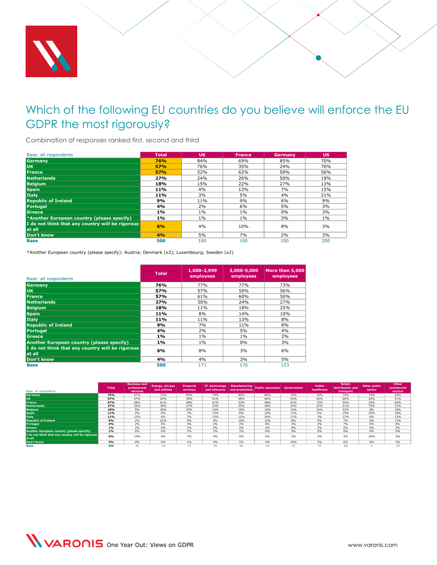

### <span id="page-25-0"></span>Which of the following EU countries do you believe will enforce the EU GDPR the most rigorously?

Combination of responses ranked first, second and third

| Base: all respondents                            | <b>Total</b> | <b>UK</b> | <b>France</b> | <b>Germany</b> | <b>US</b> |
|--------------------------------------------------|--------------|-----------|---------------|----------------|-----------|
| Germany                                          | 76%          | 84%       | 69%           | 85%            | 70%       |
| <b>UK</b>                                        | 57%          | 76%       | 35%           | 24%            | 76%       |
| France                                           | 57%          | 52%       | 62%           | 59%            | 56%       |
| <b>Netherlands</b>                               | 27%          | 24%       | 26%           | 50%            | 18%       |
| <b>Belgium</b>                                   | 18%          | 15%       | 22%           | 27%            | 13%       |
| <b>Spain</b>                                     | 11%          | 4%        | 13%           | 7%             | 15%       |
| Italy                                            | 11%          | 3%        | 5%            | 4%             | 21%       |
| <b>Republic of Ireland</b>                       | 9%           | 11%       | 9%            | 6%             | 9%        |
| Portugal                                         | 4%           | 2%        | 6%            | 5%             | 3%        |
| <b>Greece</b>                                    | 1%           | $1\%$     | 1%            | 0%             | 3%        |
| *Another European country (please specify)       | 1%           | $1\%$     | $1\%$         | 3%             | $1\%$     |
| I do not think that any country will be rigorous | 6%           | 4%        | 10%           | 8%             | 3%        |
| at all                                           |              |           |               |                |           |
| Don't know                                       | 4%           | 5%        | 7%            | 2%             | 3%        |
| <b>Base</b>                                      | 500          | 100       | 100           | 100            | 200       |

\*Another European country (please specify): Austria; Denmark (x2); Luxembourg; Sweden (x2)

| Base: all respondents                                      | <b>Total</b> | 1,000-2,999<br>employees | 3,000-5,000<br>employees | More than 5.000<br>employees |
|------------------------------------------------------------|--------------|--------------------------|--------------------------|------------------------------|
| Germany                                                    | 76%          | 77%                      | 77%                      | <b>73%</b>                   |
| <b>UK</b>                                                  | 57%          | 57%                      | 59%                      | 56%                          |
| France                                                     | 57%          | 61%                      | 60%                      | 50%                          |
| <b>Netherlands</b>                                         | 27%          | 30%                      | 24%                      | 27%                          |
| <b>Belgium</b>                                             | 18%          | 11%                      | 18%                      | 25%                          |
| <b>Spain</b>                                               | 11%          | 8%                       | 14%                      | 10%                          |
| Italy                                                      | 11%          | 11%                      | 13%                      | 8%                           |
| <b>Republic of Ireland</b>                                 | 9%           | 7%                       | 11%                      | 8%                           |
| Portugal                                                   | 4%           | 2%                       | 5%                       | 4%                           |
| Greece                                                     | $1\%$        | 1%                       | $1\%$                    | 2%                           |
| <b>Another European country (please specify)</b>           | $1\%$        | 1%                       | 0%                       | 3%                           |
| I do not think that any country will be rigorous<br>at all | 6%           | 8%                       | 3%                       | 6%                           |
| Don't know                                                 | 4%           | 4%                       | 3%                       | 5%                           |
| <b>Base</b>                                                | 500          | 171                      | 176                      | 153                          |

| Base: all respondents                                      | <b>Total</b> | <b>Business and</b><br>professional<br>services | Energy, oil/gas<br>and utilities | <b>Financial</b><br>services | IT, technology<br>and telecoms | <b>Manufacturing</b><br>and production | Public education Government |     | Public<br>healthcare | Retail,<br>distribution and<br>transport | Other public<br>sector | Other<br>commercial<br>sectors |
|------------------------------------------------------------|--------------|-------------------------------------------------|----------------------------------|------------------------------|--------------------------------|----------------------------------------|-----------------------------|-----|----------------------|------------------------------------------|------------------------|--------------------------------|
| Germany                                                    | 76%          | 67%                                             | 72%                              | 84%                          | 79%                            | 80%                                    | 80%                         | 70% | 76%                  | 74%                                      | 75%                    | 62%                            |
| <b>UK</b>                                                  | 57%          | 67%                                             | 50%                              | 58%                          | 61%                            | 48%                                    | 60%                         | 54% | 65%                  | 56%                                      | 25%                    | 51%                            |
| France                                                     | 57%          | 58%                                             | 61%                              | 58%                          | 61%                            | 53%                                    | 48%                         | 41% | 73%                  | 54%                                      | 25%                    | 62%                            |
| <b>Netherlands</b>                                         | 27%          | 26%                                             | 39%                              | 27%                          | 22%                            | 35%                                    | 28%                         | 24% | 27%                  | 21%                                      | 75%                    | 31%                            |
| <b>Belgium</b>                                             | 18%          | 5%                                              | 28%                              | 20%                          | 16%                            | 18%                                    | 16%                         | 16% | 24%                  | 22%                                      | 0%                     | 18%                            |
| <b>Spain</b>                                               | 11%          | 2%                                              | 6%                               | 7%                           | 13%                            | 8%                                     | 12%                         | 11% | 5%                   | 19%                                      | 25%                    | 18%                            |
| Italy                                                      | 11%          | 12%                                             | 6%                               | 7%                           | 12%                            | 12%                                    | 20%                         | 11% | 3%                   | 13%                                      | 0%                     | 13%                            |
| <b>Republic of Ireland</b>                                 | 9%           | 2%                                              | 22%                              | 9%                           | 8%                             | 10%                                    | 12%                         | 8%  | 5%                   | 7%                                       | 0%                     | 13%                            |
| Portugal                                                   | 4%           | 2%                                              | 0%                               | 3%                           | 2%                             | 3%                                     | 8%                          | 3%  | 3%                   | 7%                                       | 0%                     | 8%                             |
| <b>Greece</b>                                              | $1\%$        | 2%                                              | 0%                               | 1%                           | 0%                             | 3%                                     | 4%                          | 0%  | 3%                   | 0%                                       | 0%                     | 3%                             |
| Another European country (please specify)                  | 1%           | 0%                                              | 0%                               | 1%                           | 1%                             | 3%                                     | 0%                          | 5%  | 0%                   | 0%                                       | 0%                     | 0%                             |
| I do not think that any country will be rigorous<br>at all | 6%           | 19%                                             | 6%                               | 7%                           | 4%                             | 5%                                     | 0%                          | 3%  | 3%                   | 3%                                       | 25%                    | 5%                             |
| Don't know                                                 | 4%           | 0%                                              | 0%                               | 1%                           | 4%                             | 3%                                     | 4%                          | 16% | 3%                   | 6%                                       | 0%                     | 3%                             |
| Base                                                       | 500          |                                                 |                                  |                              | 95                             | 60                                     |                             |     |                      | 68                                       |                        |                                |

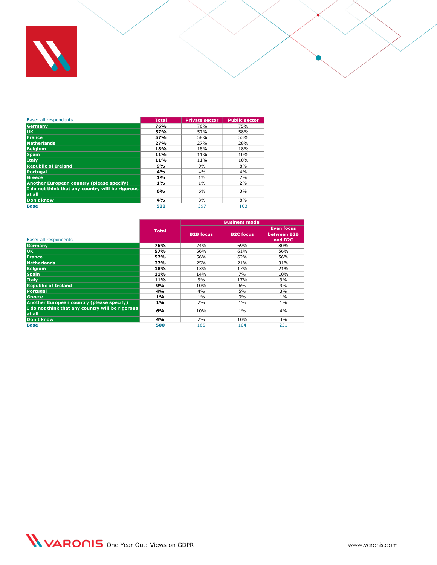

| Base: all respondents                                      | <b>Total</b> | <b>Private sector</b> | <b>Public sector</b> |
|------------------------------------------------------------|--------------|-----------------------|----------------------|
| Germany                                                    | 76%          | 76%                   | 75%                  |
| luk.                                                       | 57%          | 57%                   | 58%                  |
| <b>France</b>                                              | 57%          | 58%                   | 53%                  |
| <b>Netherlands</b>                                         | 27%          | 27%                   | 28%                  |
| <b>Belaium</b>                                             | 18%          | 18%                   | 18%                  |
| <b>Spain</b>                                               | 11%          | 11%                   | 10%                  |
| Italy                                                      | 11%          | 11%                   | 10%                  |
| <b>Republic of Ireland</b>                                 | 9%           | 9%                    | 8%                   |
| <b>Portugal</b>                                            | 4%           | 4%                    | 4%                   |
| Greece                                                     | 1%           | $1\%$                 | 2%                   |
| <b>Another European country (please specify)</b>           | 1%           | 1%                    | 2%                   |
| I do not think that any country will be rigorous<br>at all | 6%           | 6%                    | 3%                   |
| Don't know                                                 | 4%           | 3%                    | 8%                   |
| <b>Base</b>                                                | 500          | 397                   | 103                  |

|                                                            |              |                  | <b>Business model</b> |                                                         |
|------------------------------------------------------------|--------------|------------------|-----------------------|---------------------------------------------------------|
| Base: all respondents                                      | <b>Total</b> | <b>B2B focus</b> | <b>B2C</b> focus      | <b>Even focus</b><br>between B2B<br>and B <sub>2C</sub> |
| Germany                                                    | 76%          | 74%              | 69%                   | 80%                                                     |
| UK.                                                        | 57%          | 56%              | 61%                   | 56%                                                     |
| France                                                     | 57%          | 56%              | 62%                   | 56%                                                     |
| <b>Netherlands</b>                                         | 27%          | 25%              | 21%                   | 31%                                                     |
| <b>Belaium</b>                                             | 18%          | 13%              | 17%                   | 21%                                                     |
| <b>Spain</b>                                               | 11%          | 14%              | 7%                    | 10%                                                     |
| Italy                                                      | 11%          | 9%               | 17%                   | 9%                                                      |
| <b>Republic of Ireland</b>                                 | 9%           | 10%              | 6%                    | 9%                                                      |
| Portugal                                                   | 4%           | 4%               | 5%                    | 3%                                                      |
| <b>Greece</b>                                              | 1%           | 1%               | 3%                    | $1\%$                                                   |
| Another European country (please specify)                  | 1%           | 2%               | $1\%$                 | $1\%$                                                   |
| I do not think that any country will be rigorous<br>at all | 6%           | 10%              | $1\%$                 | 4%                                                      |
| Don't know                                                 | 4%           | 2%               | 10%                   | 3%                                                      |
| <b>Base</b>                                                | 500          | 165              | 104                   | 231                                                     |

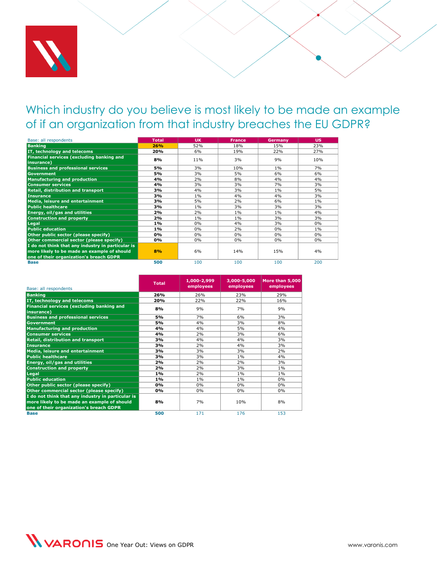

#### <span id="page-27-1"></span><span id="page-27-0"></span>Which industry do you believe is most likely to be made an example of if an organization from that industry breaches the EU GDPR?

| Base: all respondents                                   | <b>Total</b> | <b>UK</b> | <b>France</b> | Germany | <b>US</b> |
|---------------------------------------------------------|--------------|-----------|---------------|---------|-----------|
| <b>Banking</b>                                          | 26%          | 52%       | 18%           | 15%     | 23%       |
| IT, technology and telecoms                             | 20%          | 6%        | 19%           | 22%     | 27%       |
| Financial services (excluding banking and<br>insurance) | 8%           | 11%       | 3%            | 9%      | 10%       |
| <b>Business and professional services</b>               | 5%           | 3%        | 10%           | $1\%$   | 7%        |
| <b>Government</b>                                       | 5%           | 3%        | 5%            | 6%      | 6%        |
| <b>Manufacturing and production</b>                     | 4%           | 2%        | 8%            | 4%      | 4%        |
| <b>Consumer services</b>                                | 4%           | 3%        | 3%            | 7%      | 3%        |
| Retail, distribution and transport                      | 3%           | 4%        | 3%            | $1\%$   | 5%        |
| <b>Insurance</b>                                        | 3%           | $1\%$     | 4%            | 4%      | 3%        |
| Media, leisure and entertainment                        | 3%           | 5%        | 2%            | 6%      | $1\%$     |
| <b>Public healthcare</b>                                | 3%           | $1\%$     | 3%            | 3%      | 3%        |
| <b>Energy, oil/gas and utilities</b>                    | 2%           | 2%        | $1\%$         | $1\%$   | 4%        |
| <b>Construction and property</b>                        | 2%           | $1\%$     | $1\%$         | 3%      | 3%        |
| Legal                                                   | 1%           | 0%        | 4%            | 3%      | 0%        |
| <b>Public education</b>                                 | $1\%$        | 0%        | 2%            | 0%      | $1\%$     |
| Other public sector (please specify)                    | 0%           | $0\%$     | 0%            | 0%      | $0\%$     |
| Other commercial sector (please specify)                | 0%           | $0\%$     | $0\%$         | 0%      | $0\%$     |
| I do not think that any industry in particular is       |              |           |               |         |           |
| more likely to be made an example of should             | 8%           | 6%        | 14%           | 15%     | 4%        |
| one of their organization's breach GDPR                 |              |           |               |         |           |
| <b>Base</b>                                             | 500          | 100       | 100           | 100     | 200       |

| Base: all respondents                                   | <b>Total</b> | 1,000-2,999<br>employees | 3,000-5,000<br>employees | More than 5,000<br>employees |
|---------------------------------------------------------|--------------|--------------------------|--------------------------|------------------------------|
| <b>Banking</b>                                          | 26%          | 26%                      | 23%                      | 29%                          |
| IT, technology and telecoms                             | 20%          | 22%                      | 22%                      | 16%                          |
| Financial services (excluding banking and<br>insurance) | 8%           | 9%                       | 7%                       | 9%                           |
| <b>Business and professional services</b>               | 5%           | 7%                       | 6%                       | 3%                           |
| <b>Government</b>                                       | 5%           | 4%                       | 3%                       | 8%                           |
| <b>Manufacturing and production</b>                     | 4%           | 4%                       | 5%                       | 4%                           |
| <b>Consumer services</b>                                | 4%           | 2%                       | 3%                       | 6%                           |
| <b>Retail, distribution and transport</b>               | 3%           | 4%                       | 4%                       | 3%                           |
| <b>Insurance</b>                                        | 3%           | 2%                       | 4%                       | 3%                           |
| <b>Media, leisure and entertainment</b>                 | 3%           | 3%                       | 3%                       | 2%                           |
| <b>Public healthcare</b>                                | 3%           | 3%                       | 1%                       | 4%                           |
| <b>Energy, oil/gas and utilities</b>                    | 2%           | 2%                       | 2%                       | 3%                           |
| <b>Construction and property</b>                        | 2%           | 2%                       | 3%                       | 1%                           |
| Legal                                                   | 1%           | 2%                       | 1%                       | 1%                           |
| <b>Public education</b>                                 | 1%           | 1%                       | $1\%$                    | 0%                           |
| Other public sector (please specify)                    | 0%           | 0%                       | 0%                       | 0%                           |
| Other commercial sector (please specify)                | 0%           | 0%                       | 0%                       | 0%                           |
| I do not think that any industry in particular is       |              |                          |                          |                              |
| more likely to be made an example of should             | 8%           | 7%                       | 10%                      | 8%                           |
| one of their organization's breach GDPR                 |              |                          |                          |                              |
| <b>Base</b>                                             | 500          | 171                      | 176                      | 153                          |

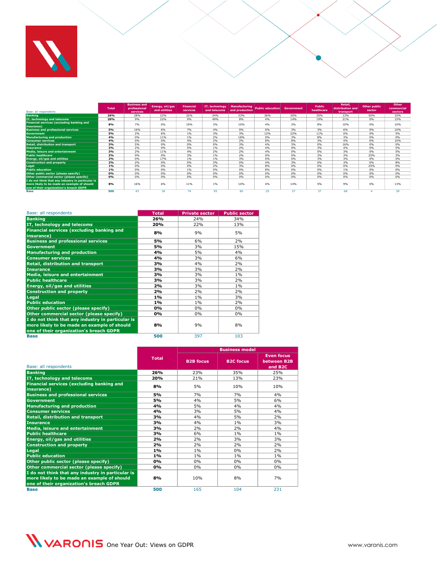

| Base: all respondents                                                                                                                       | <b>Total</b> | <b>Business and</b><br>professional<br>services | Energy, oil/gas<br>and utilities | <b>Financial</b><br>services | IT, technology<br>and telecoms | <b>Manufacturing</b><br>and production | <b>Public education</b> | <b>Government</b> | Public<br>healthcare | Retail,<br>distribution and<br>transport | Other public<br>sector | Other<br>commercial<br>sectors |
|---------------------------------------------------------------------------------------------------------------------------------------------|--------------|-------------------------------------------------|----------------------------------|------------------------------|--------------------------------|----------------------------------------|-------------------------|-------------------|----------------------|------------------------------------------|------------------------|--------------------------------|
| <b>Banking</b>                                                                                                                              | 26%          | 28%                                             | 22%                              | 32%                          | 24%                            | 33%                                    | 36%                     | 30%               | 35%                  | 13%                                      | 50%                    | 10%                            |
| IT, technology and telecoms                                                                                                                 | 20%          | 9%                                              | 22%                              | 9%                           | 49%                            | 8%                                     | 4%                      | 14%               | 19%                  | 21%                                      | 0%                     | 15%                            |
| Financial services (excluding banking and<br>insurance)                                                                                     | 8%           | 7%                                              | 0%                               | 19%                          | 3%                             | 10%                                    | 4%                      | 3%                | 8%                   | 10%                                      | 0%                     | 10%                            |
| <b>Business and professional services</b>                                                                                                   | 5%           | 16%                                             | 6%                               | 7%                           | 4%                             | 0%                                     | 0%                      | 3%                | 3%                   | 6%                                       | 0%                     | 10%                            |
| <b>Government</b>                                                                                                                           | 5%           | 2%                                              | 6%                               | 1%                           | 3%                             | 3%                                     | 12%                     | 22%               | 11%                  | 0%                                       | 0%                     | 5%                             |
| <b>Manufacturing and production</b>                                                                                                         | 4%           | 0%                                              | 11%                              | 1%                           | 2%                             | 18%                                    | 0%                      | 3%                | 8%                   | 3%                                       | 0%                     | 0%                             |
| <b>Consumer services</b>                                                                                                                    | 4%           | 0%                                              | 0%                               | 4%                           | 2%                             | 2%                                     | 8%                      | 8%                | 3%                   | 4%                                       | 0%                     | 10%                            |
| Retail, distribution and transport                                                                                                          | 3%           | 5%                                              | 0%                               | 0%                           | 0%                             | 3%                                     | 4%                      | 3%                | 0%                   | 16%                                      | 0%                     | 0%                             |
| Insurance                                                                                                                                   | 3%           | 2%                                              | 0%                               | 5%                           | 1%                             | 2%                                     | 4%                      | 0%                | 3%                   | 4%                                       | 0%                     | 5%                             |
| Media, leisure and entertainment                                                                                                            | 3%           | 2%                                              | 11%                              | 4%                           | 2%                             | 2%                                     | 4%                      | 0%                | 0%                   | 3%                                       | 0%                     | 5%                             |
| <b>Public healthcare</b>                                                                                                                    | 3%           | 9%                                              | 0%                               | 3%                           | 1%                             | 2%                                     | 0%                      | 0%                | 3%                   | 3%                                       | 25%                    | 3%                             |
| Energy, oil/gas and utilities                                                                                                               | 2%           | 0%                                              | 17%                              | 1%                           | 1%                             | 3%                                     | 0%                      | 0%                | 3%                   | 3%                                       | 0%                     | 5%                             |
| <b>Construction and property</b>                                                                                                            | 2%           | 2%                                              | 0%                               | 0%                           | 3%                             | 0%                                     | 4%                      | 3%                | 0%                   | 3%                                       | 0%                     | 8%                             |
| Legal                                                                                                                                       | 1%           | 0%                                              | 0%                               | 0%                           | 2%                             | 3%                                     | 8%                      | 0%                | 0%                   | 0%                                       | 25%                    | 0%                             |
| <b>Public education</b>                                                                                                                     | 1%           | 0%                                              | 0%                               | 1%                           | 0%                             | 0%                                     | 8%                      | 0%                | 0%                   | 1%                                       | 0%                     | 0%                             |
| Other public sector (please specify)                                                                                                        | 0%           | 0%                                              | 0%                               | 0%                           | 0%                             | 0%                                     | 0%                      | 0%                | 0%                   | 0%                                       | 0%                     | 0%                             |
| Other commercial sector (please specify)                                                                                                    | 0%           | 0%                                              | 0%                               | 0%                           | 0%                             | 0%                                     | 0%                      | 0%                | 0%                   | 0%                                       | 0%                     | 0%                             |
| I do not think that any industry in particular is<br>more likely to be made an example of should<br>one of their organization's breach GDPR | 8%           | 16%                                             | 6%                               | 11%                          | 1%                             | 10%                                    | 4%                      | 14%               | 5%                   | 9%                                       | 0%                     | 13%                            |
| <b>Base</b>                                                                                                                                 | 500          | 43                                              | 18                               | 74                           | 95                             | 60                                     | 25                      | 37                | 37                   | 68                                       |                        | 39                             |

| Base: all respondents                                          | <b>Total</b> | <b>Private sector</b> | <b>Public sector</b> |
|----------------------------------------------------------------|--------------|-----------------------|----------------------|
| <b>Banking</b>                                                 | 26%          | 24%                   | 34%                  |
| IT, technology and telecoms                                    | 20%          | 22%                   | 13%                  |
| <b>Financial services (excluding banking and</b><br>insurance) | 8%           | 9%                    | 5%                   |
| <b>Business and professional services</b>                      | 5%           | 6%                    | 2%                   |
| <b>Government</b>                                              | 5%           | 3%                    | 15%                  |
| <b>Manufacturing and production</b>                            | 4%           | 5%                    | 4%                   |
| <b>Consumer services</b>                                       | 4%           | 3%                    | 6%                   |
| Retail, distribution and transport                             | 3%           | 4%                    | 2%                   |
| <b>Insurance</b>                                               | 3%           | 3%                    | 2%                   |
| Media, leisure and entertainment                               | 3%           | 3%                    | $1\%$                |
| <b>Public healthcare</b>                                       | 3%           | 3%                    | 2%                   |
| <b>Energy, oil/gas and utilities</b>                           | 2%           | 3%                    | $1\%$                |
| <b>Construction and property</b>                               | 2%           | 2%                    | 2%                   |
| <b>Legal</b>                                                   | 1%           | 1%                    | 3%                   |
| <b>Public education</b>                                        | 1%           | $1\%$                 | 2%                   |
| Other public sector (please specify)                           | 0%           | 0%                    | 0%                   |
| Other commercial sector (please specify)                       | 0%           | 0%                    | 0%                   |
| I do not think that any industry in particular is              |              |                       |                      |
| more likely to be made an example of should                    | 8%           | 9%                    | 8%                   |
| one of their organization's breach GDPR                        |              |                       |                      |
| <b>Base</b>                                                    | 500          | 397                   | 103                  |

| Base: all respondents                                                                                                                       | <b>Total</b> | <b>B2B focus</b> | <b>B2C focus</b> | <b>Even focus</b><br>between B2B<br>and B <sub>2C</sub> |
|---------------------------------------------------------------------------------------------------------------------------------------------|--------------|------------------|------------------|---------------------------------------------------------|
| <b>Banking</b>                                                                                                                              | 26%          | 23%              | 35%              | 25%                                                     |
| IT, technology and telecoms                                                                                                                 | 20%          | 21%              | 13%              | 23%                                                     |
| <b>Financial services (excluding banking and</b><br>insurance)                                                                              | 8%           | 5%               | 10%              | 10%                                                     |
| <b>Business and professional services</b>                                                                                                   | <b>5%</b>    | 7%               | 7%               | 4%                                                      |
| <b>Government</b>                                                                                                                           | 5%           | 4%               | 5%               | 6%                                                      |
| <b>Manufacturing and production</b>                                                                                                         | 4%           | 5%               | 4%               | 4%                                                      |
| <b>Consumer services</b>                                                                                                                    | 4%           | 3%               | 5%               | 4%                                                      |
| Retail, distribution and transport                                                                                                          | 3%           | 4%               | 5%               | 2%                                                      |
| <b>Insurance</b>                                                                                                                            | 3%           | 4%               | $1\%$            | 3%                                                      |
| <b>Media, leisure and entertainment</b>                                                                                                     | 3%           | 2%               | 2%               | 4%                                                      |
| <b>Public healthcare</b>                                                                                                                    | 3%           | 6%               | $1\%$            | $1\%$                                                   |
| <b>Energy, oil/gas and utilities</b>                                                                                                        | 2%           | 2%               | 3%               | 3%                                                      |
| <b>Construction and property</b>                                                                                                            | 2%           | 2%               | 2%               | 2%                                                      |
| Legal                                                                                                                                       | 1%           | $1\%$            | 0%               | 2%                                                      |
| <b>Public education</b>                                                                                                                     | 1%           | 1%               | 1%               | 1%                                                      |
| Other public sector (please specify)                                                                                                        | 0%           | 0%               | 0%               | 0%                                                      |
| Other commercial sector (please specify)                                                                                                    | 0%           | 0%               | 0%               | 0%                                                      |
| I do not think that any industry in particular is<br>more likely to be made an example of should<br>one of their organization's breach GDPR | 8%           | 10%              | 8%               | 7%                                                      |
| <b>Base</b>                                                                                                                                 | 500          | 165              | 104              | 231                                                     |

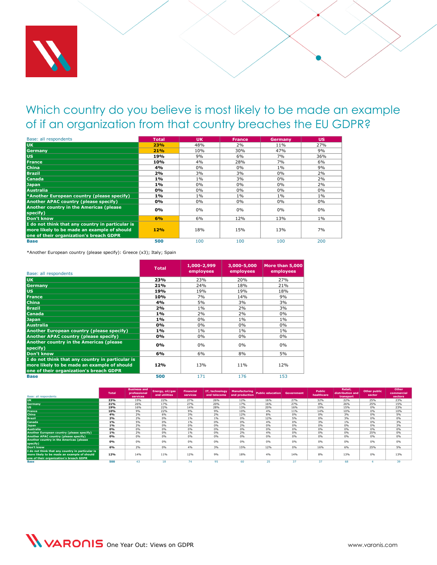

<span id="page-29-1"></span><span id="page-29-0"></span>Which country do you believe is most likely to be made an example of if an organization from that country breaches the EU GDPR?

| Base: all respondents                                                                                                                      | <b>Total</b> | <b>UK</b> | <b>France</b> | Germany | <b>US</b> |
|--------------------------------------------------------------------------------------------------------------------------------------------|--------------|-----------|---------------|---------|-----------|
| <b>UK</b>                                                                                                                                  | <b>23%</b>   | 48%       | 2%            | 11%     | 27%       |
| Germany                                                                                                                                    | 21%          | 10%       | 30%           | 47%     | 9%        |
| lus:                                                                                                                                       | 19%          | 9%        | 6%            | 7%      | 36%       |
| <b>France</b>                                                                                                                              | 10%          | 4%        | 28%           | 7%      | 6%        |
| <b>China</b>                                                                                                                               | 4%           | 0%        | 0%            | $1\%$   | 9%        |
| <b>Brazil</b>                                                                                                                              | 2%           | 3%        | 3%            | 0%      | 2%        |
| <b>Canada</b>                                                                                                                              | 1%           | $1\%$     | 3%            | $0\%$   | 2%        |
| <b>Japan</b>                                                                                                                               | 1%           | $0\%$     | $0\%$         | $0\%$   | 2%        |
| Australia                                                                                                                                  | 0%           | $0\%$     | $0\%$         | 0%      | $0\%$     |
| *Another European country (please specify)                                                                                                 | 1%           | $1\%$     | $1\%$         | $1\%$   | $1\%$     |
| <b>Another APAC country (please specify)</b>                                                                                               | 0%           | $0\%$     | $0\%$         | 0%      | $0\%$     |
| Another country in the Americas (please<br>specify)                                                                                        | 0%           | $0\%$     | 0%            | 0%      | $0\%$     |
| Don't know                                                                                                                                 | 6%           | 6%        | 12%           | 13%     | $1\%$     |
| I do not think that any country in particular is<br>more likely to be made an example of should<br>one of their organization's breach GDPR | 12%          | 18%       | 15%           | 13%     | 7%        |
| <b>Base</b>                                                                                                                                | 500          | 100       | 100           | 100     | 200       |

\*Another European country (please specify): Greece (x3); Italy; Spain

| Base: all respondents                                                                                                                      | <b>Total</b> | $1,000 - 2,999$<br>employees | 3,000-5,000<br>employees | More than 5,000<br>employees |
|--------------------------------------------------------------------------------------------------------------------------------------------|--------------|------------------------------|--------------------------|------------------------------|
| UK.                                                                                                                                        | 23%          | 23%                          | 20%                      | 27%                          |
| <b>Germany</b>                                                                                                                             | 21%          | 24%                          | 18%                      | 21%                          |
| <b>US</b>                                                                                                                                  | 19%          | 19%                          | 19%                      | 18%                          |
| <b>France</b>                                                                                                                              | 10%          | 7%                           | 14%                      | 9%                           |
| <b>China</b>                                                                                                                               | 4%           | 5%                           | 3%                       | 3%                           |
| <b>Brazil</b>                                                                                                                              | 2%           | 1%                           | 2%                       | 3%                           |
| Canada                                                                                                                                     | 1%           | 2%                           | 2%                       | 0%                           |
| <b>Japan</b>                                                                                                                               | 1%           | $0\%$                        | 1%                       | 1%                           |
| <b>Australia</b>                                                                                                                           | $0\%$        | $0\%$                        | 0%                       | $0\%$                        |
| Another European country (please specify)                                                                                                  | 1%           | 1%                           | 1%                       | 1%                           |
| Another APAC country (please specify)                                                                                                      | 0%           | 0%                           | 0%                       | 0%                           |
| Another country in the Americas (please<br>specify)                                                                                        | 0%           | 0%                           | $0\%$                    | 0%                           |
| Don't know                                                                                                                                 | 6%           | 6%                           | 8%                       | 5%                           |
| I do not think that any country in particular is<br>more likely to be made an example of should<br>one of their organization's breach GDPR | 12%          | 13%                          | 11%                      | 12%                          |
| <b>Base</b>                                                                                                                                | 500          | 171                          | 176                      | 153                          |

| Base: all respondents                               | <b>Total</b> | <b>Business and</b><br>professional<br>services | Energy, oil/gas<br>and utilities | <b>Financial</b><br>services | IT, technology<br>and telecoms | and production | Manufacturing Public education | Government | <b>Public</b><br>healthcare | Retail,<br>distribution and<br>transport | Other public<br>sector | Other<br>commercial<br>sectors |
|-----------------------------------------------------|--------------|-------------------------------------------------|----------------------------------|------------------------------|--------------------------------|----------------|--------------------------------|------------|-----------------------------|------------------------------------------|------------------------|--------------------------------|
| <b>UK</b>                                           | 23%          | 19%                                             | 22%                              | 27%                          | 26%                            | 12%            | 16%                            | 27%        | 32%                         | 22%                                      | 25%                    | 23%                            |
| <b>Germany</b>                                      | 21%          | 26%                                             | 17%                              | 27%                          | 20%                            | 17%            | 16%                            | 27%        | 8%                          | 26%                                      | 25%                    | 15%                            |
| <b>US</b>                                           | 19%          | 16%                                             | 22%                              | 14%                          | 28%                            | 13%            | 20%                            | 16%        | 19%                         | 15%                                      | 0%                     | 23%                            |
| <b>France</b>                                       | 10%          | 9%                                              | 22%                              | 9%                           | 9%                             | 10%            | 4%                             | 11%        | 14%                         | 10%                                      | 0%                     | 10%                            |
| China                                               | 4%           | 2%                                              | 6%                               | 3%                           | 2%                             | 12%            | 8%                             | 0%         | 0%                          | 3%                                       | 0%                     | 5%                             |
| <b>Brazil</b>                                       | 2%           | 2%                                              | 0%                               | 1%                           | 1%                             | 0%             | 12%                            | 5%         | 0%                          | 3%                                       | 0%                     | 0%                             |
| Canada                                              | 1%           | 5%                                              | 0%                               | 1%                           | 0%                             | 0%             | 4%                             | 0%         | 3%                          | 1%                                       | 0%                     | 3%                             |
| <b>Japan</b>                                        | 1%           | 2%                                              | 0%                               | 0%                           | 0%                             | 2%             | 0%                             | 0%         | 0%                          | 0%                                       | 0%                     | 3%                             |
| <b>Australia</b>                                    | 0%           | 0%                                              | 0%                               | 0%                           | 0%                             | 0%             | 0%                             | 0%         | 0%                          | 0%                                       | 0%                     | 0%                             |
| Another European country (please specify)           | 1%           | 2%                                              | 0%                               | 1%                           | 0%                             | 2%             | 4%                             | 0%         | 0%                          | 0%                                       | 25%                    | 0%                             |
| Another APAC country (please specify)               | 0%           | 0%                                              | 0%                               | 0%                           | 0%                             | 0%             | 0%                             | 0%         | 0%                          | 0%                                       | 0%                     | 0%                             |
| Another country in the Americas (please<br>specify) | 0%           | 0%                                              | 0%                               | 0%                           | 0%                             | 0%             | 0%                             | 0%         | 0%                          | 0%                                       | 0%                     | 0%                             |
| Don't know                                          | 6%           | 2%                                              | 0%                               | 4%                           | 3%                             | 15%            | 12%                            | 0%         | 16%                         | 6%                                       | 25%                    | 5%                             |
| I do not think that any country in particular is    |              |                                                 |                                  |                              |                                |                |                                |            |                             |                                          |                        |                                |
| more likely to be made an example of should         | 12%          | 14%                                             | 11%                              | 12%                          | 9%                             | 18%            | 4%                             | 14%        | 8%                          | 13%                                      | 0%                     | 13%                            |
| one of their organization's breach GDPR             |              |                                                 |                                  |                              |                                |                |                                |            |                             |                                          |                        |                                |
| Base                                                | 500          | 43                                              | 18                               | 74                           | 95                             | 60             |                                |            |                             | 68                                       |                        | 39                             |

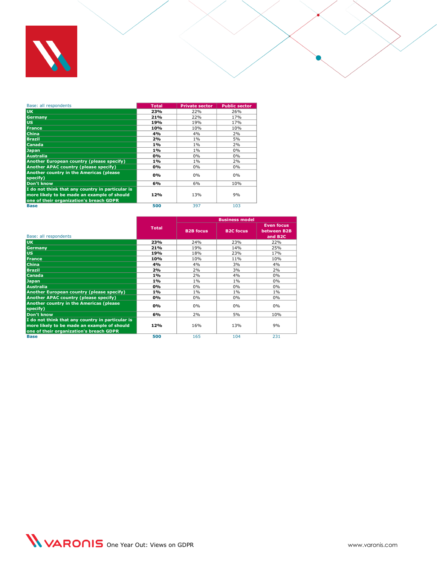

| Base: all respondents                                                                                                                      | <b>Total</b> | <b>Private sector</b> | <b>Public sector</b> |
|--------------------------------------------------------------------------------------------------------------------------------------------|--------------|-----------------------|----------------------|
| <b>UK</b>                                                                                                                                  | 23%          | 22%                   | 26%                  |
| Germany                                                                                                                                    | 21%          | 22%                   | 17%                  |
| lus.                                                                                                                                       | 19%          | 19%                   | 17%                  |
| <b>France</b>                                                                                                                              | 10%          | 10%                   | 10%                  |
| <b>China</b>                                                                                                                               | 4%           | 4%                    | 2%                   |
| <b>Brazil</b>                                                                                                                              | 2%           | 1%                    | 5%                   |
| <b>Canada</b>                                                                                                                              | $1\%$        | 1%                    | 2%                   |
| <b>Japan</b>                                                                                                                               | $1\%$        | $1\%$                 | 0%                   |
| <b>Australia</b>                                                                                                                           | 0%           | 0%                    | 0%                   |
| Another European country (please specify)                                                                                                  | $1\%$        | 1%                    | 2%                   |
| Another APAC country (please specify)                                                                                                      | 0%           | 0%                    | 0%                   |
| Another country in the Americas (please<br>specify)                                                                                        | 0%           | 0%                    | 0%                   |
| Don't know                                                                                                                                 | 6%           | 6%                    | 10%                  |
| I do not think that any country in particular is<br>more likely to be made an example of should<br>one of their organization's breach GDPR | 12%          | 13%                   | 9%                   |
| <b>Base</b>                                                                                                                                | 500          | 397                   | 103                  |

|                                                                                                                                            |              |                  | <b>Business model</b> |                                                         |
|--------------------------------------------------------------------------------------------------------------------------------------------|--------------|------------------|-----------------------|---------------------------------------------------------|
| Base: all respondents                                                                                                                      | <b>Total</b> | <b>B2B</b> focus | <b>B2C</b> focus      | <b>Even focus</b><br>between B2B<br>and B <sub>2C</sub> |
| <b>UK</b>                                                                                                                                  | 23%          | 24%              | 23%                   | 22%                                                     |
| <b>Germany</b>                                                                                                                             | 21%          | 19%              | 14%                   | 25%                                                     |
| <b>US</b>                                                                                                                                  | 19%          | 18%              | 23%                   | 17%                                                     |
| <b>France</b>                                                                                                                              | 10%          | 10%              | 11%                   | 10%                                                     |
| <b>China</b>                                                                                                                               | 4%           | 4%               | 3%                    | 4%                                                      |
| <b>Brazil</b>                                                                                                                              | 2%           | 2%               | 3%                    | 2%                                                      |
| Canada                                                                                                                                     | $1\%$        | 2%               | 4%                    | $0\%$                                                   |
| <b>Japan</b>                                                                                                                               | 1%           | 1%               | 1%                    | $0\%$                                                   |
| <b>Australia</b>                                                                                                                           | 0%           | 0%               | $0\%$                 | $0\%$                                                   |
| Another European country (please specify)                                                                                                  | 1%           | 1%               | 1%                    | 1%                                                      |
| <b>Another APAC country (please specify)</b>                                                                                               | 0%           | 0%               | $0\%$                 | $0\%$                                                   |
| Another country in the Americas (please<br>specify)                                                                                        | 0%           | 0%               | $0\%$                 | $0\%$                                                   |
| Don't know                                                                                                                                 | 6%           | 2%               | 5%                    | 10%                                                     |
| I do not think that any country in particular is<br>more likely to be made an example of should<br>one of their organization's breach GDPR | 12%          | 16%              | 13%                   | 9%                                                      |
| <b>Base</b>                                                                                                                                | 500          | 165              | 104                   | 231                                                     |

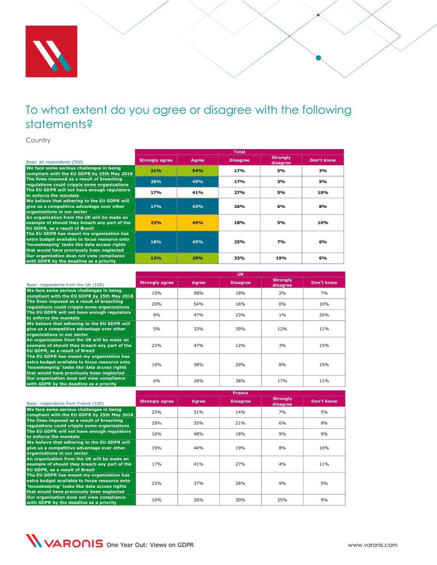

<span id="page-31-0"></span>Country

|                                                                                                                                                                                         | <b>Total</b>          |       |                 |                             |            |  |  |  |
|-----------------------------------------------------------------------------------------------------------------------------------------------------------------------------------------|-----------------------|-------|-----------------|-----------------------------|------------|--|--|--|
| Base: all respondents (500)                                                                                                                                                             | <b>Strongly agree</b> | Agree | <b>Disagree</b> | <b>Strongly</b><br>disagree | Don't know |  |  |  |
| We face some serious challenges in being<br>compliant with the EU GDPR by 25th May 2018                                                                                                 | 21%                   | 54%   | 17%             | 5%                          | 3%         |  |  |  |
| The fines imposed as a result of breaching<br>regulations could cripple some organizations                                                                                              | 26%                   | 49%   | 17%             | 3%                          | 5%         |  |  |  |
| The EU GDPR will not have enough regulators<br>to enforce the mandate                                                                                                                   | 17 <sub>%</sub>       | 41%   | 27%             | 5%                          | 10%        |  |  |  |
| We believe that adhering to the EU GDPR will<br>give us a competitive advantage over other<br>organizations in our sector                                                               | 17%                   | 43%   | 26%             | 6%                          | 8%         |  |  |  |
| An organization from the UK will be made an<br>example of should they breach any part of the<br><b>EU GDPR, as a result of Brexit</b>                                                   | 23%                   | 45%   | 18%             | 5%                          | 10%        |  |  |  |
| The EU GDPR has meant my organization has<br>extra budget available to focus resource onto<br>'housekeeping' tasks like data access rights<br>that would have previously been neglected | 18%                   | 45%   | 25%             | 7%                          | 6%         |  |  |  |
| Our organization does not view compliance<br>with GDPR by the deadline as a priority                                                                                                    | 13%                   | 29%   | 33%             | 19%                         | 6%         |  |  |  |

|                                                                                                                                                                                         | <b>UK</b>             |       |                 |                             |            |  |  |  |
|-----------------------------------------------------------------------------------------------------------------------------------------------------------------------------------------|-----------------------|-------|-----------------|-----------------------------|------------|--|--|--|
| Base: respondents from the UK (100)                                                                                                                                                     | <b>Strongly agree</b> | Agree | <b>Disagree</b> | <b>Strongly</b><br>disagree | Don't know |  |  |  |
| We face some serious challenges in being<br>compliant with the EU GDPR by 25th May 2018                                                                                                 | 15%                   | 58%   | 18%             | 2%                          | 7%         |  |  |  |
| The fines imposed as a result of breaching<br>regulations could cripple some organizations                                                                                              | 20%                   | 54%   | 16%             | 0%                          | 10%        |  |  |  |
| The EU GDPR will not have enough regulators<br>to enforce the mandate                                                                                                                   | 9%                    | 47%   | 23%             | 1%                          | 20%        |  |  |  |
| We believe that adhering to the EU GDPR will<br>give us a competitive advantage over other<br>organizations in our sector                                                               | 5%                    | 33%   | 39%             | 12%                         | 11%        |  |  |  |
| An organization from the UK will be made an<br>example of should they breach any part of the<br><b>EU GDPR, as a result of Brexit</b>                                                   | 23%                   | 47%   | 12%             | 3%                          | 15%        |  |  |  |
| The EU GDPR has meant my organization has<br>extra budget available to focus resource onto<br>'housekeeping' tasks like data access rights<br>that would have previously been neglected | 10%                   | 38%   | 29%             | 8%                          | 15%        |  |  |  |
| Our organization does not view compliance<br>with GDPR by the deadline as a priority                                                                                                    | 6%                    | 28%   | 38%             | 17%                         | 11%        |  |  |  |

|                                                                                                                                                                                         | <b>France</b>         |              |                 |                             |            |  |  |  |
|-----------------------------------------------------------------------------------------------------------------------------------------------------------------------------------------|-----------------------|--------------|-----------------|-----------------------------|------------|--|--|--|
| Base: respondents from France (100)                                                                                                                                                     | <b>Strongly agree</b> | <b>Agree</b> | <b>Disagree</b> | <b>Strongly</b><br>disagree | Don't know |  |  |  |
| We face some serious challenges in being<br>compliant with the EU GDPR by 25th May 2018                                                                                                 | 23%                   | 51%          | 14%             | 7%                          | 5%         |  |  |  |
| The fines imposed as a result of breaching<br>regulations could cripple some organizations                                                                                              | 29%                   | 35%          | 21%             | 6%                          | 9%         |  |  |  |
| The EU GDPR will not have enough regulators<br>to enforce the mandate                                                                                                                   | 16%                   | 48%          | 18%             | 9%                          | 9%         |  |  |  |
| We believe that adhering to the EU GDPR will<br>give us a competitive advantage over other<br>organizations in our sector                                                               | 19%                   | 44%          | 19%             | 8%                          | 10%        |  |  |  |
| An organization from the UK will be made an<br>example of should they breach any part of the<br><b>EU GDPR, as a result of Brexit</b>                                                   | 17 <sub>%</sub>       | 41%          | 27%             | 4%                          | 11%        |  |  |  |
| The EU GDPR has meant my organization has<br>extra budget available to focus resource onto<br>'housekeeping' tasks like data access rights<br>that would have previously been neglected | 23%                   | 37%          | 26%             | 9%                          | 5%         |  |  |  |
| Our organization does not view compliance<br>with GDPR by the deadline as a priority                                                                                                    | 10%                   | 26%          | 30%             | 25%                         | 9%         |  |  |  |

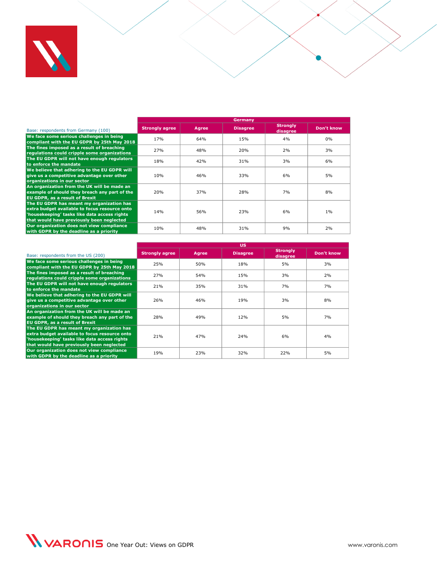

|                                                                                                                                                                                         | Germany               |       |                 |                             |            |  |  |  |
|-----------------------------------------------------------------------------------------------------------------------------------------------------------------------------------------|-----------------------|-------|-----------------|-----------------------------|------------|--|--|--|
| Base: respondents from Germany (100)                                                                                                                                                    | <b>Strongly agree</b> | Agree | <b>Disagree</b> | <b>Strongly</b><br>disagree | Don't know |  |  |  |
| We face some serious challenges in being<br>compliant with the EU GDPR by 25th May 2018                                                                                                 | 17%                   | 64%   | 15%             | 4%                          | 0%         |  |  |  |
| The fines imposed as a result of breaching<br>regulations could cripple some organizations                                                                                              | 27%                   | 48%   | 20%             | 2%                          | 3%         |  |  |  |
| The EU GDPR will not have enough regulators<br>to enforce the mandate                                                                                                                   | 18%                   | 42%   | 31%             | 3%                          | 6%         |  |  |  |
| We believe that adhering to the EU GDPR will<br>give us a competitive advantage over other<br>organizations in our sector                                                               | 10%                   | 46%   | 33%             | 6%                          | 5%         |  |  |  |
| An organization from the UK will be made an<br>example of should they breach any part of the<br><b>EU GDPR, as a result of Brexit</b>                                                   | 20%                   | 37%   | 28%             | 7%                          | 8%         |  |  |  |
| The EU GDPR has meant my organization has<br>extra budget available to focus resource onto<br>'housekeeping' tasks like data access rights<br>that would have previously been neglected | 14%                   | 56%   | 23%             | 6%                          | 1%         |  |  |  |
| Our organization does not view compliance<br>with GDPR by the deadline as a priority                                                                                                    | 10%                   | 48%   | 31%             | 9%                          | 2%         |  |  |  |

|                                                                                                                                                                                         | υs                    |       |                 |                             |            |  |  |  |
|-----------------------------------------------------------------------------------------------------------------------------------------------------------------------------------------|-----------------------|-------|-----------------|-----------------------------|------------|--|--|--|
| Base: respondents from the US (200)                                                                                                                                                     | <b>Strongly agree</b> | Agree | <b>Disagree</b> | <b>Strongly</b><br>disagree | Don't know |  |  |  |
| We face some serious challenges in being<br>compliant with the EU GDPR by 25th May 2018                                                                                                 | 25%                   | 50%   | 18%             | 5%                          | 3%         |  |  |  |
| The fines imposed as a result of breaching<br>regulations could cripple some organizations                                                                                              | 27%                   | 54%   | 15%             | 3%                          | 2%         |  |  |  |
| The EU GDPR will not have enough regulators<br>to enforce the mandate                                                                                                                   | 21%                   | 35%   | 31%             | 7%                          | 7%         |  |  |  |
| We believe that adhering to the EU GDPR will<br>give us a competitive advantage over other<br>organizations in our sector                                                               | 26%                   | 46%   | 19%             | 3%                          | 8%         |  |  |  |
| An organization from the UK will be made an<br>example of should they breach any part of the<br><b>EU GDPR, as a result of Brexit</b>                                                   | 28%                   | 49%   | 12%             | 5%                          | 7%         |  |  |  |
| The EU GDPR has meant my organization has<br>extra budget available to focus resource onto<br>'housekeeping' tasks like data access rights<br>that would have previously been neglected | 21%                   | 47%   | 24%             | 6%                          | 4%         |  |  |  |
| Our organization does not view compliance<br>with GDPR by the deadline as a priority                                                                                                    | 19%                   | 23%   | 32%             | 22%                         | 5%         |  |  |  |

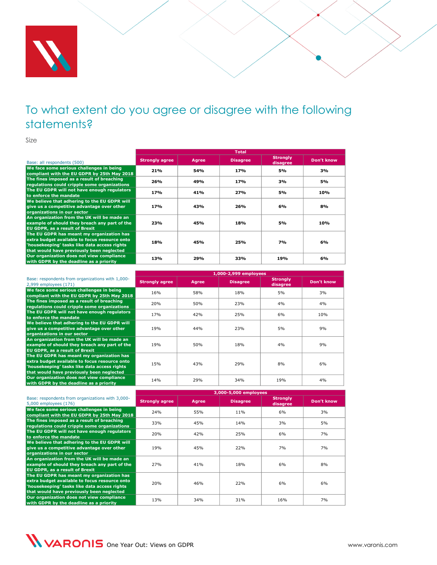

<span id="page-33-0"></span>Size

|                                                                                                                                                                                         | <b>Total</b>          |       |                 |                             |            |  |  |  |
|-----------------------------------------------------------------------------------------------------------------------------------------------------------------------------------------|-----------------------|-------|-----------------|-----------------------------|------------|--|--|--|
| Base: all respondents (500)                                                                                                                                                             | <b>Strongly agree</b> | Agree | <b>Disagree</b> | <b>Strongly</b><br>disagree | Don't know |  |  |  |
| We face some serious challenges in being<br>compliant with the EU GDPR by 25th May 2018                                                                                                 | 21%                   | 54%   | 17%             | 5%                          | 3%         |  |  |  |
| The fines imposed as a result of breaching<br>regulations could cripple some organizations                                                                                              | 26%                   | 49%   | 17%             | 3%                          | 5%         |  |  |  |
| The EU GDPR will not have enough regulators<br>to enforce the mandate                                                                                                                   | 17%                   | 41%   | 27%             | 5%                          | 10%        |  |  |  |
| We believe that adhering to the EU GDPR will<br>give us a competitive advantage over other<br>organizations in our sector                                                               | 17%                   | 43%   | 26%             | 6%                          | 8%         |  |  |  |
| An organization from the UK will be made an<br>example of should they breach any part of the<br><b>EU GDPR, as a result of Brexit</b>                                                   | 23%                   | 45%   | 18%             | 5%                          | 10%        |  |  |  |
| The EU GDPR has meant my organization has<br>extra budget available to focus resource onto<br>'housekeeping' tasks like data access rights<br>that would have previously been neglected | 18%                   | 45%   | 25%             | <b>7%</b>                   | 6%         |  |  |  |
| Our organization does not view compliance<br>with GDPR by the deadline as a priority                                                                                                    | 13%                   | 29%   | 33%             | 19%                         | 6%         |  |  |  |

|                                                                                                                                                                                         | 1,000-2,999 employees |       |                 |                             |            |
|-----------------------------------------------------------------------------------------------------------------------------------------------------------------------------------------|-----------------------|-------|-----------------|-----------------------------|------------|
| Base: respondents from organizations with 1,000-<br>2,999 employees (171)                                                                                                               | <b>Strongly agree</b> | Agree | <b>Disagree</b> | <b>Strongly</b><br>disagree | Don't know |
| We face some serious challenges in being<br>compliant with the EU GDPR by 25th May 2018                                                                                                 | 16%                   | 58%   | 18%             | 5%                          | 3%         |
| The fines imposed as a result of breaching<br>regulations could cripple some organizations                                                                                              | 20%                   | 50%   | 23%             | 4%                          | 4%         |
| The EU GDPR will not have enough regulators<br>to enforce the mandate                                                                                                                   | 17%                   | 42%   | 25%             | 6%                          | 10%        |
| We believe that adhering to the EU GDPR will<br>give us a competitive advantage over other<br>organizations in our sector                                                               | 19 <sub>%</sub>       | 44%   | 23%             | 5%                          | 9%         |
| An organization from the UK will be made an<br>example of should they breach any part of the<br><b>EU GDPR, as a result of Brexit</b>                                                   | 19 <sub>%</sub>       | 50%   | 18%             | 4%                          | 9%         |
| The EU GDPR has meant my organization has<br>extra budget available to focus resource onto<br>'housekeeping' tasks like data access rights<br>that would have previously been neglected | 15%                   | 43%   | 29%             | 8%                          | 6%         |
| Our organization does not view compliance<br>with GDPR by the deadline as a priority                                                                                                    | 14%                   | 29%   | 34%             | 19%                         | 4%         |

|                                                                                                                                                                                         | 3,000-5,000 employees |              |                 |                             |            |
|-----------------------------------------------------------------------------------------------------------------------------------------------------------------------------------------|-----------------------|--------------|-----------------|-----------------------------|------------|
| Base: respondents from organizations with 3,000-<br>5,000 employees (176)                                                                                                               | <b>Strongly agree</b> | <b>Agree</b> | <b>Disagree</b> | <b>Strongly</b><br>disagree | Don't know |
| We face some serious challenges in being<br>compliant with the EU GDPR by 25th May 2018                                                                                                 | 24%                   | 55%          | 11%             | 6%                          | 3%         |
| The fines imposed as a result of breaching<br>regulations could cripple some organizations                                                                                              | 33%                   | 45%          | 14%             | 3%                          | 5%         |
| The EU GDPR will not have enough regulators<br>to enforce the mandate                                                                                                                   | 20%                   | 42%          | 25%             | 6%                          | 7%         |
| We believe that adhering to the EU GDPR will<br>give us a competitive advantage over other<br>organizations in our sector                                                               | 19%                   | 45%          | 22%             | 7%                          | 7%         |
| An organization from the UK will be made an<br>example of should they breach any part of the<br><b>EU GDPR, as a result of Brexit</b>                                                   | 27%                   | 41%          | 18%             | 6%                          | 8%         |
| The EU GDPR has meant my organization has<br>extra budget available to focus resource onto<br>'housekeeping' tasks like data access rights<br>that would have previously been neglected | 20%                   | 46%          | 22%             | 6%                          | 6%         |
| Our organization does not view compliance<br>with GDPR by the deadline as a priority                                                                                                    | 13%                   | 34%          | 31%             | 16%                         | 7%         |

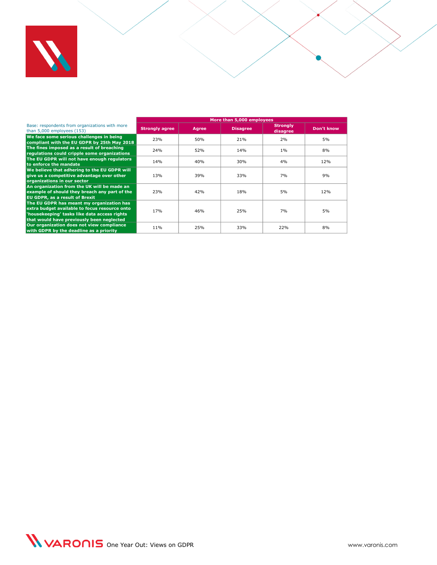

|                                                                                                                                                                                         | More than 5,000 employees |       |                 |                             |            |
|-----------------------------------------------------------------------------------------------------------------------------------------------------------------------------------------|---------------------------|-------|-----------------|-----------------------------|------------|
| Base: respondents from organizations with more<br>than $5,000$ employees $(153)$                                                                                                        | <b>Strongly agree</b>     | Agree | <b>Disagree</b> | <b>Strongly</b><br>disagree | Don't know |
| We face some serious challenges in being<br>compliant with the EU GDPR by 25th May 2018                                                                                                 | 23%                       | 50%   | 21%             | 2%                          | 5%         |
| The fines imposed as a result of breaching<br>regulations could cripple some organizations                                                                                              | 24%                       | 52%   | 14%             | 1%                          | 8%         |
| The EU GDPR will not have enough regulators<br>to enforce the mandate                                                                                                                   | 14%                       | 40%   | 30%             | 4%                          | 12%        |
| We believe that adhering to the EU GDPR will<br>give us a competitive advantage over other<br>organizations in our sector                                                               | 13%                       | 39%   | 33%             | 7%                          | 9%         |
| An organization from the UK will be made an<br>example of should they breach any part of the<br><b>EU GDPR, as a result of Brexit</b>                                                   | 23%                       | 42%   | 18%             | 5%                          | 12%        |
| The EU GDPR has meant my organization has<br>extra budget available to focus resource onto<br>'housekeeping' tasks like data access rights<br>that would have previously been neglected | 17%                       | 46%   | 25%             | 7%                          | 5%         |
| Our organization does not view compliance<br>with GDPR by the deadline as a priority                                                                                                    | 11%                       | 25%   | 33%             | 22%                         | 8%         |

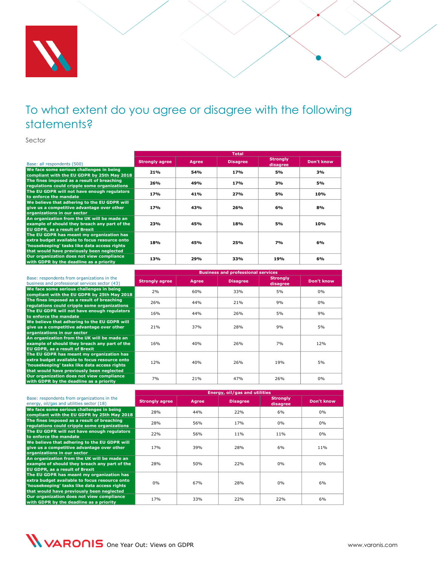

<span id="page-35-0"></span>Sector

|                                                                                                                                                                                         | <b>Total</b>          |       |                 |                             |            |  |
|-----------------------------------------------------------------------------------------------------------------------------------------------------------------------------------------|-----------------------|-------|-----------------|-----------------------------|------------|--|
| Base: all respondents (500)                                                                                                                                                             | <b>Strongly agree</b> | Agree | <b>Disagree</b> | <b>Strongly</b><br>disagree | Don't know |  |
| We face some serious challenges in being<br>compliant with the EU GDPR by 25th May 2018                                                                                                 | 21%                   | 54%   | 17 <sub>%</sub> | 5%                          | 3%         |  |
| The fines imposed as a result of breaching<br>regulations could cripple some organizations                                                                                              | 26%                   | 49%   | 17 <sub>%</sub> | 3%                          | 5%         |  |
| The EU GDPR will not have enough regulators<br>to enforce the mandate                                                                                                                   | 17%                   | 41%   | 27%             | 5%                          | 10%        |  |
| We believe that adhering to the EU GDPR will<br>give us a competitive advantage over other<br>organizations in our sector                                                               | 17%                   | 43%   | 26%             | 6%                          | 8%         |  |
| An organization from the UK will be made an<br>example of should they breach any part of the<br><b>EU GDPR, as a result of Brexit</b>                                                   | 23%                   | 45%   | 18%             | 5%                          | 10%        |  |
| The EU GDPR has meant my organization has<br>extra budget available to focus resource onto<br>'housekeeping' tasks like data access rights<br>that would have previously been neglected | 18%                   | 45%   | 25%             | 7%                          | 6%         |  |
| Our organization does not view compliance<br>with GDPR by the deadline as a priority                                                                                                    | 13%                   | 29%   | 33%             | 19%                         | 6%         |  |

|                                                                                                                                                                                         | <b>Business and professional services</b> |       |                 |                             |            |  |
|-----------------------------------------------------------------------------------------------------------------------------------------------------------------------------------------|-------------------------------------------|-------|-----------------|-----------------------------|------------|--|
| Base: respondents from organizations in the<br>business and professional services sector (43)                                                                                           | <b>Strongly agree</b>                     | Agree | <b>Disagree</b> | <b>Strongly</b><br>disagree | Don't know |  |
| We face some serious challenges in being<br>compliant with the EU GDPR by 25th May 2018                                                                                                 | 2%                                        | 60%   | 33%             | 5%                          | 0%         |  |
| The fines imposed as a result of breaching<br>regulations could cripple some organizations                                                                                              | 26%                                       | 44%   | 21%             | 9%                          | 0%         |  |
| The EU GDPR will not have enough regulators<br>to enforce the mandate                                                                                                                   | 16%                                       | 44%   | 26%             | 5%                          | 9%         |  |
| We believe that adhering to the EU GDPR will<br>give us a competitive advantage over other<br>organizations in our sector                                                               | 21%                                       | 37%   | 28%             | 9%                          | 5%         |  |
| An organization from the UK will be made an<br>example of should they breach any part of the<br>EU GDPR, as a result of Brexit                                                          | 16%                                       | 40%   | 26%             | 7%                          | 12%        |  |
| The EU GDPR has meant my organization has<br>extra budget available to focus resource onto<br>'housekeeping' tasks like data access rights<br>that would have previously been neglected | 12%                                       | 40%   | 26%             | 19%                         | 5%         |  |
| Our organization does not view compliance<br>with GDPR by the deadline as a priority                                                                                                    | 7%                                        | 21%   | 47%             | 26%                         | 0%         |  |

|                                                                                                                                                                                         |                       | <b>Energy, oil/gas and utilities</b> |                 |                             |            |  |
|-----------------------------------------------------------------------------------------------------------------------------------------------------------------------------------------|-----------------------|--------------------------------------|-----------------|-----------------------------|------------|--|
| Base: respondents from organizations in the<br>energy, oil/gas and utilities sector (18)                                                                                                | <b>Strongly agree</b> | <b>Agree</b>                         | <b>Disagree</b> | <b>Strongly</b><br>disagree | Don't know |  |
| We face some serious challenges in being<br>compliant with the EU GDPR by 25th May 2018                                                                                                 | 28%                   | 44%                                  | 22%             | 6%                          | 0%         |  |
| The fines imposed as a result of breaching<br>regulations could cripple some organizations                                                                                              | 28%                   | 56%                                  | 17%             | 0%                          | 0%         |  |
| The EU GDPR will not have enough regulators<br>to enforce the mandate                                                                                                                   | 22%                   | 56%                                  | 11%             | 11%                         | 0%         |  |
| We believe that adhering to the EU GDPR will<br>give us a competitive advantage over other<br>organizations in our sector                                                               | 17 <sub>%</sub>       | 39%                                  | 28%             | 6%                          | 11%        |  |
| An organization from the UK will be made an<br>example of should they breach any part of the<br><b>EU GDPR, as a result of Brexit</b>                                                   | 28%                   | 50%                                  | 22%             | 0%                          | 0%         |  |
| The EU GDPR has meant my organization has<br>extra budget available to focus resource onto<br>'housekeeping' tasks like data access rights<br>that would have previously been neglected | 0%                    | 67%                                  | 28%             | $0\%$                       | 6%         |  |
| Our organization does not view compliance<br>with GDPR by the deadline as a priority                                                                                                    | 17%                   | 33%                                  | 22%             | 22%                         | 6%         |  |

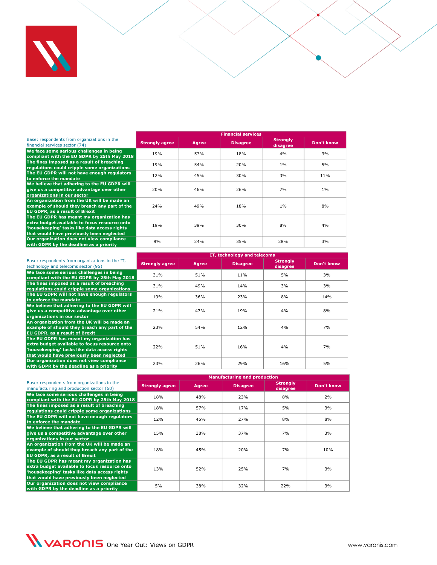

#### Base: respondents from organizations in the

| We face some serious challenges in being                                  |  |
|---------------------------------------------------------------------------|--|
| compliant with the EU GDPR by 25th May 2018                               |  |
| The fines imposed as a result of breaching                                |  |
| regulations could cripple some organizations                              |  |
| The EU GDPR will not have enough regulators                               |  |
| to enforce the mandate                                                    |  |
| tara da a Dias da Tabaira a dheesha a tara tabair 1911. Wixiyo wasan 1911 |  |

**We believe that adhering to the EU GDPR will give us a competitive advantage over other** 

**organizations in our sector An organization from the UK will be made an example of should they breach any part of the EU GDPR, as a result of Brexit**

**The EU GDPR has meant my organization has extra budget available to focus resource onto 'housekeeping' tasks like data access rights** 

financial services sector (74) **Strongly agree Agree Disagree Strongly disagree Don't know compliant with the EU GDPR by 25th May 2018** 19% 57% 18% 18% 4% 4% 3% 3% **regulations could cripple some organizations** 19% 54% 20% 1% 5% **to enforce the mandate** cheesing check and the state and the state and the state of the mandate the mandate the mandate of the state of the state of the state of the state of the state of the state of the state of the sta 20% 46% 26% 7% 1% 24% | 49% | 18% | 1% | 8% **that would have previously been neglected**<br>Our organization does not view compliance 9% 35% 28% 3%<br>with GDPR by the deadline as a priority 19% 39% 30% 8% 4%

**Financial services**

|                                                                                                                                                                                         |                       | IT, technology and telecoms |                 |                             |            |  |  |
|-----------------------------------------------------------------------------------------------------------------------------------------------------------------------------------------|-----------------------|-----------------------------|-----------------|-----------------------------|------------|--|--|
| Base: respondents from organizations in the IT,<br>technology and telecoms sector (95)                                                                                                  | <b>Strongly agree</b> | Agree                       | <b>Disagree</b> | <b>Strongly</b><br>disagree | Don't know |  |  |
| We face some serious challenges in being<br>compliant with the EU GDPR by 25th May 2018                                                                                                 | 31%                   | 51%                         | 11%             | 5%                          | 3%         |  |  |
| The fines imposed as a result of breaching<br>regulations could cripple some organizations                                                                                              | 31%                   | 49%                         | 14%             | 3%                          | 3%         |  |  |
| The EU GDPR will not have enough regulators<br>to enforce the mandate                                                                                                                   | 19%                   | 36%                         | 23%             | 8%                          | 14%        |  |  |
| We believe that adhering to the EU GDPR will<br>give us a competitive advantage over other<br>organizations in our sector                                                               | 21%                   | 47%                         | 19%             | 4%                          | 8%         |  |  |
| An organization from the UK will be made an<br>example of should they breach any part of the<br><b>EU GDPR, as a result of Brexit</b>                                                   | 23%                   | 54%                         | 12%             | 4%                          | 7%         |  |  |
| The EU GDPR has meant my organization has<br>extra budget available to focus resource onto<br>'housekeeping' tasks like data access rights<br>that would have previously been neglected | 22%                   | 51%                         | 16%             | 4%                          | 7%         |  |  |
| Our organization does not view compliance<br>with GDPR by the deadline as a priority                                                                                                    | 23%                   | 26%                         | 29%             | 16%                         | 5%         |  |  |

|                                                                                                                                                                                         | <b>Manufacturing and production</b> |       |                 |                             |                   |  |
|-----------------------------------------------------------------------------------------------------------------------------------------------------------------------------------------|-------------------------------------|-------|-----------------|-----------------------------|-------------------|--|
| Base: respondents from organizations in the<br>manufacturing and production sector (60)                                                                                                 | <b>Strongly agree</b>               | Agree | <b>Disagree</b> | <b>Strongly</b><br>disagree | <b>Don't know</b> |  |
| We face some serious challenges in being<br>compliant with the EU GDPR by 25th May 2018                                                                                                 | 18%                                 | 48%   | 23%             | 8%                          | 2%                |  |
| The fines imposed as a result of breaching<br>regulations could cripple some organizations                                                                                              | 18%                                 | 57%   | 17%             | 5%                          | 3%                |  |
| The EU GDPR will not have enough regulators<br>to enforce the mandate                                                                                                                   | 12%                                 | 45%   | 27%             | 8%                          | 8%                |  |
| We believe that adhering to the EU GDPR will<br>give us a competitive advantage over other<br>organizations in our sector                                                               | 15%                                 | 38%   | 37%             | 7%                          | 3%                |  |
| An organization from the UK will be made an<br>example of should they breach any part of the<br><b>EU GDPR, as a result of Brexit</b>                                                   | 18%                                 | 45%   | 20%             | 7%                          | 10%               |  |
| The EU GDPR has meant my organization has<br>extra budget available to focus resource onto<br>'housekeeping' tasks like data access rights<br>that would have previously been neglected | 13%                                 | 52%   | 25%             | 7%                          | 3%                |  |
| Our organization does not view compliance<br>with GDPR by the deadline as a priority                                                                                                    | 5%                                  | 38%   | 32%             | 22%                         | 3%                |  |

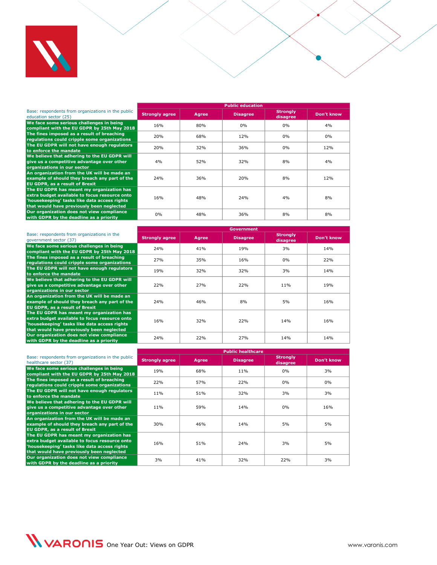

|                                                                                                                                                                                         | <b>Public education</b> |              |                 |                             |            |  |  |
|-----------------------------------------------------------------------------------------------------------------------------------------------------------------------------------------|-------------------------|--------------|-----------------|-----------------------------|------------|--|--|
| Base: respondents from organizations in the public<br>education sector (25)                                                                                                             | <b>Strongly agree</b>   | <b>Agree</b> | <b>Disagree</b> | <b>Strongly</b><br>disagree | Don't know |  |  |
| We face some serious challenges in being<br>compliant with the EU GDPR by 25th May 2018                                                                                                 | 16%                     | 80%          | 0%              | 0%                          | 4%         |  |  |
| The fines imposed as a result of breaching<br>regulations could cripple some organizations                                                                                              | 20%                     | 68%          | 12%             | 0%                          | 0%         |  |  |
| The EU GDPR will not have enough regulators<br>to enforce the mandate                                                                                                                   | 20%                     | 32%          | 36%             | 0%                          | 12%        |  |  |
| We believe that adhering to the EU GDPR will<br>give us a competitive advantage over other<br>organizations in our sector                                                               | 4%                      | 52%          | 32%             | 8%                          | 4%         |  |  |
| An organization from the UK will be made an<br>example of should they breach any part of the<br><b>EU GDPR, as a result of Brexit</b>                                                   | 24%                     | 36%          | 20%             | 8%                          | 12%        |  |  |
| The EU GDPR has meant my organization has<br>extra budget available to focus resource onto<br>'housekeeping' tasks like data access rights<br>that would have previously been neglected | 16%                     | 48%          | 24%             | 4%                          | 8%         |  |  |
| Our organization does not view compliance<br>with GDPR by the deadline as a priority                                                                                                    | 0%                      | 48%          | 36%             | 8%                          | 8%         |  |  |

|                                                                                                                                                                                         | <b>Government</b>     |              |                 |                             |            |  |
|-----------------------------------------------------------------------------------------------------------------------------------------------------------------------------------------|-----------------------|--------------|-----------------|-----------------------------|------------|--|
| Base: respondents from organizations in the<br>qovernment sector (37)                                                                                                                   | <b>Strongly agree</b> | <b>Agree</b> | <b>Disagree</b> | <b>Strongly</b><br>disagree | Don't know |  |
| We face some serious challenges in being<br>compliant with the EU GDPR by 25th May 2018                                                                                                 | 24%                   | 41%          | 19%             | 3%                          | 14%        |  |
| The fines imposed as a result of breaching<br>regulations could cripple some organizations                                                                                              | 27%                   | 35%          | 16%             | $0\%$                       | 22%        |  |
| The EU GDPR will not have enough regulators<br>to enforce the mandate                                                                                                                   | 19%                   | 32%          | 32%             | 3%                          | 14%        |  |
| We believe that adhering to the EU GDPR will<br>give us a competitive advantage over other<br>organizations in our sector                                                               | 22%                   | 27%          | 22%             | 11%                         | 19%        |  |
| An organization from the UK will be made an<br>example of should they breach any part of the<br><b>EU GDPR, as a result of Brexit</b>                                                   | 24%                   | 46%          | 8%              | 5%                          | 16%        |  |
| The EU GDPR has meant my organization has<br>extra budget available to focus resource onto<br>'housekeeping' tasks like data access rights<br>that would have previously been neglected | 16%                   | 32%          | 22%             | 14%                         | 16%        |  |
| Our organization does not view compliance<br>with GDPR by the deadline as a priority                                                                                                    | 24%                   | 22%          | 27%             | 14%                         | 14%        |  |

|                                                                                                                                                                                         |                       | <b>Public healthcare</b> |                 |                             |            |  |  |
|-----------------------------------------------------------------------------------------------------------------------------------------------------------------------------------------|-----------------------|--------------------------|-----------------|-----------------------------|------------|--|--|
| Base: respondents from organizations in the public<br>healthcare sector (37)                                                                                                            | <b>Strongly agree</b> | Agree                    | <b>Disagree</b> | <b>Strongly</b><br>disagree | Don't know |  |  |
| We face some serious challenges in being<br>compliant with the EU GDPR by 25th May 2018                                                                                                 | 19%                   | 68%                      | 11%             | $0\%$                       | 3%         |  |  |
| The fines imposed as a result of breaching<br>regulations could cripple some organizations                                                                                              | 22%                   | 57%                      | 22%             | $0\%$                       | 0%         |  |  |
| The EU GDPR will not have enough regulators<br>to enforce the mandate                                                                                                                   | 11%                   | 51%                      | 32%             | 3%                          | 3%         |  |  |
| We believe that adhering to the EU GDPR will<br>give us a competitive advantage over other<br>organizations in our sector                                                               | 11%                   | 59%                      | 14%             | $0\%$                       | 16%        |  |  |
| An organization from the UK will be made an<br>example of should they breach any part of the<br><b>EU GDPR, as a result of Brexit</b>                                                   | 30%                   | 46%                      | 14%             | 5%                          | 5%         |  |  |
| The EU GDPR has meant my organization has<br>extra budget available to focus resource onto<br>'housekeeping' tasks like data access rights<br>that would have previously been neglected | 16%                   | 51%                      | 24%             | 3%                          | 5%         |  |  |
| Our organization does not view compliance<br>with GDPR by the deadline as a priority                                                                                                    | 3%                    | 41%                      | 32%             | 22%                         | 3%         |  |  |

WARONIS One Year Out: Views on GDPR www.varonis.com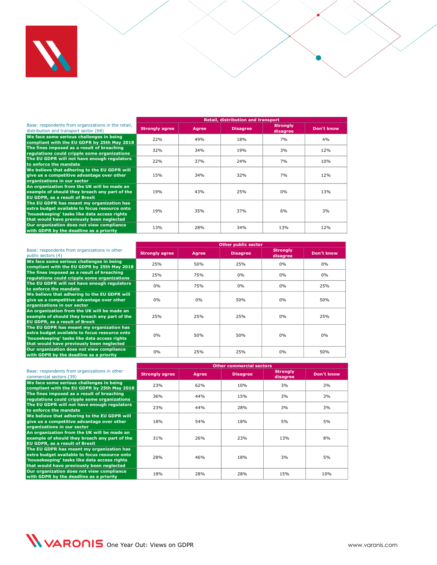

Base: respondents from organizations in the retail,

**We believe that adhering to the EU GDPR will give us a competitive advantage over other organizations in our sector**

**An organization from the UK will be made an example of should they breach any part of the EU GDPR, as a result of Brexit**

**The EU GDPR has meant my organization has extra budget available to focus resource onto 'housekeeping' tasks like data access rights that would have previously been neglected**

Base: respondents from organizations in the retail, **Strongly agree | Agree | Disagree | Strongly | Strongly <b>Strongly | Strongly | Strongly | Strongly** | **Bagree** | **Bagree** | **Bagree | Bagree | Bagree | Bagree | Bagree | disagree Don't know We face some serious challenges in being compliant with the EU GDPR by 25th May 2018** 22% 49% 18% 7% 4% **The fines imposed as a result of breaching regulations could cripple some organizations** 32% 34% 19% 3% 12% **The EU GDPR will not have enough regulators the EU GDPR will not have enough regulators** 22% 237% 24% 24% 24% 7% 10% 15% 34% 32% 7% 12% 19% 43% 25% 0% 13% 19% 35% 37% 6% 3% **Our organization does not view compliance with GDPR by the deadline as a priority** 13% 28% 34% 13% 12%

**Retail, distribution and transport**

|                                                                                                                                                                                         | <b>Other public sector</b> |              |                 |                             |            |  |
|-----------------------------------------------------------------------------------------------------------------------------------------------------------------------------------------|----------------------------|--------------|-----------------|-----------------------------|------------|--|
| Base: respondents from organizations in other<br>public sectors (4)                                                                                                                     | <b>Strongly agree</b>      | <b>Agree</b> | <b>Disagree</b> | <b>Strongly</b><br>disagree | Don't know |  |
| We face some serious challenges in being<br>compliant with the EU GDPR by 25th May 2018                                                                                                 | 25%                        | 50%          | 25%             | $0\%$                       | 0%         |  |
| The fines imposed as a result of breaching<br>regulations could cripple some organizations                                                                                              | 25%                        | 75%          | 0%              | $0\%$                       | $0\%$      |  |
| The EU GDPR will not have enough regulators<br>to enforce the mandate                                                                                                                   | 0%                         | 75%          | 0%              | 0%                          | 25%        |  |
| We believe that adhering to the EU GDPR will<br>give us a competitive advantage over other<br>organizations in our sector                                                               | 0%                         | 0%           | 50%             | 0%                          | 50%        |  |
| An organization from the UK will be made an<br>example of should they breach any part of the<br><b>EU GDPR, as a result of Brexit</b>                                                   | 25%                        | 25%          | 25%             | $0\%$                       | 25%        |  |
| The EU GDPR has meant my organization has<br>extra budget available to focus resource onto<br>'housekeeping' tasks like data access rights<br>that would have previously been neglected | 0%                         | 50%          | 50%             | $0\%$                       | 0%         |  |
| Our organization does not view compliance<br>with GDPR by the deadline as a priority                                                                                                    | 0%                         | 25%          | 25%             | 0%                          | 50%        |  |

|                                                                                                                                                                                         | <b>Other commercial sectors</b> |              |                 |                             |            |  |
|-----------------------------------------------------------------------------------------------------------------------------------------------------------------------------------------|---------------------------------|--------------|-----------------|-----------------------------|------------|--|
| Base: respondents from organizations in other<br>commercial sectors (39)                                                                                                                | <b>Strongly agree</b>           | <b>Agree</b> | <b>Disagree</b> | <b>Strongly</b><br>disagree | Don't know |  |
| We face some serious challenges in being<br>compliant with the EU GDPR by 25th May 2018                                                                                                 | 23%                             | 62%          | 10%             | 3%                          | 3%         |  |
| The fines imposed as a result of breaching<br>regulations could cripple some organizations                                                                                              | 36%                             | 44%          | 15%             | 3%                          | 3%         |  |
| The EU GDPR will not have enough regulators<br>to enforce the mandate                                                                                                                   | 23%                             | 44%          | 28%             | 3%                          | 3%         |  |
| We believe that adhering to the EU GDPR will<br>give us a competitive advantage over other<br>organizations in our sector                                                               | 18%                             | 54%          | 18%             | 5%                          | 5%         |  |
| An organization from the UK will be made an<br>example of should they breach any part of the<br>EU GDPR, as a result of Brexit                                                          | 31%                             | 26%          | 23%             | 13%                         | 8%         |  |
| The EU GDPR has meant my organization has<br>extra budget available to focus resource onto<br>'housekeeping' tasks like data access rights<br>that would have previously been neglected | 28%                             | 46%          | 18%             | 3%                          | 5%         |  |
| Our organization does not view compliance<br>with GDPR by the deadline as a priority                                                                                                    | 18%                             | 28%          | 28%             | 15%                         | 10%        |  |

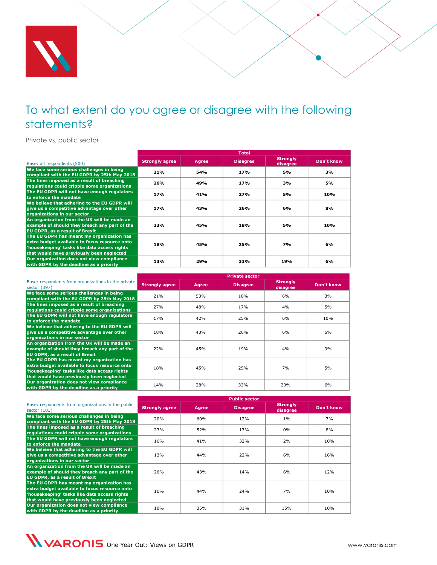

<span id="page-39-0"></span>Private vs. public sector

|                                                                                                                                                                                         |                       | Total |                 |                             |            |  |  |  |
|-----------------------------------------------------------------------------------------------------------------------------------------------------------------------------------------|-----------------------|-------|-----------------|-----------------------------|------------|--|--|--|
| Base: all respondents (500)                                                                                                                                                             | <b>Strongly agree</b> | Agree | <b>Disagree</b> | <b>Strongly</b><br>disagree | Don't know |  |  |  |
| We face some serious challenges in being<br>compliant with the EU GDPR by 25th May 2018                                                                                                 | 21%                   | 54%   | 17%             | 5%                          | 3%         |  |  |  |
| The fines imposed as a result of breaching<br>regulations could cripple some organizations                                                                                              | 26%                   | 49%   | 17%             | 3%                          | 5%         |  |  |  |
| The EU GDPR will not have enough regulators<br>to enforce the mandate                                                                                                                   | 17%                   | 41%   | 27%             | 5%                          | 10%        |  |  |  |
| We believe that adhering to the EU GDPR will<br>give us a competitive advantage over other<br>organizations in our sector                                                               | 17%                   | 43%   | 26%             | 6%                          | 8%         |  |  |  |
| An organization from the UK will be made an<br>example of should they breach any part of the<br><b>EU GDPR, as a result of Brexit</b>                                                   | 23%                   | 45%   | 18%             | 5%                          | 10%        |  |  |  |
| The EU GDPR has meant my organization has<br>extra budget available to focus resource onto<br>'housekeeping' tasks like data access rights<br>that would have previously been neglected | 18%                   | 45%   | 25%             | <b>7%</b>                   | 6%         |  |  |  |
| Our organization does not view compliance<br>with GDPR by the deadline as a priority                                                                                                    | 13%                   | 29%   | 33%             | 19%                         | 6%         |  |  |  |

|                                                                                                                                                                                         |                       | <b>Private sector</b> |                 |                              |            |  |  |
|-----------------------------------------------------------------------------------------------------------------------------------------------------------------------------------------|-----------------------|-----------------------|-----------------|------------------------------|------------|--|--|
| Base: respondents from organizations in the private<br>sector (397)                                                                                                                     | <b>Strongly agree</b> | <b>Agree</b>          | <b>Disagree</b> | <b>Strongly</b><br>disagree, | Don't know |  |  |
| We face some serious challenges in being<br>compliant with the EU GDPR by 25th May 2018                                                                                                 | 21%                   | 53%                   | 18%             | 6%                           | 3%         |  |  |
| The fines imposed as a result of breaching<br>regulations could cripple some organizations                                                                                              | 27%                   | 48%                   | 17%             | 4%                           | 5%         |  |  |
| The EU GDPR will not have enough regulators<br>to enforce the mandate                                                                                                                   | 17 <sub>%</sub>       | 42%                   | 25%             | 6%                           | 10%        |  |  |
| We believe that adhering to the EU GDPR will<br>give us a competitive advantage over other<br>organizations in our sector                                                               | 18%                   | 43%                   | 26%             | 6%                           | 6%         |  |  |
| An organization from the UK will be made an<br>example of should they breach any part of the<br><b>EU GDPR, as a result of Brexit</b>                                                   | 22%                   | 45%                   | 19%             | 4%                           | 9%         |  |  |
| The EU GDPR has meant my organization has<br>extra budget available to focus resource onto<br>'housekeeping' tasks like data access rights<br>that would have previously been neglected | 18%                   | 45%                   | 25%             | 7%                           | 5%         |  |  |
| Our organization does not view compliance<br>with GDPR by the deadline as a priority                                                                                                    | 14%                   | 28%                   | 33%             | 20%                          | 6%         |  |  |

|                                                                                                                                                                                         | <b>Public sector</b>  |       |                 |                             |            |  |  |
|-----------------------------------------------------------------------------------------------------------------------------------------------------------------------------------------|-----------------------|-------|-----------------|-----------------------------|------------|--|--|
| Base: respondents from organizations in the public<br>sector (103)                                                                                                                      | <b>Strongly agree</b> | Agree | <b>Disagree</b> | <b>Strongly</b><br>disagree | Don't know |  |  |
| We face some serious challenges in being<br>compliant with the EU GDPR by 25th May 2018                                                                                                 | 20%                   | 60%   | 12%             | $1\%$                       | 7%         |  |  |
| The fines imposed as a result of breaching<br>regulations could cripple some organizations                                                                                              | 23%                   | 52%   | 17%             | $0\%$                       | 8%         |  |  |
| The EU GDPR will not have enough regulators<br>to enforce the mandate                                                                                                                   | 16%                   | 41%   | 32%             | 2%                          | 10%        |  |  |
| We believe that adhering to the EU GDPR will<br>give us a competitive advantage over other<br>organizations in our sector                                                               | 13%                   | 44%   | 22%             | 6%                          | 16%        |  |  |
| An organization from the UK will be made an<br>example of should they breach any part of the<br><b>EU GDPR, as a result of Brexit</b>                                                   | 26%                   | 43%   | 14%             | 6%                          | 12%        |  |  |
| The EU GDPR has meant my organization has<br>extra budget available to focus resource onto<br>'housekeeping' tasks like data access rights<br>that would have previously been neglected | 16%                   | 44%   | 24%             | 7%                          | 10%        |  |  |
| Our organization does not view compliance<br>with GDPR by the deadline as a priority                                                                                                    | 10%                   | 35%   | 31%             | 15%                         | 10%        |  |  |

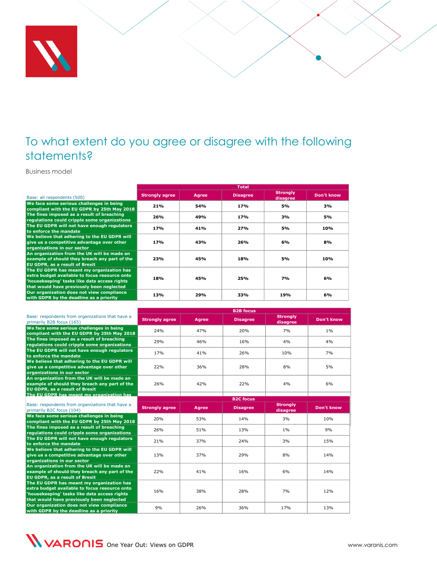

<span id="page-40-0"></span>Business model

|                                                                                                                                                                                         |                       |       | <b>Total</b>    |                             |            |
|-----------------------------------------------------------------------------------------------------------------------------------------------------------------------------------------|-----------------------|-------|-----------------|-----------------------------|------------|
| Base: all respondents (500)                                                                                                                                                             | <b>Strongly agree</b> | Agree | <b>Disagree</b> | <b>Strongly</b><br>disagree | Don't know |
| We face some serious challenges in being<br>compliant with the EU GDPR by 25th May 2018                                                                                                 | 21%                   | 54%   | 17%             | 5%                          | 3%         |
| The fines imposed as a result of breaching<br>regulations could cripple some organizations                                                                                              | 26%                   | 49%   | 17%             | 3%                          | 5%         |
| The EU GDPR will not have enough regulators<br>to enforce the mandate                                                                                                                   | 17%                   | 41%   | 27%             | 5%                          | 10%        |
| We believe that adhering to the EU GDPR will<br>give us a competitive advantage over other<br>organizations in our sector                                                               | 17%                   | 43%   | 26%             | 6%                          | 8%         |
| An organization from the UK will be made an<br>example of should they breach any part of the<br><b>EU GDPR, as a result of Brexit</b>                                                   | 23%                   | 45%   | 18%             | 5%                          | 10%        |
| The EU GDPR has meant my organization has<br>extra budget available to focus resource onto<br>'housekeeping' tasks like data access rights<br>that would have previously been neglected | 18%                   | 45%   | 25%             | 7%                          | 6%         |
| Our organization does not view compliance<br>with GDPR by the deadline as a priority                                                                                                    | 13%                   | 29%   | 33%             | 19%                         | 6%         |

| Base: respondents from organizations that have a<br>primarily B2B focus (165)                                                                                                           | <b>Strongly agree</b> | <b>Agree</b> | <b>Disagree</b>                     | <b>Strongly</b><br>disagree | Don't know        |  |  |  |
|-----------------------------------------------------------------------------------------------------------------------------------------------------------------------------------------|-----------------------|--------------|-------------------------------------|-----------------------------|-------------------|--|--|--|
| We face some serious challenges in being<br>compliant with the EU GDPR by 25th May 2018                                                                                                 | 24%                   | 47%          | 20%                                 | 7%                          | $1\%$             |  |  |  |
| The fines imposed as a result of breaching<br>regulations could cripple some organizations                                                                                              | 29%                   | 46%          | 16%                                 | 4%                          | 4%                |  |  |  |
| The EU GDPR will not have enough regulators<br>to enforce the mandate                                                                                                                   | 17%                   | 41%          | 26%                                 | 10%                         | 7%                |  |  |  |
| We believe that adhering to the EU GDPR will<br>give us a competitive advantage over other<br>organizations in our sector                                                               | 22%                   | 36%          | 28%                                 | 8%                          | 5%                |  |  |  |
| An organization from the UK will be made an<br>example of should they breach any part of the<br><b>EU GDPR, as a result of Brexit</b>                                                   | 26%                   | 42%          | 22%                                 | 4%                          | 6%                |  |  |  |
| The EU GDPR has meant my organization has                                                                                                                                               |                       |              |                                     |                             |                   |  |  |  |
| Base: respondents from organizations that have a<br>primarily B2C focus (104)                                                                                                           | <b>Strongly agree</b> | <b>Agree</b> | <b>B2C focus</b><br><b>Disagree</b> | <b>Strongly</b><br>disagree | <b>Don't know</b> |  |  |  |
| We face some serious challenges in being<br>compliant with the EU GDPR by 25th May 2018                                                                                                 | 20%                   | 53%          | 14%                                 | 3%                          | 10%               |  |  |  |
| The fines imposed as a result of breaching<br>regulations could cripple some organizations                                                                                              | 26%                   | 51%          | 13%                                 | $1\%$                       | 9%                |  |  |  |
| The EU GDPR will not have enough regulators<br>to enforce the mandate                                                                                                                   | 21%                   | 37%          | 24%                                 | 3%                          | 15%               |  |  |  |
| We believe that adhering to the EU GDPR will<br>give us a competitive advantage over other<br>organizations in our sector                                                               | 13%                   | 37%          | 29%                                 | 8%                          | 14%               |  |  |  |
| An organization from the UK will be made an<br>example of should they breach any part of the<br><b>EU GDPR, as a result of Brexit</b>                                                   | 22%                   | 41%          | 16%                                 | 6%                          | 14%               |  |  |  |
| The EU GDPR has meant my organization has<br>extra budget available to focus resource onto<br>'housekeeping' tasks like data access rights<br>that would have previously been neglected | 16%                   | 38%          | 28%                                 | 7%                          | 12%               |  |  |  |
| Our organization does not view compliance<br>with GDPR by the deadline as a priority                                                                                                    | 9%                    | 26%          | 36%                                 | 17%                         | 13%               |  |  |  |

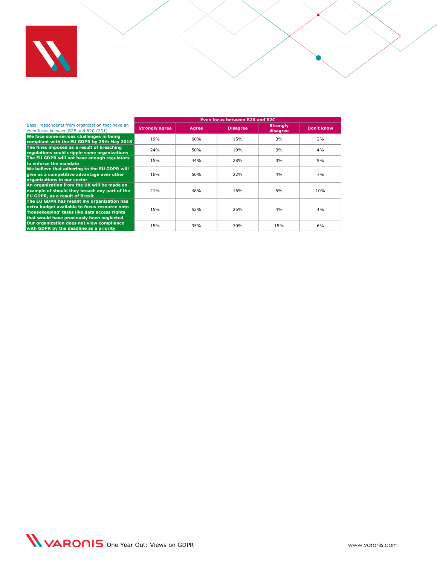

|                                                                                                                                                                                         |                       | Even focus between B2B and B2C |                 |                             |            |  |  |  |
|-----------------------------------------------------------------------------------------------------------------------------------------------------------------------------------------|-----------------------|--------------------------------|-----------------|-----------------------------|------------|--|--|--|
| Base: respondents from organization that have an<br>even focus between B2B and B2C (231)                                                                                                | <b>Strongly agree</b> | Agree                          | <b>Disagree</b> | <b>Strongly</b><br>disagree | Don't know |  |  |  |
| We face some serious challenges in being<br>compliant with the EU GDPR by 25th May 2018                                                                                                 | 19 <sub>%</sub>       | 60%                            | 15%             | 3%                          | 2%         |  |  |  |
| The fines imposed as a result of breaching<br>regulations could cripple some organizations                                                                                              | 24%                   | 50%                            | 19%             | 3%                          | 4%         |  |  |  |
| The EU GDPR will not have enough regulators<br>to enforce the mandate                                                                                                                   | 15%                   | 44%                            | 28%             | 3%                          | 9%         |  |  |  |
| We believe that adhering to the EU GDPR will<br>give us a competitive advantage over other<br>organizations in our sector                                                               | 16 <sub>%</sub>       | 50%                            | 22%             | 4%                          | 7%         |  |  |  |
| An organization from the UK will be made an<br>example of should they breach any part of the<br><b>EU GDPR, as a result of Brexit</b>                                                   | 21%                   | 48%                            | 16%             | 5%                          | 10%        |  |  |  |
| The EU GDPR has meant my organization has<br>extra budget available to focus resource onto<br>'housekeeping' tasks like data access rights<br>that would have previously been neglected | 15%                   | 52%                            | 25%             | 4%                          | 4%         |  |  |  |
| Our organization does not view compliance<br>with GDPR by the deadline as a priority                                                                                                    | 15%                   | 35%                            | 30%             | 15%                         | 6%         |  |  |  |

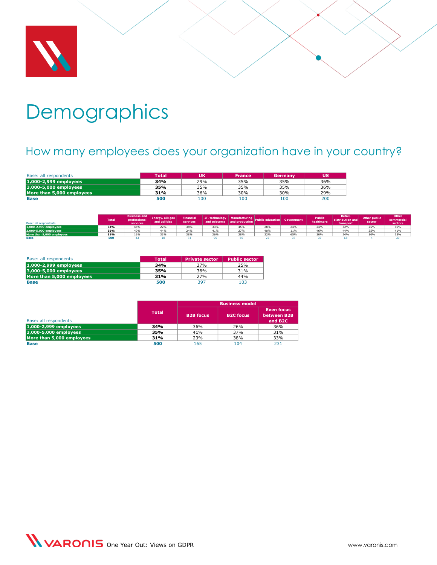

# <span id="page-42-0"></span>**Demographics**

# <span id="page-42-1"></span>How many employees does your organization have in your country?

| Base: all respondents     | <b>Total</b> | UK  | <b>France</b> | Germany | <b>US</b> |
|---------------------------|--------------|-----|---------------|---------|-----------|
| 1,000-2,999 employees     | 34%          | 29% | 35%           | 35%     | 36%       |
| 3,000-5,000 employees     | 35%          | 35% | 35%           | 35%     | 36%       |
| More than 5,000 employees | 31%          | 36% | 30%           | 30%     | 29%       |
| <b>Base</b>               | 500          | 100 | 100           | 100     | 200       |

| Base: all respondents     | <b>Total</b> | <b>Business and</b><br>professional<br>services. | Energy, oil/gas<br>and utilities | <b>Financial</b><br>services | and telecoms and production |     | TI, technology Manufacturing Public education Government |     | <b>Public</b><br>healthcare | Retail,<br>distribution and<br>transport | Other public<br>sector | Other<br>commercial<br>sectors |
|---------------------------|--------------|--------------------------------------------------|----------------------------------|------------------------------|-----------------------------|-----|----------------------------------------------------------|-----|-----------------------------|------------------------------------------|------------------------|--------------------------------|
| 1,000-2,999 employees     | 34%          | 44%                                              | <b>22%</b>                       | 38%                          | 33%                         | 45% | 28%                                                      | 24% | 24%                         | 32%                                      | 25%                    | 36%                            |
| 3,000-5,000 employees     | 35%          | 40%                                              | 44%                              | 24%                          | 41%                         | 27% | 40%                                                      | 11% | 46%                         | 44%                                      | 25%                    | 41%                            |
| More than 5,000 employees | 31%          | 16%                                              | 33%                              | 38%                          | 26%                         | 28% | 32%                                                      | 65% | 30%                         | 24%                                      | FOL                    | 23%                            |
| <b>Base</b>               | 500          |                                                  |                                  |                              |                             |     |                                                          |     |                             |                                          |                        |                                |

| Base: all respondents     | <b>Total</b> | <b>Private sector</b> | <b>Public sector</b> |
|---------------------------|--------------|-----------------------|----------------------|
| 1,000-2,999 employees     | 34%          | 37%                   | 25%                  |
| 3,000-5,000 employees     | 35%          | 36%                   | 31%                  |
| More than 5.000 emplovees | 31%          | 27%                   | 44%                  |
| <b>Base</b>               | 500          | 397                   | 103                  |

|                           |              | <b>Business model</b> |                  |                                                         |  |  |
|---------------------------|--------------|-----------------------|------------------|---------------------------------------------------------|--|--|
| Base: all respondents     | <b>Total</b> | <b>B2B</b> focus      | <b>B2C focus</b> | <b>Even focus</b><br>between B2B<br>and B <sub>2C</sub> |  |  |
|                           |              |                       |                  |                                                         |  |  |
| 1,000-2,999 employees     | 34%          | 36%                   | 26%              | 36%                                                     |  |  |
| 3,000-5,000 employees     | 35%          | 41%                   | 37%              | 31%                                                     |  |  |
| More than 5,000 employees | 31%          | 23%                   | 38%              | 33%                                                     |  |  |
| <b>Base</b>               | 500          | 165                   | 104              | 231                                                     |  |  |

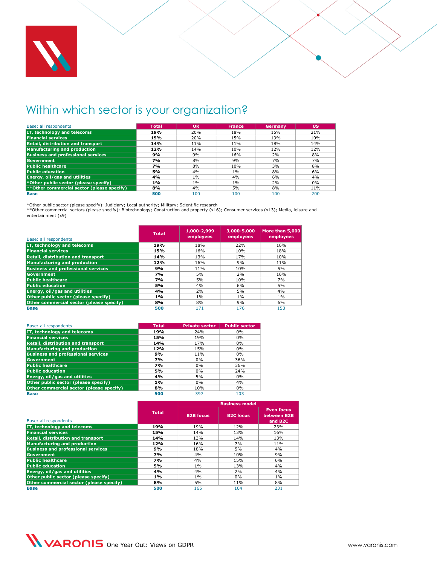

# <span id="page-43-0"></span>Within which sector is your organization?

| Base: all respondents                       | <b>Total</b> | <b>UK</b> | <b>France</b> | Germany | US  |
|---------------------------------------------|--------------|-----------|---------------|---------|-----|
| IT, technology and telecoms                 | 19%          | 20%       | 18%           | 15%     | 21% |
| <b>Financial services</b>                   | 15%          | 20%       | 15%           | 19%     | 10% |
| <b>Retail, distribution and transport</b>   | 14%          | 11%       | $11\%$        | 18%     | 14% |
| <b>Manufacturing and production</b>         | 12%          | 14%       | 10%           | 12%     | 12% |
| <b>Business and professional services</b>   | 9%           | 9%        | 16%           | 2%      | 8%  |
| Government                                  | 7%           | 8%        | 9%            | 7%      | 7%  |
| <b>Public healthcare</b>                    | 7%           | 8%        | 10%           | 3%      | 8%  |
| <b>Public education</b>                     | 5%           | 4%        | 1%            | 8%      | 6%  |
| <b>Energy, oil/gas and utilities</b>        | 4%           | $1\%$     | 4%            | 6%      | 4%  |
| *Other public sector (please specify)       | 1%           | 1%        | 1%            | 2%      | 0%  |
| ** Other commercial sector (please specify) | 8%           | 4%        | 5%            | 8%      | 11% |
| <b>Base</b>                                 | 500          | 100       | 100           | 100     | 200 |

\*Other public sector (please specify): Judiciary; Local authority; Military; Scientific research<br>\*\*Other commercial sectors (please specify): Biotechnology; Construction and property (x16); Consumer services (x13); Media, entertainment (x9)

| Base: all respondents                     | <b>Total</b> | 1,000-2,999<br>employees | 3,000-5,000<br>employees | More than 5.000<br>employees |
|-------------------------------------------|--------------|--------------------------|--------------------------|------------------------------|
| IT, technology and telecoms               | 19%          | 18%                      | 22%                      | 16%                          |
| <b>Financial services</b>                 | 15%          | 16%                      | 10%                      | 18%                          |
| <b>Retail, distribution and transport</b> | 14%          | 13%                      | 17%                      | 10%                          |
| <b>Manufacturing and production</b>       | 12%          | 16%                      | 9%                       | 11%                          |
| <b>Business and professional services</b> | 9%           | 11%                      | 10%                      | 5%                           |
| Government                                | <b>7%</b>    | 5%                       | 2%                       | 16%                          |
| <b>Public healthcare</b>                  | 7%           | 5%                       | 10%                      | 7%                           |
| <b>Public education</b>                   | 5%           | 4%                       | 6%                       | 5%                           |
| Energy, oil/gas and utilities             | 4%           | 2%                       | 5%                       | 4%                           |
| Other public sector (please specify)      | 1%           | 1%                       | 1%                       | 1%                           |
| Other commercial sector (please specify)  | 8%           | 8%                       | 9%                       | 6%                           |
| <b>Base</b>                               | 500          | 171                      | 176                      | 153                          |

| Base: all respondents                     | <b>Total</b> | <b>Private sector</b> | <b>Public sector</b> |
|-------------------------------------------|--------------|-----------------------|----------------------|
| IT, technology and telecoms               | 19%          | 24%                   | 0%                   |
| <b>Financial services</b>                 | 15%          | 19%                   | $0\%$                |
| <b>Retail, distribution and transport</b> | 14%          | 17%                   | $0\%$                |
| <b>Manufacturing and production</b>       | 12%          | 15%                   | $0\%$                |
| <b>Business and professional services</b> | 9%           | 11%                   | 0%                   |
| <b>Government</b>                         | <b>7%</b>    | $0\%$                 | 36%                  |
| <b>Public healthcare</b>                  | <b>7%</b>    | $0\%$                 | 36%                  |
| <b>Public education</b>                   | 5%           | $0\%$                 | 24%                  |
| Energy, oil/gas and utilities             | 4%           | 5%                    | 0%                   |
| Other public sector (please specify)      | 1%           | 0%                    | 4%                   |
| Other commercial sector (please specify)  | 8%           | 10%                   | 0%                   |
| <b>Base</b>                               | 500          | 397                   | 103                  |

|                                           |              |                  | <b>Business model</b> |                                                         |
|-------------------------------------------|--------------|------------------|-----------------------|---------------------------------------------------------|
| Base: all respondents                     | <b>Total</b> | <b>B2B focus</b> | <b>B2C</b> focus      | <b>Even focus</b><br>between B2B<br>and B <sub>2C</sub> |
| IT, technology and telecoms               | 19%          | 19%              | 12%                   | 23%                                                     |
| <b>Financial services</b>                 | 15%          | 14%              | 13%                   | 16%                                                     |
| <b>Retail, distribution and transport</b> | 14%          | 13%              | 14%                   | 13%                                                     |
| <b>Manufacturing and production</b>       | 12%          | 16%              | 7%                    | 11%                                                     |
| <b>Business and professional services</b> | 9%           | 18%              | 5%                    | 4%                                                      |
| Government                                | 7%           | 4%               | 10%                   | 9%                                                      |
| <b>Public healthcare</b>                  | <b>7%</b>    | 4%               | 15%                   | 6%                                                      |
| <b>Public education</b>                   | 5%           | 1%               | 13%                   | 4%                                                      |
| <b>Energy, oil/gas and utilities</b>      | 4%           | 4%               | 2%                    | 4%                                                      |
| Other public sector (please specify)      | 1%           | 1%               | 0%                    | 1%                                                      |
| Other commercial sector (please specify)  | 8%           | 5%               | 11%                   | 8%                                                      |
| <b>Base</b>                               | 500          | 165              | 104                   | 231                                                     |

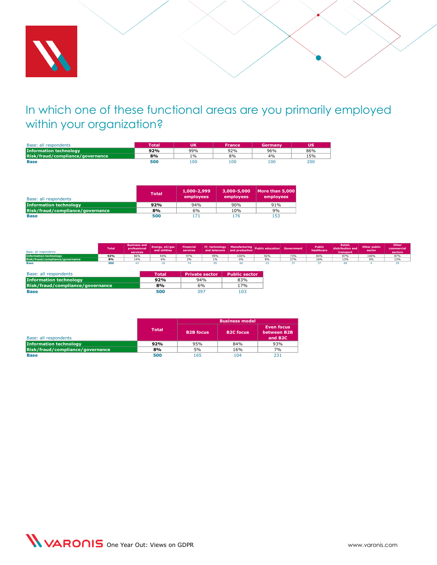

# <span id="page-44-0"></span>In which one of these functional areas are you primarily employed within your organization?

| Base: all respondents            | <b>Total</b> | UΚ  | France | Germany | ้บร |
|----------------------------------|--------------|-----|--------|---------|-----|
| <b>Information technology</b>    | 92%          | 99% | 92%    | 96%     | 86% |
| Risk/fraud/compliance/governance | 8%           | 1%  | 8%     | 4%      | 15% |
| <b>Base</b>                      | 500          | 100 | 100    | 100     | 200 |

| Base: all respondents            | <b>Total</b> | 1,000-2,999<br>employees | 3,000-5,000<br>employees | More than 5,000<br>employees |
|----------------------------------|--------------|--------------------------|--------------------------|------------------------------|
| <b>Information technology</b>    | 92%          | 94%                      | 90%                      | 91%                          |
| Risk/fraud/compliance/governance | 8%           | 6%                       | 10%                      | 9%                           |
| <b>Base</b>                      | 500          | 171                      | 176                      | 153                          |

| Base: all respondents            | <b>Total</b> | <b>Business and</b><br>professional<br>services | Energy, oil/gas<br>and utilities | <b>Financial</b><br>services | <b>Exercise 11, technology</b> Manufacturing Public education Government | and telecoms and production |     |     | <b>Public</b><br>healthcare | Retail.<br>transport | Other public<br>sector | Other<br>commercial<br>sectors |
|----------------------------------|--------------|-------------------------------------------------|----------------------------------|------------------------------|--------------------------------------------------------------------------|-----------------------------|-----|-----|-----------------------------|----------------------|------------------------|--------------------------------|
| <b>Information technology</b>    | 92%          | 86%                                             | 94%                              | 97%                          | 99%                                                                      | 100%                        | 92% | 73% | 84%                         | 87%                  | 100%                   | 87%                            |
| Risk/fraud/compliance/governance | 8%           | 14%                                             | 6%                               |                              | 101                                                                      | 0%                          |     | 27% | 16%                         | 13%                  | nn.                    | 13%                            |
| Base                             | 500          |                                                 |                                  |                              |                                                                          |                             |     |     |                             |                      |                        |                                |

| Base: all respondents            | Total | <b>Private sector</b> | <b>Public sector</b> |
|----------------------------------|-------|-----------------------|----------------------|
| <b>Information technology</b>    | 92%   | 94%                   | 83%                  |
| Risk/fraud/compliance/governance | 8%    | 6%                    | 17%                  |
| <b>Base</b>                      | 500   | 397                   | 103                  |

|                                  |        | <b>Business model</b> |                  |                                                         |  |  |  |
|----------------------------------|--------|-----------------------|------------------|---------------------------------------------------------|--|--|--|
| Base: all respondents            | Total' | <b>B2B</b> focus      | <b>B2C focus</b> | <b>Even focus</b><br>between B2B<br>and B <sub>2C</sub> |  |  |  |
| <b>Information technology</b>    | 92%    | 95%                   | 84%              | 93%                                                     |  |  |  |
| Risk/fraud/compliance/governance | 8%     | 5%                    | 16%              | 7%                                                      |  |  |  |
| <b>Base</b>                      | 500    | 165                   | 104              | 231                                                     |  |  |  |